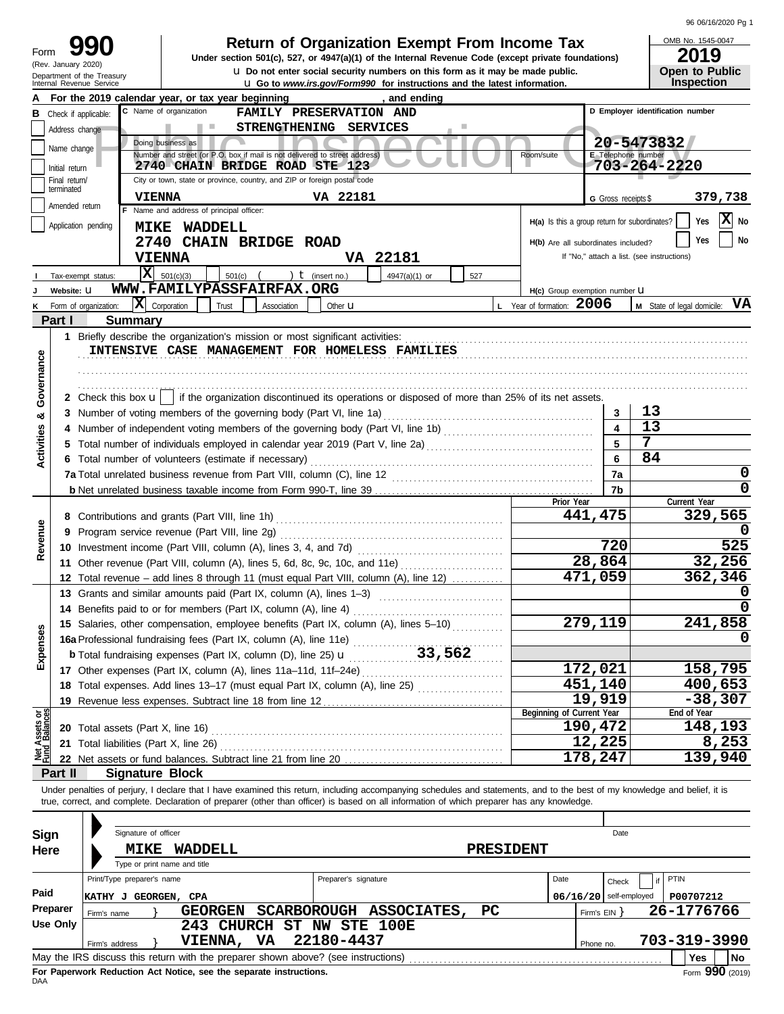|  | 96 06/16/2020 Pg 1 |  |
|--|--------------------|--|
|--|--------------------|--|

| Form | 990                        |
|------|----------------------------|
|      | (Rev. January 2020)        |
|      | Department of the Treasury |

# **Return of Organization Exempt From Income Tax** <br>**Section 501(c), 527, or 4947(a)(1) of the Internal Revenue Code (except private foundations)**

u **Do not enter social security numbers on this form as it may be made public. Open to Public Under section 501(c), 527, or 4947(a)(1) of the Internal Revenue Code (except private foundations)**

OMB No. 1545-0047

|                                | IGHT OF THE HIGGSUP<br>Internal Revenue Service   |                                                      |                     |                                                                            |                      | <b>u</b> Go to www.irs.gov/Form990 for instructions and the latest information.                                                                            |     |                                                                                                                                                                            |                         |                                            | Inspection                    |
|--------------------------------|---------------------------------------------------|------------------------------------------------------|---------------------|----------------------------------------------------------------------------|----------------------|------------------------------------------------------------------------------------------------------------------------------------------------------------|-----|----------------------------------------------------------------------------------------------------------------------------------------------------------------------------|-------------------------|--------------------------------------------|-------------------------------|
|                                | For the 2019 calendar year, or tax year beginning |                                                      |                     |                                                                            |                      | and ending                                                                                                                                                 |     |                                                                                                                                                                            |                         |                                            |                               |
| в                              | Check if applicable:                              | C Name of organization                               |                     | FAMILY PRESERVATION AND                                                    |                      |                                                                                                                                                            |     |                                                                                                                                                                            |                         | D Employer identification number           |                               |
|                                | Address change                                    |                                                      | <b>Contract</b>     | STRENGTHENING SERVICES                                                     |                      |                                                                                                                                                            |     |                                                                                                                                                                            |                         |                                            |                               |
|                                |                                                   | Doing business as                                    |                     |                                                                            |                      |                                                                                                                                                            |     |                                                                                                                                                                            |                         | 20-5473832                                 |                               |
|                                | Name change                                       |                                                      |                     | Number and street (or P.O. box if mail is not delivered to street address) |                      |                                                                                                                                                            |     | Room/suite                                                                                                                                                                 |                         | E Telephone number                         |                               |
|                                | Initial return                                    |                                                      |                     | 2740 CHAIN BRIDGE ROAD STE 123                                             |                      |                                                                                                                                                            |     |                                                                                                                                                                            |                         | 703-264-2220                               |                               |
|                                | Final return/                                     |                                                      |                     | City or town, state or province, country, and ZIP or foreign postal code   |                      |                                                                                                                                                            |     |                                                                                                                                                                            |                         |                                            |                               |
|                                | terminated                                        | <b>VIENNA</b>                                        |                     |                                                                            | VA 22181             |                                                                                                                                                            |     |                                                                                                                                                                            | G Gross receipts \$     |                                            | 379,738                       |
|                                | Amended return                                    | F Name and address of principal officer:             |                     |                                                                            |                      |                                                                                                                                                            |     |                                                                                                                                                                            |                         |                                            |                               |
|                                | Application pending                               |                                                      | <b>MIKE WADDELL</b> |                                                                            |                      |                                                                                                                                                            |     | H(a) Is this a group return for subordinates?                                                                                                                              |                         |                                            | X No<br>Yes                   |
|                                |                                                   |                                                      |                     | 2740 CHAIN BRIDGE ROAD                                                     |                      |                                                                                                                                                            |     | H(b) Are all subordinates included?                                                                                                                                        |                         |                                            | No<br>Yes                     |
|                                |                                                   |                                                      |                     |                                                                            |                      |                                                                                                                                                            |     |                                                                                                                                                                            |                         | If "No," attach a list. (see instructions) |                               |
|                                |                                                   | <b>VIENNA</b>                                        |                     |                                                                            |                      | VA 22181                                                                                                                                                   |     |                                                                                                                                                                            |                         |                                            |                               |
|                                | Tax-exempt status:                                | $\overline{\mathbf{X}}$ 501(c)(3)                    | $501(c)$ (          |                                                                            | ) $t$ (insert no.)   | 4947(a)(1) or                                                                                                                                              | 527 |                                                                                                                                                                            |                         |                                            |                               |
|                                | Website: U                                        |                                                      |                     | WWW.FAMILYPASSFAIRFAX.ORG                                                  |                      |                                                                                                                                                            |     | H(c) Group exemption number LI                                                                                                                                             |                         |                                            |                               |
|                                | Form of organization:                             | $ \mathbf{X} $ Corporation                           | Trust               | Association                                                                | Other <b>u</b>       |                                                                                                                                                            |     | L Year of formation: 2006                                                                                                                                                  |                         |                                            | M State of legal domicile: VA |
|                                | Part I                                            | <b>Summary</b>                                       |                     |                                                                            |                      |                                                                                                                                                            |     |                                                                                                                                                                            |                         |                                            |                               |
|                                |                                                   |                                                      |                     |                                                                            |                      |                                                                                                                                                            |     |                                                                                                                                                                            |                         |                                            |                               |
|                                |                                                   |                                                      |                     |                                                                            |                      | INTENSIVE CASE MANAGEMENT FOR HOMELESS FAMILIES                                                                                                            |     |                                                                                                                                                                            |                         |                                            |                               |
|                                |                                                   |                                                      |                     |                                                                            |                      |                                                                                                                                                            |     |                                                                                                                                                                            |                         |                                            |                               |
|                                |                                                   |                                                      |                     |                                                                            |                      |                                                                                                                                                            |     |                                                                                                                                                                            |                         |                                            |                               |
| Governance                     |                                                   |                                                      |                     |                                                                            |                      |                                                                                                                                                            |     |                                                                                                                                                                            |                         |                                            |                               |
|                                |                                                   |                                                      |                     |                                                                            |                      |                                                                                                                                                            |     | 2 Check this box $\mathbf{u}$   if the organization discontinued its operations or disposed of more than 25% of its net assets.                                            |                         |                                            |                               |
| య                              |                                                   |                                                      |                     |                                                                            |                      |                                                                                                                                                            |     |                                                                                                                                                                            | 3                       | 13                                         |                               |
|                                |                                                   |                                                      |                     |                                                                            |                      |                                                                                                                                                            |     |                                                                                                                                                                            | $\overline{\mathbf{A}}$ | 13                                         |                               |
| <b>Activities</b>              |                                                   |                                                      |                     |                                                                            |                      |                                                                                                                                                            |     |                                                                                                                                                                            | 5                       | 7                                          |                               |
|                                |                                                   | 6 Total number of volunteers (estimate if necessary) |                     |                                                                            |                      |                                                                                                                                                            |     |                                                                                                                                                                            | 6                       | 84                                         |                               |
|                                |                                                   |                                                      |                     |                                                                            |                      |                                                                                                                                                            |     |                                                                                                                                                                            | 7a                      |                                            | 0                             |
|                                |                                                   |                                                      |                     |                                                                            |                      |                                                                                                                                                            |     |                                                                                                                                                                            | 7b                      |                                            | 0                             |
|                                |                                                   |                                                      |                     |                                                                            |                      |                                                                                                                                                            |     | Prior Year                                                                                                                                                                 |                         |                                            | Current Year                  |
|                                |                                                   |                                                      |                     |                                                                            |                      |                                                                                                                                                            |     | 441,475                                                                                                                                                                    |                         |                                            | 329,565                       |
|                                |                                                   |                                                      |                     |                                                                            |                      |                                                                                                                                                            |     |                                                                                                                                                                            |                         |                                            |                               |
| Revenue                        |                                                   |                                                      |                     |                                                                            |                      |                                                                                                                                                            |     |                                                                                                                                                                            | 720                     |                                            | 525                           |
|                                |                                                   |                                                      |                     |                                                                            |                      |                                                                                                                                                            |     | 28,864                                                                                                                                                                     |                         |                                            | 32,256                        |
|                                |                                                   |                                                      |                     |                                                                            |                      | 11 Other revenue (Part VIII, column (A), lines 5, 6d, 8c, 9c, 10c, and 11e)                                                                                |     |                                                                                                                                                                            |                         |                                            |                               |
|                                |                                                   |                                                      |                     |                                                                            |                      | 12 Total revenue – add lines 8 through 11 (must equal Part VIII, column (A), line 12)                                                                      |     | 471,059                                                                                                                                                                    |                         |                                            | 362,346                       |
|                                |                                                   |                                                      |                     |                                                                            |                      | 13 Grants and similar amounts paid (Part IX, column (A), lines 1-3)                                                                                        |     |                                                                                                                                                                            |                         |                                            |                               |
|                                |                                                   |                                                      |                     | 14 Benefits paid to or for members (Part IX, column (A), line 4)           |                      |                                                                                                                                                            |     |                                                                                                                                                                            |                         |                                            |                               |
|                                |                                                   |                                                      |                     |                                                                            |                      | 15 Salaries, other compensation, employee benefits (Part IX, column (A), lines 5-10)                                                                       |     | 279,119                                                                                                                                                                    |                         |                                            | 241,858                       |
| enses                          |                                                   |                                                      |                     |                                                                            |                      | 15 Salaries, Suite Society Contractors (Part IX, column (A), line 11e)<br>16a Professional fundraising fees (Part IX, column (D), line 25) <b>u</b> 33,562 |     |                                                                                                                                                                            |                         |                                            |                               |
|                                |                                                   |                                                      |                     |                                                                            |                      |                                                                                                                                                            |     |                                                                                                                                                                            |                         |                                            |                               |
| Expe                           |                                                   |                                                      |                     | 17 Other expenses (Part IX, column (A), lines 11a-11d, 11f-24e)            |                      |                                                                                                                                                            |     | 172,021                                                                                                                                                                    |                         |                                            | 158,795                       |
|                                |                                                   |                                                      |                     |                                                                            |                      | 18 Total expenses. Add lines 13-17 (must equal Part IX, column (A), line 25)                                                                               |     | 451,140                                                                                                                                                                    |                         |                                            | 400,653                       |
|                                |                                                   |                                                      |                     |                                                                            |                      |                                                                                                                                                            |     | 19,919                                                                                                                                                                     |                         |                                            | $-38,307$                     |
|                                |                                                   |                                                      |                     | 19 Revenue less expenses. Subtract line 18 from line 12                    |                      |                                                                                                                                                            |     | Beginning of Current Year                                                                                                                                                  |                         |                                            | End of Year                   |
| Net Assets or<br>Fund Balances |                                                   | 20 Total assets (Part X, line 16)                    |                     |                                                                            |                      |                                                                                                                                                            |     | 190,472                                                                                                                                                                    |                         |                                            | 148,193                       |
|                                |                                                   |                                                      |                     |                                                                            |                      |                                                                                                                                                            |     | 12,225                                                                                                                                                                     |                         |                                            | 8,253                         |
|                                |                                                   | 21 Total liabilities (Part X, line 26)               |                     |                                                                            |                      |                                                                                                                                                            |     |                                                                                                                                                                            |                         |                                            |                               |
|                                |                                                   |                                                      |                     |                                                                            |                      |                                                                                                                                                            |     | 178,247                                                                                                                                                                    |                         |                                            | 139,940                       |
|                                | Part II                                           | <b>Signature Block</b>                               |                     |                                                                            |                      |                                                                                                                                                            |     |                                                                                                                                                                            |                         |                                            |                               |
|                                |                                                   |                                                      |                     |                                                                            |                      |                                                                                                                                                            |     | Under penalties of perjury, I declare that I have examined this return, including accompanying schedules and statements, and to the best of my knowledge and belief, it is |                         |                                            |                               |
|                                |                                                   |                                                      |                     |                                                                            |                      |                                                                                                                                                            |     | true, correct, and complete. Declaration of preparer (other than officer) is based on all information of which preparer has any knowledge.                                 |                         |                                            |                               |
|                                |                                                   |                                                      |                     |                                                                            |                      |                                                                                                                                                            |     |                                                                                                                                                                            |                         |                                            |                               |
| <b>Sign</b>                    |                                                   | Signature of officer                                 |                     |                                                                            |                      |                                                                                                                                                            |     |                                                                                                                                                                            | Date                    |                                            |                               |
| Here                           |                                                   | MIKE                                                 | WADDELL             |                                                                            |                      |                                                                                                                                                            |     | PRESIDENT                                                                                                                                                                  |                         |                                            |                               |
|                                |                                                   | Type or print name and title                         |                     |                                                                            |                      |                                                                                                                                                            |     |                                                                                                                                                                            |                         |                                            |                               |
|                                |                                                   | Print/Type preparer's name                           |                     |                                                                            | Preparer's signature |                                                                                                                                                            |     | Date                                                                                                                                                                       |                         | PTIN                                       |                               |
| Paid                           |                                                   |                                                      |                     |                                                                            |                      |                                                                                                                                                            |     |                                                                                                                                                                            | Check                   |                                            |                               |
|                                |                                                   | KATHY J GEORGEN, CPA                                 |                     |                                                                            |                      |                                                                                                                                                            |     | $06/16/20$ self-employed                                                                                                                                                   |                         |                                            | P00707212                     |
|                                | Preparer<br>Firm's name                           |                                                      | <b>GEORGEN</b>      |                                                                            |                      | SCARBOROUGH ASSOCIATES,                                                                                                                                    | PC  | Firm's $EIN$ }                                                                                                                                                             |                         |                                            | 26-1776766                    |
|                                | <b>Use Only</b>                                   |                                                      |                     | 243 CHURCH ST NW STE 100E                                                  |                      |                                                                                                                                                            |     |                                                                                                                                                                            |                         |                                            |                               |
|                                | Firm's address                                    |                                                      | VIENNA, VA          |                                                                            | 22180-4437           |                                                                                                                                                            |     | Phone no.                                                                                                                                                                  |                         |                                            | 703-319-3990                  |
|                                |                                                   |                                                      |                     |                                                                            |                      |                                                                                                                                                            |     |                                                                                                                                                                            |                         |                                            | Yes<br>  No                   |

| Sign     | Signature of officer                                                              |                  | Date                     |                         |
|----------|-----------------------------------------------------------------------------------|------------------|--------------------------|-------------------------|
| Here     | WADDELL<br><b>MIKE</b>                                                            | <b>PRESIDENT</b> |                          |                         |
|          | Type or print name and title                                                      |                  |                          |                         |
|          | Preparer's signature<br>Print/Type preparer's name                                | Date             | Check                    | PTIN                    |
| Paid     | GEORGEN, CPA<br> KATIIY J                                                         |                  | $06/16/20$ self-employed | P00707212               |
| Preparer | PC.<br><b>SCARBOROUGH</b><br><b>ASSOCIATES,</b><br>GEORGEN<br>Firm's name         |                  | Firm's EIN               | 26-1776766              |
| Use Only | CHURCH<br>NW STE 100E<br>243<br>ST                                                |                  |                          |                         |
|          | 22180-4437<br>VA.<br><b>VIENNA,</b><br>Firm's address                             |                  | Phone no.                | 703-319-3990            |
|          | May the IRS discuss this return with the preparer shown above? (see instructions) |                  |                          | <b>No</b><br><b>Yes</b> |
|          | For Paperwork Reduction Act Notice, see the separate instructions.                |                  |                          | $Form$ 990 (2019)       |

DAA **For Paperwork Reduction Act Notice, see the separate instructions.**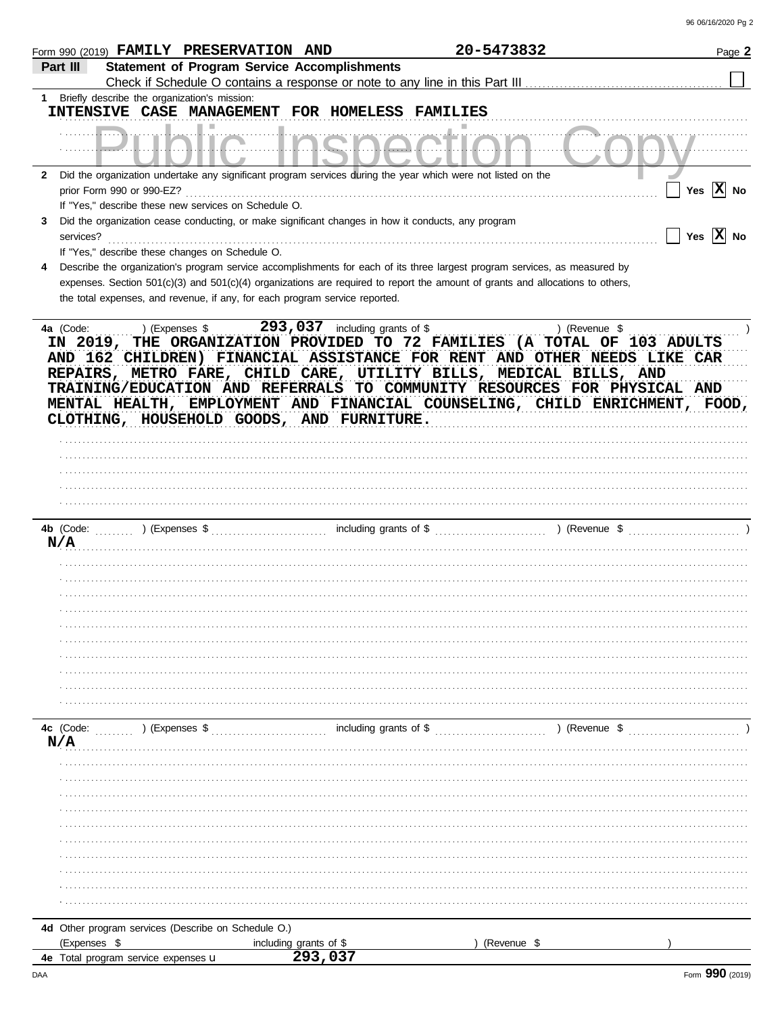|                  | Form 990 (2019) FAMILY PRESERVATION AND                                                                                                                                                                                                                                                                                                    |                        | 20-5473832      | Page 2                                                                      |
|------------------|--------------------------------------------------------------------------------------------------------------------------------------------------------------------------------------------------------------------------------------------------------------------------------------------------------------------------------------------|------------------------|-----------------|-----------------------------------------------------------------------------|
| Part III         | <b>Statement of Program Service Accomplishments</b><br>Check if Schedule O contains a response or note to any line in this Part III                                                                                                                                                                                                        |                        |                 |                                                                             |
| 1                | Briefly describe the organization's mission:                                                                                                                                                                                                                                                                                               |                        |                 |                                                                             |
|                  | INTENSIVE CASE MANAGEMENT FOR HOMELESS                                                                                                                                                                                                                                                                                                     |                        | <b>FAMILIES</b> |                                                                             |
|                  |                                                                                                                                                                                                                                                                                                                                            |                        |                 |                                                                             |
|                  |                                                                                                                                                                                                                                                                                                                                            |                        |                 |                                                                             |
| $\mathbf{2}$     | Did the organization undertake any significant program services during the year which were not listed on the                                                                                                                                                                                                                               |                        |                 |                                                                             |
|                  | prior Form 990 or 990-EZ?                                                                                                                                                                                                                                                                                                                  |                        |                 | Yes $ X $ No                                                                |
|                  | If "Yes," describe these new services on Schedule O.                                                                                                                                                                                                                                                                                       |                        |                 |                                                                             |
| 3                | Did the organization cease conducting, or make significant changes in how it conducts, any program                                                                                                                                                                                                                                         |                        |                 | Yes $ \mathbf{X} $ No                                                       |
| services?        | If "Yes," describe these changes on Schedule O.                                                                                                                                                                                                                                                                                            |                        |                 |                                                                             |
| 4                | Describe the organization's program service accomplishments for each of its three largest program services, as measured by                                                                                                                                                                                                                 |                        |                 |                                                                             |
|                  | expenses. Section $501(c)(3)$ and $501(c)(4)$ organizations are required to report the amount of grants and allocations to others,                                                                                                                                                                                                         |                        |                 |                                                                             |
|                  | the total expenses, and revenue, if any, for each program service reported.                                                                                                                                                                                                                                                                |                        |                 |                                                                             |
| IN 2019,         | THE ORGANIZATION PROVIDED TO 72 FAMILIES (A TOTAL OF 103 ADULTS<br>AND 162 CHILDREN) FINANCIAL ASSISTANCE FOR RENT AND OTHER NEEDS LIKE CAR<br>REPAIRS, METRO FARE, CHILD CARE, UTILITY BILLS, MEDICAL BILLS, AND<br>TRAINING/EDUCATION AND REFERRALS TO COMMUNITY RESOURCES FOR PHYSICAL AND<br>CLOTHING, HOUSEHOLD GOODS, AND FURNITURE. |                        |                 | MENTAL HEALTH, EMPLOYMENT AND FINANCIAL COUNSELING, CHILD ENRICHMENT, FOOD, |
| 4b (Code:<br>N/A | ) (Expenses \$                                                                                                                                                                                                                                                                                                                             | including grants of \$ |                 | ) (Revenue \$                                                               |
|                  |                                                                                                                                                                                                                                                                                                                                            |                        |                 |                                                                             |
|                  |                                                                                                                                                                                                                                                                                                                                            |                        |                 |                                                                             |
|                  |                                                                                                                                                                                                                                                                                                                                            |                        |                 |                                                                             |
|                  |                                                                                                                                                                                                                                                                                                                                            |                        |                 |                                                                             |
|                  |                                                                                                                                                                                                                                                                                                                                            |                        |                 |                                                                             |
|                  |                                                                                                                                                                                                                                                                                                                                            |                        |                 |                                                                             |
|                  |                                                                                                                                                                                                                                                                                                                                            |                        |                 |                                                                             |
|                  |                                                                                                                                                                                                                                                                                                                                            |                        |                 |                                                                             |
| 4c (Code:<br>N/A | ) (Expenses \$                                                                                                                                                                                                                                                                                                                             | including grants of \$ |                 | ) (Revenue \$                                                               |
|                  |                                                                                                                                                                                                                                                                                                                                            |                        |                 |                                                                             |
|                  |                                                                                                                                                                                                                                                                                                                                            |                        |                 |                                                                             |
|                  |                                                                                                                                                                                                                                                                                                                                            |                        |                 |                                                                             |
|                  |                                                                                                                                                                                                                                                                                                                                            |                        |                 |                                                                             |
|                  |                                                                                                                                                                                                                                                                                                                                            |                        |                 |                                                                             |
|                  |                                                                                                                                                                                                                                                                                                                                            |                        |                 |                                                                             |
|                  |                                                                                                                                                                                                                                                                                                                                            |                        |                 |                                                                             |
|                  |                                                                                                                                                                                                                                                                                                                                            |                        |                 |                                                                             |
|                  |                                                                                                                                                                                                                                                                                                                                            |                        |                 |                                                                             |
|                  |                                                                                                                                                                                                                                                                                                                                            |                        |                 |                                                                             |
|                  | 4d Other program services (Describe on Schedule O.)                                                                                                                                                                                                                                                                                        |                        |                 |                                                                             |
| (Expenses \$     |                                                                                                                                                                                                                                                                                                                                            | including grants of \$ | (Revenue \$     |                                                                             |
|                  | 4e Total program service expenses u                                                                                                                                                                                                                                                                                                        | 293,037                |                 |                                                                             |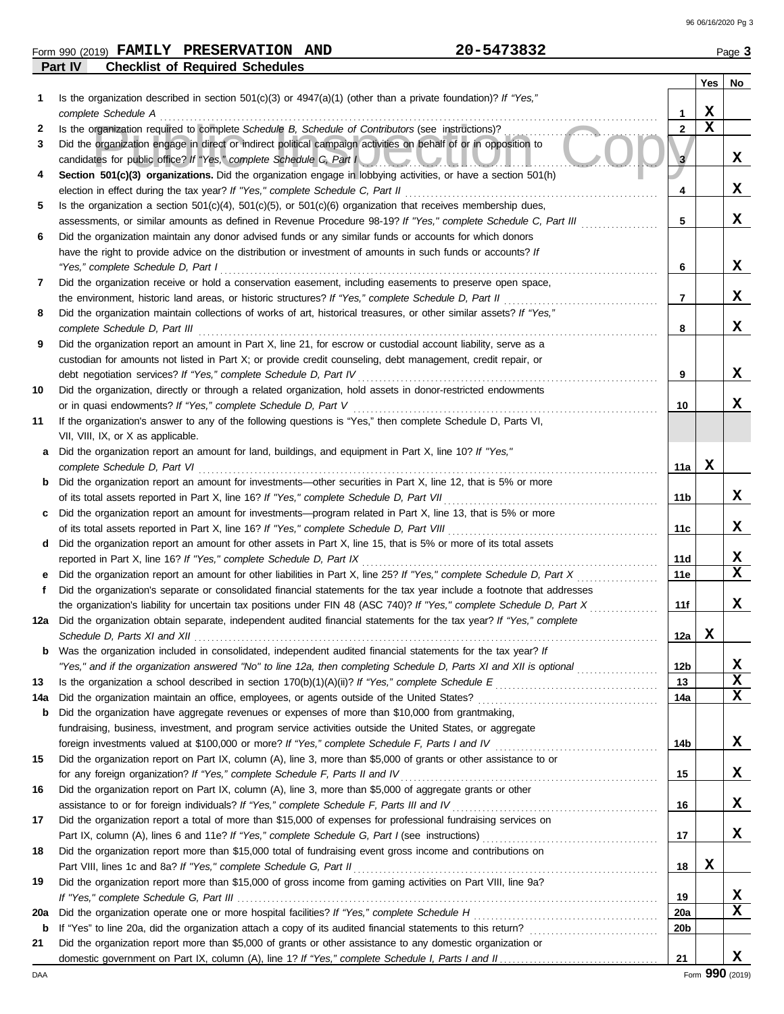|         | Form 990 (2019) FAMILY PRESERVATION AND | 20-5473832 | Page 3 |
|---------|-----------------------------------------|------------|--------|
| Part IV | <b>Checklist of Required Schedules</b>  |            |        |

|             |                                                                                                                                                                                                                             |                 | Yes         | No |
|-------------|-----------------------------------------------------------------------------------------------------------------------------------------------------------------------------------------------------------------------------|-----------------|-------------|----|
| 1           | Is the organization described in section $501(c)(3)$ or $4947(a)(1)$ (other than a private foundation)? If "Yes,"                                                                                                           |                 |             |    |
|             | complete Schedule A                                                                                                                                                                                                         | 1               | X           |    |
| 2           | Is the organization required to complete Schedule B, Schedule of Contributors (see instructions)?                                                                                                                           | $\mathbf{2}$    | $\mathbf x$ |    |
| 3           | Did the organization engage in direct or indirect political campaign activities on behalf of or in opposition to                                                                                                            |                 |             | X  |
| 4           | candidates for public office? If "Yes," complete Schedule C, Part I<br>Section 501(c)(3) organizations. Did the organization engage in lobbying activities, or have a section 501(h)                                        | 3               |             |    |
|             | election in effect during the tax year? If "Yes," complete Schedule C, Part II                                                                                                                                              | 4               |             | X  |
| 5           | Is the organization a section $501(c)(4)$ , $501(c)(5)$ , or $501(c)(6)$ organization that receives membership dues,                                                                                                        |                 |             |    |
|             | assessments, or similar amounts as defined in Revenue Procedure 98-19? If "Yes," complete Schedule C, Part III                                                                                                              | 5               |             | x  |
| 6           | Did the organization maintain any donor advised funds or any similar funds or accounts for which donors                                                                                                                     |                 |             |    |
|             | have the right to provide advice on the distribution or investment of amounts in such funds or accounts? If                                                                                                                 |                 |             |    |
|             | "Yes," complete Schedule D, Part I                                                                                                                                                                                          | 6               |             | x  |
| 7           | Did the organization receive or hold a conservation easement, including easements to preserve open space,                                                                                                                   |                 |             |    |
|             | the environment, historic land areas, or historic structures? If "Yes," complete Schedule D, Part II                                                                                                                        | 7               |             | x  |
| 8           | Did the organization maintain collections of works of art, historical treasures, or other similar assets? If "Yes,"                                                                                                         |                 |             |    |
|             | complete Schedule D, Part III                                                                                                                                                                                               | 8               |             | x  |
| 9           | Did the organization report an amount in Part X, line 21, for escrow or custodial account liability, serve as a                                                                                                             |                 |             |    |
|             | custodian for amounts not listed in Part X; or provide credit counseling, debt management, credit repair, or                                                                                                                |                 |             |    |
|             | debt negotiation services? If "Yes," complete Schedule D, Part IV                                                                                                                                                           | 9               |             | x  |
| 10          | Did the organization, directly or through a related organization, hold assets in donor-restricted endowments                                                                                                                |                 |             |    |
|             | or in quasi endowments? If "Yes," complete Schedule D, Part V                                                                                                                                                               | 10              |             | x  |
| 11          | If the organization's answer to any of the following questions is "Yes," then complete Schedule D, Parts VI,                                                                                                                |                 |             |    |
|             | VII, VIII, IX, or X as applicable.                                                                                                                                                                                          |                 |             |    |
| a           | Did the organization report an amount for land, buildings, and equipment in Part X, line 10? If "Yes,"                                                                                                                      |                 |             |    |
|             | complete Schedule D, Part VI                                                                                                                                                                                                | 11a             | x           |    |
| b           | Did the organization report an amount for investments—other securities in Part X, line 12, that is 5% or more                                                                                                               | 11b             |             | x  |
| c           | of its total assets reported in Part X, line 16? If "Yes," complete Schedule D, Part VII<br>Did the organization report an amount for investments—program related in Part X, line 13, that is 5% or more                    |                 |             |    |
|             | of its total assets reported in Part X, line 16? If "Yes," complete Schedule D, Part VIII                                                                                                                                   | 11c             |             | x  |
| d           | Did the organization report an amount for other assets in Part X, line 15, that is 5% or more of its total assets                                                                                                           |                 |             |    |
|             | reported in Part X, line 16? If "Yes," complete Schedule D, Part IX                                                                                                                                                         | 11d             |             | X  |
| е           | Did the organization report an amount for other liabilities in Part X, line 25? If "Yes," complete Schedule D, Part X                                                                                                       | 11e             |             | x  |
| f           | Did the organization's separate or consolidated financial statements for the tax year include a footnote that addresses                                                                                                     |                 |             |    |
|             | the organization's liability for uncertain tax positions under FIN 48 (ASC 740)? If "Yes," complete Schedule D, Part X                                                                                                      | 11f             |             | х  |
|             | 12a Did the organization obtain separate, independent audited financial statements for the tax year? If "Yes," complete                                                                                                     |                 |             |    |
|             | Schedule D, Parts XI and XII                                                                                                                                                                                                | 12a             | X           |    |
|             | <b>b</b> Was the organization included in consolidated, independent audited financial statements for the tax year? If                                                                                                       |                 |             |    |
|             | "Yes," and if the organization answered "No" to line 12a, then completing Schedule D, Parts XI and XII is optional                                                                                                          | 12 <sub>b</sub> |             | х  |
| 13          |                                                                                                                                                                                                                             | 13              |             | X  |
| 14a         |                                                                                                                                                                                                                             | 14a             |             | x  |
| b           | Did the organization have aggregate revenues or expenses of more than \$10,000 from grantmaking,                                                                                                                            |                 |             |    |
|             | fundraising, business, investment, and program service activities outside the United States, or aggregate                                                                                                                   |                 |             |    |
|             |                                                                                                                                                                                                                             | 14b             |             | X  |
| 15          | Did the organization report on Part IX, column (A), line 3, more than \$5,000 of grants or other assistance to or                                                                                                           |                 |             | x  |
|             | for any foreign organization? If "Yes," complete Schedule F, Parts II and IV [[[[[[[[[[[[[[[[[[[[[[[[[[[[[[[[                                                                                                               | 15              |             |    |
| 16          | Did the organization report on Part IX, column (A), line 3, more than \$5,000 of aggregate grants or other<br>assistance to or for foreign individuals? If "Yes," complete Schedule F, Parts III and IV [[[[[[[[[[[[[[[[[[[ | 16              |             | x  |
| 17          | Did the organization report a total of more than \$15,000 of expenses for professional fundraising services on                                                                                                              |                 |             |    |
|             |                                                                                                                                                                                                                             | 17              |             | X  |
| 18          | Did the organization report more than \$15,000 total of fundraising event gross income and contributions on                                                                                                                 |                 |             |    |
|             |                                                                                                                                                                                                                             | 18              | X           |    |
| 19          | Did the organization report more than \$15,000 of gross income from gaming activities on Part VIII, line 9a?                                                                                                                |                 |             |    |
|             |                                                                                                                                                                                                                             | 19              |             | x  |
| 20a         |                                                                                                                                                                                                                             | <b>20a</b>      |             | X  |
| $\mathbf b$ |                                                                                                                                                                                                                             | 20 <sub>b</sub> |             |    |
| 21          | Did the organization report more than \$5,000 of grants or other assistance to any domestic organization or                                                                                                                 |                 |             |    |
|             |                                                                                                                                                                                                                             | 21              |             | x  |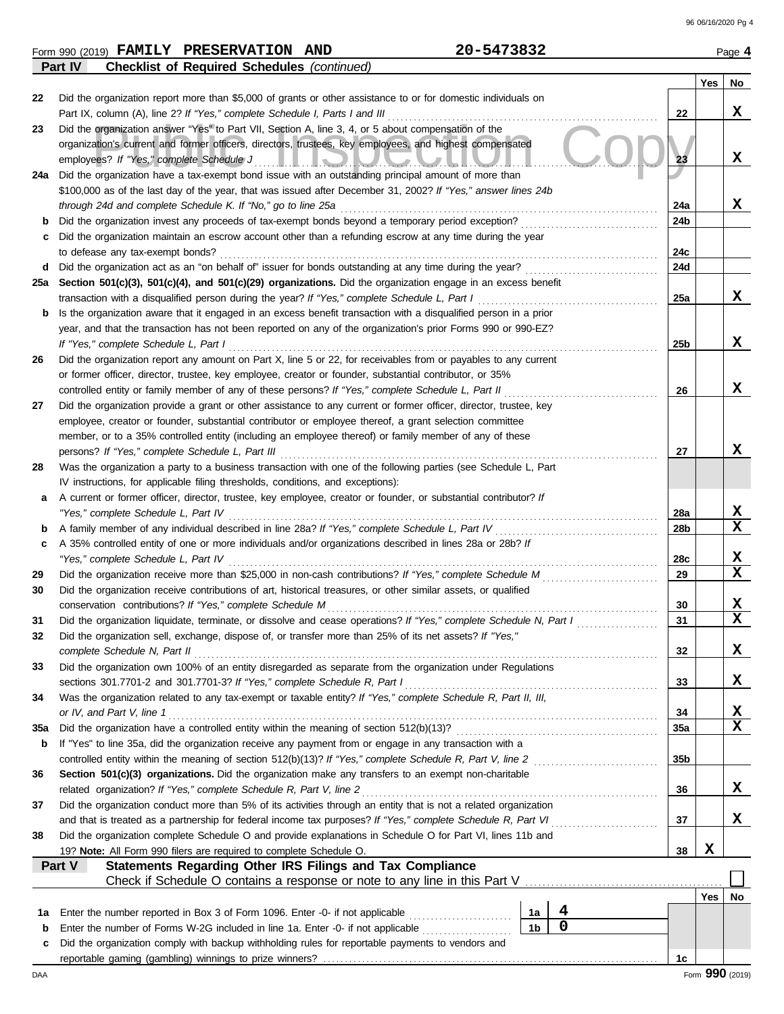|    | FAMILY PRESERVATION AND<br>Form 990 (2019)                                                                    | 20-5473832 |    |     | Page 4 |
|----|---------------------------------------------------------------------------------------------------------------|------------|----|-----|--------|
|    | <b>Checklist of Required Schedules (continued)</b><br><b>Part IV</b>                                          |            |    |     |        |
|    |                                                                                                               |            |    | Yes | No     |
| 22 | Did the organization report more than \$5,000 of grants or other assistance to or for domestic individuals on |            |    |     |        |
|    | Part IX, column (A), line 2? If "Yes," complete Schedule I, Parts I and III                                   |            | 22 |     |        |
| 23 | Did the organization answer "Yes" to Part VII, Section A, line 3, 4, or 5 about compensation of the           |            |    |     |        |
|    | organization's current and former officers, directors, trustees, key employees, and highest compensated       |            |    |     | --     |

| 23  | Did the organization answer "Yes" to Part VII, Section A, line 3, 4, or 5 about compensation of the                                                 |                 |     |             |
|-----|-----------------------------------------------------------------------------------------------------------------------------------------------------|-----------------|-----|-------------|
|     | organization's current and former officers, directors, trustees, key employees, and highest compensated<br>employees? If "Yes," complete Schedule J | 23              |     | X           |
| 24a | Did the organization have a tax-exempt bond issue with an outstanding principal amount of more than                                                 |                 |     |             |
|     | \$100,000 as of the last day of the year, that was issued after December 31, 2002? If "Yes," answer lines 24b                                       |                 |     |             |
|     | through 24d and complete Schedule K. If "No," go to line 25a                                                                                        | 24a             |     | X           |
| b   | Did the organization invest any proceeds of tax-exempt bonds beyond a temporary period exception?                                                   | 24b             |     |             |
|     | Did the organization maintain an escrow account other than a refunding escrow at any time during the year                                           |                 |     |             |
|     | to defease any tax-exempt bonds?                                                                                                                    | 24c             |     |             |
| d   | Did the organization act as an "on behalf of" issuer for bonds outstanding at any time during the year?                                             | 24d             |     |             |
| 25a | Section 501(c)(3), 501(c)(4), and 501(c)(29) organizations. Did the organization engage in an excess benefit                                        |                 |     |             |
|     | transaction with a disqualified person during the year? If "Yes," complete Schedule L, Part I                                                       | 25a             |     | X           |
| b   | Is the organization aware that it engaged in an excess benefit transaction with a disqualified person in a prior                                    |                 |     |             |
|     | year, and that the transaction has not been reported on any of the organization's prior Forms 990 or 990-EZ?                                        |                 |     |             |
|     | If "Yes," complete Schedule L, Part I                                                                                                               | 25 <sub>b</sub> |     | X           |
| 26  | Did the organization report any amount on Part X, line 5 or 22, for receivables from or payables to any current                                     |                 |     |             |
|     | or former officer, director, trustee, key employee, creator or founder, substantial contributor, or 35%                                             |                 |     |             |
|     | controlled entity or family member of any of these persons? If "Yes," complete Schedule L, Part II                                                  | 26              |     | X           |
| 27  | Did the organization provide a grant or other assistance to any current or former officer, director, trustee, key                                   |                 |     |             |
|     | employee, creator or founder, substantial contributor or employee thereof, a grant selection committee                                              |                 |     |             |
|     | member, or to a 35% controlled entity (including an employee thereof) or family member of any of these                                              |                 |     |             |
|     | persons? If "Yes," complete Schedule L, Part III                                                                                                    | 27              |     | x           |
| 28  | Was the organization a party to a business transaction with one of the following parties (see Schedule L, Part                                      |                 |     |             |
|     | IV instructions, for applicable filing thresholds, conditions, and exceptions):                                                                     |                 |     |             |
| a   | A current or former officer, director, trustee, key employee, creator or founder, or substantial contributor? If                                    |                 |     |             |
|     | "Yes," complete Schedule L, Part IV                                                                                                                 | 28a             |     | X           |
| b   | A family member of any individual described in line 28a? If "Yes," complete Schedule L, Part IV                                                     | 28 <sub>b</sub> |     | $\mathbf x$ |
| c   | A 35% controlled entity of one or more individuals and/or organizations described in lines 28a or 28b? If                                           |                 |     |             |
|     | "Yes," complete Schedule L, Part IV                                                                                                                 | 28c             |     | x           |
| 29  | Did the organization receive more than \$25,000 in non-cash contributions? If "Yes," complete Schedule M                                            | 29              |     | $\mathbf x$ |
| 30  | Did the organization receive contributions of art, historical treasures, or other similar assets, or qualified                                      |                 |     |             |
|     | conservation contributions? If "Yes," complete Schedule M                                                                                           | 30              |     | x           |
| 31  | Did the organization liquidate, terminate, or dissolve and cease operations? If "Yes," complete Schedule N, Part I                                  | 31              |     | $\mathbf x$ |
| 32  | Did the organization sell, exchange, dispose of, or transfer more than 25% of its net assets? If "Yes,"                                             |                 |     |             |
|     | complete Schedule N, Part II                                                                                                                        | 32              |     | X           |
| 33  | Did the organization own 100% of an entity disregarded as separate from the organization under Regulations                                          |                 |     |             |
|     | sections 301.7701-2 and 301.7701-3? If "Yes," complete Schedule R, Part I                                                                           | 33              |     | X           |
|     | Was the organization related to any tax-exempt or taxable entity? If "Yes," complete Schedule R, Part II, III,                                      |                 |     |             |
|     | or IV, and Part V, line 1                                                                                                                           | 34              |     | X           |
| 35a | Did the organization have a controlled entity within the meaning of section 512(b)(13)?                                                             | 35a             |     | $\mathbf x$ |
| b   | If "Yes" to line 35a, did the organization receive any payment from or engage in any transaction with a                                             |                 |     |             |
|     | controlled entity within the meaning of section 512(b)(13)? If "Yes," complete Schedule R, Part V, line 2                                           | 35b             |     |             |
| 36  | Section 501(c)(3) organizations. Did the organization make any transfers to an exempt non-charitable                                                |                 |     |             |
|     | related organization? If "Yes," complete Schedule R, Part V, line 2                                                                                 | 36              |     | X           |
| 37  | Did the organization conduct more than 5% of its activities through an entity that is not a related organization                                    |                 |     |             |
|     | and that is treated as a partnership for federal income tax purposes? If "Yes," complete Schedule R, Part VI                                        | 37              |     | x           |
| 38  | Did the organization complete Schedule O and provide explanations in Schedule O for Part VI, lines 11b and                                          |                 |     |             |
|     | 19? Note: All Form 990 filers are required to complete Schedule O.                                                                                  | 38              | X   |             |
|     | Statements Regarding Other IRS Filings and Tax Compliance<br>Part V                                                                                 |                 |     |             |
|     | Check if Schedule O contains a response or note to any line in this Part V                                                                          |                 |     |             |
|     |                                                                                                                                                     |                 | Yes | No          |
| 1a  | 4<br>Enter the number reported in Box 3 of Form 1096. Enter -0- if not applicable<br>1а                                                             |                 |     |             |
| b   | $\mathbf 0$<br>1 <sub>b</sub><br>Enter the number of Forms W-2G included in line 1a. Enter -0- if not applicable                                    |                 |     |             |
| с   | Did the organization comply with backup withholding rules for reportable payments to vendors and                                                    |                 |     |             |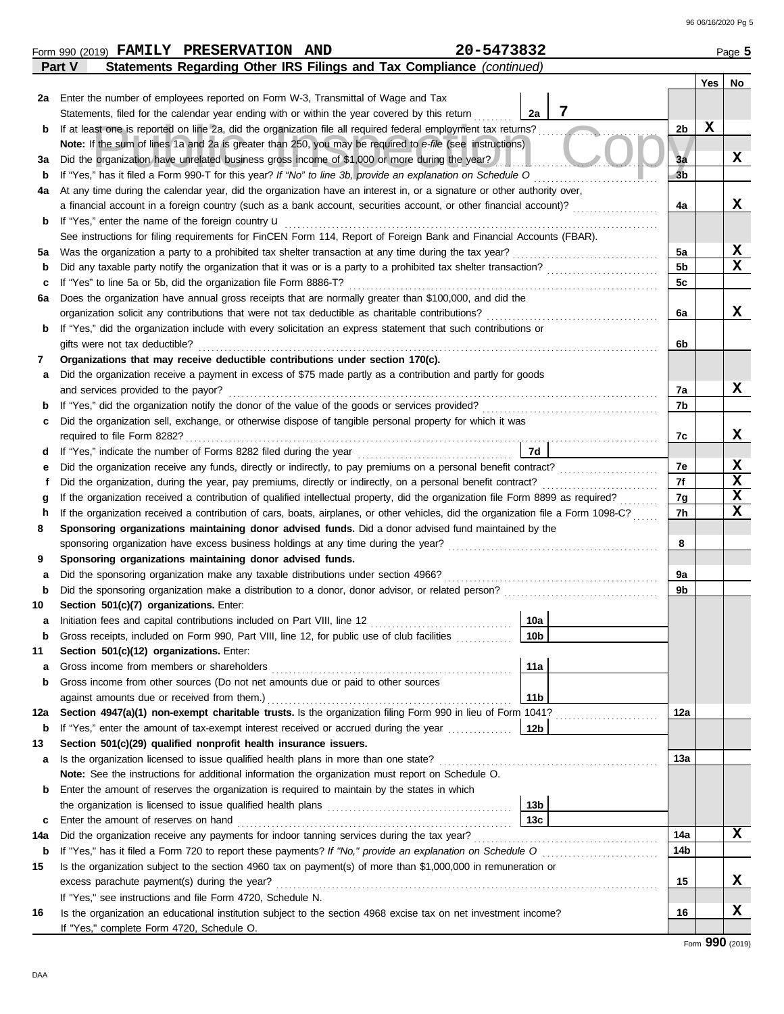|        | 20-5473832<br>Form 990 (2019) FAMILY PRESERVATION AND                                                                                                                                                                                                                       |                 |                |     | Page 5      |
|--------|-----------------------------------------------------------------------------------------------------------------------------------------------------------------------------------------------------------------------------------------------------------------------------|-----------------|----------------|-----|-------------|
|        | Statements Regarding Other IRS Filings and Tax Compliance (continued)<br>Part V                                                                                                                                                                                             |                 |                |     |             |
|        |                                                                                                                                                                                                                                                                             |                 |                | Yes | No          |
|        | 2a Enter the number of employees reported on Form W-3, Transmittal of Wage and Tax                                                                                                                                                                                          |                 |                |     |             |
|        | Statements, filed for the calendar year ending with or within the year covered by this return                                                                                                                                                                               | 7<br>2a         |                |     |             |
| b      | If at least one is reported on line 2a, did the organization file all required federal employment tax returns?                                                                                                                                                              |                 | 2b             | X   |             |
|        | Note: If the sum of lines 1a and 2a is greater than 250, you may be required to e-file (see instructions)                                                                                                                                                                   |                 |                |     |             |
| За     | Did the organization have unrelated business gross income of \$1,000 or more during the year?                                                                                                                                                                               |                 | 3a             |     | X           |
| b      | If "Yes," has it filed a Form 990-T for this year? If "No" to line 3b, provide an explanation on Schedule O                                                                                                                                                                 |                 | 3 <sub>b</sub> |     |             |
| 4a     | At any time during the calendar year, did the organization have an interest in, or a signature or other authority over,                                                                                                                                                     |                 |                |     |             |
|        | a financial account in a foreign country (such as a bank account, securities account, or other financial account)?                                                                                                                                                          |                 | 4a             |     | x           |
| b      | If "Yes," enter the name of the foreign country <b>u</b>                                                                                                                                                                                                                    |                 |                |     |             |
|        | See instructions for filing requirements for FinCEN Form 114, Report of Foreign Bank and Financial Accounts (FBAR).                                                                                                                                                         |                 |                |     |             |
| 5a     | Was the organization a party to a prohibited tax shelter transaction at any time during the tax year?                                                                                                                                                                       |                 | 5a             |     | X           |
| b      | Did any taxable party notify the organization that it was or is a party to a prohibited tax shelter transaction?                                                                                                                                                            |                 | 5b             |     | $\mathbf x$ |
| c      | If "Yes" to line 5a or 5b, did the organization file Form 8886-T?                                                                                                                                                                                                           |                 | 5c             |     |             |
| 6a     | Does the organization have annual gross receipts that are normally greater than \$100,000, and did the                                                                                                                                                                      |                 |                |     |             |
|        | organization solicit any contributions that were not tax deductible as charitable contributions?                                                                                                                                                                            |                 | 6a             |     | x           |
| b      | If "Yes," did the organization include with every solicitation an express statement that such contributions or                                                                                                                                                              |                 |                |     |             |
|        | gifts were not tax deductible?                                                                                                                                                                                                                                              |                 | 6b             |     |             |
| 7      | Organizations that may receive deductible contributions under section 170(c).                                                                                                                                                                                               |                 |                |     |             |
| а      | Did the organization receive a payment in excess of \$75 made partly as a contribution and partly for goods                                                                                                                                                                 |                 |                |     |             |
|        | and services provided to the payor?                                                                                                                                                                                                                                         |                 | 7а             |     | X           |
| b      | If "Yes," did the organization notify the donor of the value of the goods or services provided?<br>If "Yes," did the organization notify the donor of the value of the goods or services provided?                                                                          |                 | 7b             |     |             |
| c      | Did the organization sell, exchange, or otherwise dispose of tangible personal property for which it was                                                                                                                                                                    |                 |                |     | X           |
|        |                                                                                                                                                                                                                                                                             | 7d              | 7с             |     |             |
| d      | Did the organization receive any funds, directly or indirectly, to pay premiums on a personal benefit contract?                                                                                                                                                             |                 | 7e             |     | X           |
| е<br>f | Did the organization, during the year, pay premiums, directly or indirectly, on a personal benefit contract?                                                                                                                                                                |                 | 7f             |     | X           |
|        |                                                                                                                                                                                                                                                                             |                 |                |     | X           |
| h      | If the organization received a contribution of qualified intellectual property, did the organization file Form 8899 as required?<br>g<br>If the organization received a contribution of cars, boats, airplanes, or other vehicles, did the organization file a Form 1098-C? |                 |                |     | $\mathbf x$ |
| 8      | Sponsoring organizations maintaining donor advised funds. Did a donor advised fund maintained by the                                                                                                                                                                        |                 |                |     |             |
|        | sponsoring organization have excess business holdings at any time during the year?                                                                                                                                                                                          |                 |                |     |             |
| 9      | Sponsoring organizations maintaining donor advised funds.                                                                                                                                                                                                                   |                 | 8              |     |             |
| а      | Did the sponsoring organization make any taxable distributions under section 4966?                                                                                                                                                                                          |                 | 9а             |     |             |
| b      | Did the sponsoring organization make a distribution to a donor, donor advisor, or related person?                                                                                                                                                                           |                 | 9b             |     |             |
| 10     | Section 501(c)(7) organizations. Enter:                                                                                                                                                                                                                                     |                 |                |     |             |
|        | Initiation fees and capital contributions included on Part VIII, line 12 [11] [11] [12] [11] [11] [12] [11] [1                                                                                                                                                              | 10a             |                |     |             |
| b      | Gross receipts, included on Form 990, Part VIII, line 12, for public use of club facilities                                                                                                                                                                                 | 10 <sub>b</sub> |                |     |             |
| 11     | Section 501(c)(12) organizations. Enter:                                                                                                                                                                                                                                    |                 |                |     |             |
| а      | Gross income from members or shareholders                                                                                                                                                                                                                                   | 11a             |                |     |             |
| b      | Gross income from other sources (Do not net amounts due or paid to other sources                                                                                                                                                                                            |                 |                |     |             |
|        | against amounts due or received from them.)                                                                                                                                                                                                                                 | 11 <sub>b</sub> |                |     |             |
| 12a    | Section 4947(a)(1) non-exempt charitable trusts. Is the organization filing Form 990 in lieu of Form 1041?                                                                                                                                                                  |                 | 12a            |     |             |
| b      |                                                                                                                                                                                                                                                                             |                 |                |     |             |
| 13     | Section 501(c)(29) qualified nonprofit health insurance issuers.                                                                                                                                                                                                            |                 |                |     |             |
| а      | Is the organization licensed to issue qualified health plans in more than one state?                                                                                                                                                                                        |                 | 13a            |     |             |
|        | Note: See the instructions for additional information the organization must report on Schedule O.                                                                                                                                                                           |                 |                |     |             |
| b      | Enter the amount of reserves the organization is required to maintain by the states in which                                                                                                                                                                                |                 |                |     |             |
|        |                                                                                                                                                                                                                                                                             | 13b             |                |     |             |
| c      | Enter the amount of reserves on hand                                                                                                                                                                                                                                        | 13 <sub>c</sub> |                |     |             |
| 14a    | Did the organization receive any payments for indoor tanning services during the tax year?                                                                                                                                                                                  |                 | 14a            |     | X           |
| b      |                                                                                                                                                                                                                                                                             |                 | 14b            |     |             |
| 15     | Is the organization subject to the section 4960 tax on payment(s) of more than \$1,000,000 in remuneration or                                                                                                                                                               |                 |                |     |             |
|        | excess parachute payment(s) during the year?                                                                                                                                                                                                                                |                 | 15             |     | X           |
|        | If "Yes," see instructions and file Form 4720, Schedule N.                                                                                                                                                                                                                  |                 |                |     |             |
| 16     | Is the organization an educational institution subject to the section 4968 excise tax on net investment income?                                                                                                                                                             |                 | 16             |     | X           |
|        | If "Yes," complete Form 4720, Schedule O.                                                                                                                                                                                                                                   |                 |                |     |             |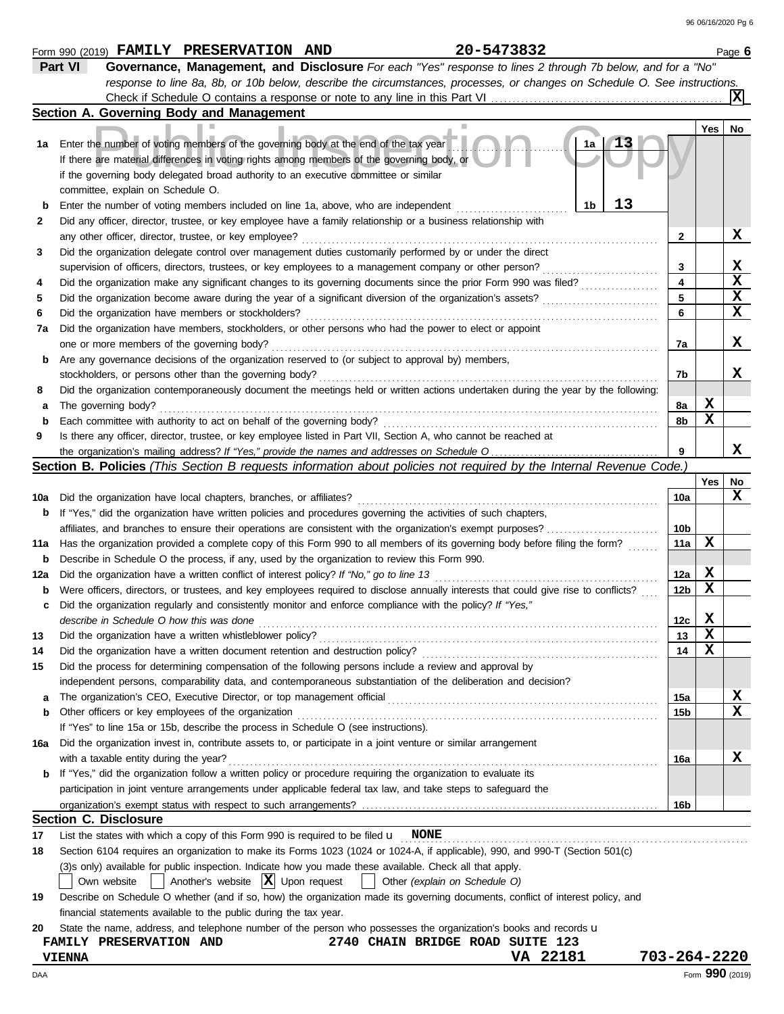|     | 20-5473832<br>Form 990 (2019) FAMILY PRESERVATION AND                                                                               |                 |       | Page 6          |
|-----|-------------------------------------------------------------------------------------------------------------------------------------|-----------------|-------|-----------------|
|     | Part VI<br>Governance, Management, and Disclosure For each "Yes" response to lines 2 through 7b below, and for a "No"               |                 |       |                 |
|     | response to line 8a, 8b, or 10b below, describe the circumstances, processes, or changes on Schedule O. See instructions.           |                 |       |                 |
|     |                                                                                                                                     |                 |       | IХI             |
|     | Section A. Governing Body and Management                                                                                            |                 |       |                 |
|     |                                                                                                                                     |                 | Yes   | No              |
| 1а  | 1a<br>Enter the number of voting members of the governing body at the end of the tax year                                           |                 |       |                 |
|     | If there are material differences in voting rights among members of the governing body, or                                          |                 |       |                 |
|     | if the governing body delegated broad authority to an executive committee or similar                                                |                 |       |                 |
|     | committee, explain on Schedule O.                                                                                                   |                 |       |                 |
| b   | 13<br>1b<br>Enter the number of voting members included on line 1a, above, who are independent                                      |                 |       |                 |
| 2   | Did any officer, director, trustee, or key employee have a family relationship or a business relationship with                      |                 |       |                 |
|     | any other officer, director, trustee, or key employee?                                                                              | $\mathbf{2}$    |       | X               |
| 3   | Did the organization delegate control over management duties customarily performed by or under the direct                           |                 |       |                 |
|     | supervision of officers, directors, trustees, or key employees to a management company or other person?                             | 3               |       | X               |
| 4   | Did the organization make any significant changes to its governing documents since the prior Form 990 was filed?                    | 4               |       | $\mathbf x$     |
| 5   | Did the organization become aware during the year of a significant diversion of the organization's assets?                          | 5               |       | $\mathbf x$     |
| 6   | Did the organization have members or stockholders?                                                                                  | 6               |       | $\mathbf x$     |
| 7a  | Did the organization have members, stockholders, or other persons who had the power to elect or appoint                             |                 |       |                 |
|     |                                                                                                                                     |                 |       | X               |
|     | one or more members of the governing body?                                                                                          | 7а              |       |                 |
| b   | Are any governance decisions of the organization reserved to (or subject to approval by) members,                                   |                 |       | x               |
|     | stockholders, or persons other than the governing body?                                                                             | 7b              |       |                 |
| 8   | Did the organization contemporaneously document the meetings held or written actions undertaken during the year by the following:   |                 |       |                 |
| а   | The governing body?                                                                                                                 | 8а              | X     |                 |
| b   | Each committee with authority to act on behalf of the governing body?                                                               | 8b              | X     |                 |
| 9   | Is there any officer, director, trustee, or key employee listed in Part VII, Section A, who cannot be reached at                    |                 |       |                 |
|     |                                                                                                                                     | 9               |       | x               |
|     | Section B. Policies (This Section B requests information about policies not required by the Internal Revenue Code.)                 |                 |       |                 |
|     |                                                                                                                                     |                 | Yes l | No              |
| 10a | Did the organization have local chapters, branches, or affiliates?                                                                  | 10a             |       | x               |
| b   | If "Yes," did the organization have written policies and procedures governing the activities of such chapters,                      |                 |       |                 |
|     |                                                                                                                                     | 10b             |       |                 |
| 11a | Has the organization provided a complete copy of this Form 990 to all members of its governing body before filing the form?         | 11a             | X     |                 |
| b   | Describe in Schedule O the process, if any, used by the organization to review this Form 990.                                       |                 |       |                 |
| 12a | Did the organization have a written conflict of interest policy? If "No," go to line 13                                             | 12a             | X     |                 |
| b   | Were officers, directors, or trustees, and key employees required to disclose annually interests that could give rise to conflicts? | 12 <sub>b</sub> | X     |                 |
| c   | Did the organization regularly and consistently monitor and enforce compliance with the policy? If "Yes,"                           |                 |       |                 |
|     | describe in Schedule O how this was done                                                                                            | 12 <sub>c</sub> | X     |                 |
| 13  | Did the organization have a written whistleblower policy?                                                                           | 13              | X     |                 |
| 14  | Did the organization have a written document retention and destruction policy?                                                      | 14              | х     |                 |
| 15  | Did the process for determining compensation of the following persons include a review and approval by                              |                 |       |                 |
|     | independent persons, comparability data, and contemporaneous substantiation of the deliberation and decision?                       |                 |       |                 |
| а   | The organization's CEO, Executive Director, or top management official                                                              | 15a             |       | X               |
| b   | Other officers or key employees of the organization                                                                                 | 15b             |       | $\mathbf x$     |
|     | If "Yes" to line 15a or 15b, describe the process in Schedule O (see instructions).                                                 |                 |       |                 |
| 16a | Did the organization invest in, contribute assets to, or participate in a joint venture or similar arrangement                      |                 |       |                 |
|     | with a taxable entity during the year?                                                                                              | 16a             |       | x               |
| b   | If "Yes," did the organization follow a written policy or procedure requiring the organization to evaluate its                      |                 |       |                 |
|     | participation in joint venture arrangements under applicable federal tax law, and take steps to safeguard the                       |                 |       |                 |
|     |                                                                                                                                     | 16b             |       |                 |
|     | <b>Section C. Disclosure</b>                                                                                                        |                 |       |                 |
| 17  | List the states with which a copy of this Form 990 is required to be filed $\mathbf{u}$ NONE                                        |                 |       |                 |
| 18  | Section 6104 requires an organization to make its Forms 1023 (1024 or 1024-A, if applicable), 990, and 990-T (Section 501(c)        |                 |       |                 |
|     | (3)s only) available for public inspection. Indicate how you made these available. Check all that apply.                            |                 |       |                 |
|     | Another's website $ \mathbf{X} $ Upon request<br>Own website<br>Other (explain on Schedule O)                                       |                 |       |                 |
| 19  | Describe on Schedule O whether (and if so, how) the organization made its governing documents, conflict of interest policy, and     |                 |       |                 |
|     | financial statements available to the public during the tax year.                                                                   |                 |       |                 |
| 20  | State the name, address, and telephone number of the person who possesses the organization's books and records u                    |                 |       |                 |
|     | 2740 CHAIN BRIDGE ROAD SUITE 123<br>FAMILY PRESERVATION AND                                                                         |                 |       |                 |
|     | VA 22181<br><b>VIENNA</b>                                                                                                           | 703-264-2220    |       |                 |
| DAA |                                                                                                                                     |                 |       | Form 990 (2019) |
|     |                                                                                                                                     |                 |       |                 |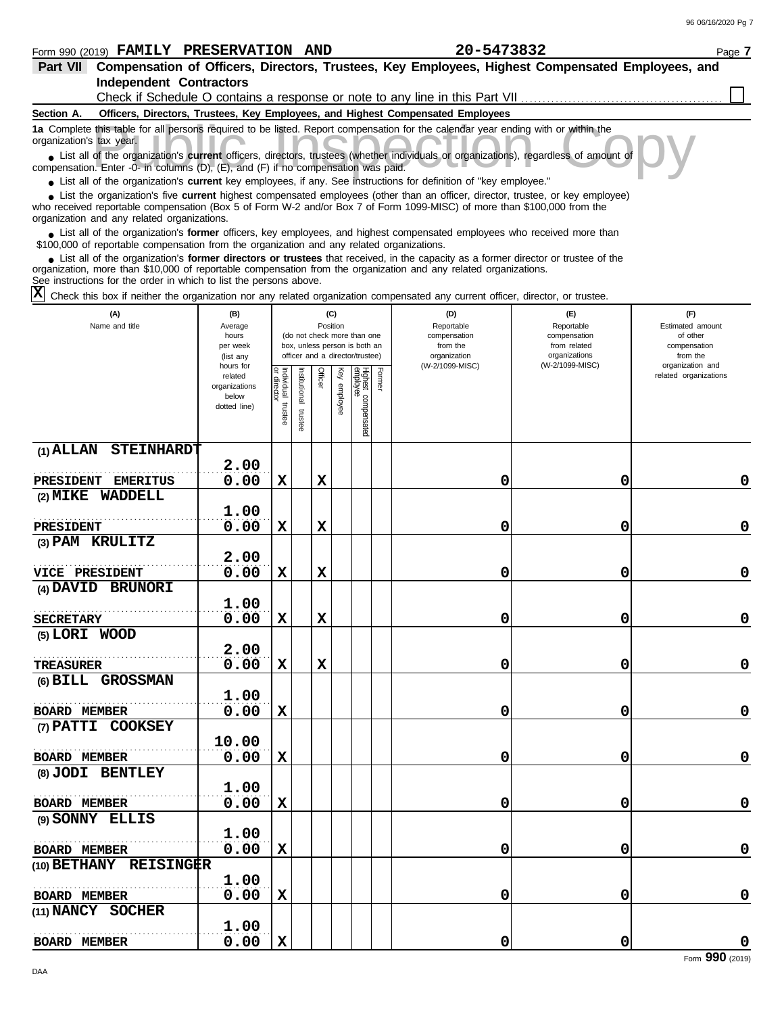### Form 990 (2019) Page **7 FAMILY PRESERVATION AND 20-5473832**

**Part VII** Compensation of Officers, Directors, Trustees, Key Employees, Highest Compensated Employees, and

| <b>Independent Contractors</b>                                                                                                                                                                                                                                                                                                                                                                                                                                                    |                                                                             |                                      |                         |                 |                 |                                                                    |        | Check if Schedule O contains a response or note to any line in this Part VII    |                                                   |                                                       |
|-----------------------------------------------------------------------------------------------------------------------------------------------------------------------------------------------------------------------------------------------------------------------------------------------------------------------------------------------------------------------------------------------------------------------------------------------------------------------------------|-----------------------------------------------------------------------------|--------------------------------------|-------------------------|-----------------|-----------------|--------------------------------------------------------------------|--------|---------------------------------------------------------------------------------|---------------------------------------------------|-------------------------------------------------------|
| Section A.                                                                                                                                                                                                                                                                                                                                                                                                                                                                        |                                                                             |                                      |                         |                 |                 |                                                                    |        | Officers, Directors, Trustees, Key Employees, and Highest Compensated Employees |                                                   |                                                       |
| 1a Complete this table for all persons required to be listed. Report compensation for the calendar year ending with or within the<br>organization's tax year.<br>• List all of the organization's current officers, directors, trustees (whether individuals or organizations), regardless of amount of                                                                                                                                                                           |                                                                             |                                      |                         |                 |                 |                                                                    |        |                                                                                 |                                                   |                                                       |
| compensation. Enter -0- in columns (D), (E), and (F) if no compensation was paid.<br>• List all of the organization's current key employees, if any. See instructions for definition of "key employee."                                                                                                                                                                                                                                                                           |                                                                             |                                      |                         |                 |                 |                                                                    |        |                                                                                 |                                                   |                                                       |
| List the organization's five current highest compensated employees (other than an officer, director, trustee, or key employee)<br>who received reportable compensation (Box 5 of Form W-2 and/or Box 7 of Form 1099-MISC) of more than \$100,000 from the<br>organization and any related organizations.                                                                                                                                                                          |                                                                             |                                      |                         |                 |                 |                                                                    |        |                                                                                 |                                                   |                                                       |
| • List all of the organization's former officers, key employees, and highest compensated employees who received more than<br>\$100,000 of reportable compensation from the organization and any related organizations.<br>• List all of the organization's former directors or trustees that received, in the capacity as a former director or trustee of the<br>organization, more than \$10,000 of reportable compensation from the organization and any related organizations. |                                                                             |                                      |                         |                 |                 |                                                                    |        |                                                                                 |                                                   |                                                       |
| See instructions for the order in which to list the persons above.<br>х<br>Check this box if neither the organization nor any related organization compensated any current officer, director, or trustee.                                                                                                                                                                                                                                                                         |                                                                             |                                      |                         |                 |                 |                                                                    |        |                                                                                 |                                                   |                                                       |
| (A)<br>Name and title                                                                                                                                                                                                                                                                                                                                                                                                                                                             | (B)<br>Average<br>hours<br>per week                                         |                                      |                         | (C)<br>Position |                 | (do not check more than one<br>box, unless person is both an       |        | (D)<br>Reportable<br>compensation<br>from the                                   | (F)<br>Reportable<br>compensation<br>from related | (F)<br>Estimated amount<br>of other<br>compensation   |
|                                                                                                                                                                                                                                                                                                                                                                                                                                                                                   | (list any<br>hours for<br>related<br>organizations<br>below<br>dotted line) | Individual<br>or director<br>trustee | nstitutional<br>trustee | Officer         | Ķēy<br>employee | officer and a director/trustee)<br>Highest compensated<br>employee | Former | organization<br>(W-2/1099-MISC)                                                 | organizations<br>(W-2/1099-MISC)                  | from the<br>organization and<br>related organizations |
| $(1)$ ALLAN<br><b>STEINHARDT</b>                                                                                                                                                                                                                                                                                                                                                                                                                                                  |                                                                             |                                      |                         |                 |                 |                                                                    |        |                                                                                 |                                                   |                                                       |
| <b>PRESIDENT</b><br><b>EMERITUS</b>                                                                                                                                                                                                                                                                                                                                                                                                                                               | 2.00<br>0.00                                                                | X                                    |                         | $\mathbf x$     |                 |                                                                    |        | 0                                                                               | 0                                                 | 0                                                     |
| WADDELL<br>$(2)$ MIKE                                                                                                                                                                                                                                                                                                                                                                                                                                                             | 1.00                                                                        |                                      |                         |                 |                 |                                                                    |        |                                                                                 |                                                   |                                                       |
| <b>PRESIDENT</b>                                                                                                                                                                                                                                                                                                                                                                                                                                                                  | 0.00                                                                        | X                                    |                         | X               |                 |                                                                    |        | 0                                                                               | 0                                                 | 0                                                     |
| (3) PAM KRULITZ                                                                                                                                                                                                                                                                                                                                                                                                                                                                   | 2.00                                                                        |                                      |                         |                 |                 |                                                                    |        |                                                                                 |                                                   |                                                       |
| <b>VICE PRESIDENT</b>                                                                                                                                                                                                                                                                                                                                                                                                                                                             | 0.00                                                                        | X                                    |                         | X               |                 |                                                                    |        | 0                                                                               | 0                                                 | 0                                                     |
| <b>BRUNORI</b><br>(4) DAVID                                                                                                                                                                                                                                                                                                                                                                                                                                                       | 1.00                                                                        |                                      |                         |                 |                 |                                                                    |        |                                                                                 |                                                   |                                                       |
| <b>SECRETARY</b>                                                                                                                                                                                                                                                                                                                                                                                                                                                                  | 0.00                                                                        | X                                    |                         | X               |                 |                                                                    |        | 0                                                                               | 0                                                 | 0                                                     |
| (5) LORI WOOD                                                                                                                                                                                                                                                                                                                                                                                                                                                                     | 2.00                                                                        |                                      |                         |                 |                 |                                                                    |        |                                                                                 |                                                   |                                                       |
| TREASURER<br>(6) BILL GROSSMAN                                                                                                                                                                                                                                                                                                                                                                                                                                                    | 0.00                                                                        | X                                    |                         | X               |                 |                                                                    |        | 0                                                                               | 0                                                 | $\mathbf 0$                                           |
| <b>BOARD MEMBER</b>                                                                                                                                                                                                                                                                                                                                                                                                                                                               | 1.00<br>0.00                                                                | X                                    |                         |                 |                 |                                                                    |        | 0                                                                               | 0                                                 | 0                                                     |
| (7) PATTI COOKSEY                                                                                                                                                                                                                                                                                                                                                                                                                                                                 |                                                                             |                                      |                         |                 |                 |                                                                    |        |                                                                                 |                                                   |                                                       |
| <b>BOARD MEMBER</b>                                                                                                                                                                                                                                                                                                                                                                                                                                                               | 10.00<br>0.00                                                               | $\mathbf{x}$                         |                         |                 |                 |                                                                    |        | 0                                                                               | 0                                                 | 0                                                     |
| (8) JODI BENTLEY                                                                                                                                                                                                                                                                                                                                                                                                                                                                  | 1.00                                                                        |                                      |                         |                 |                 |                                                                    |        |                                                                                 |                                                   |                                                       |
| <b>BOARD MEMBER</b>                                                                                                                                                                                                                                                                                                                                                                                                                                                               | 0.00                                                                        | $\mathbf x$                          |                         |                 |                 |                                                                    |        | 0                                                                               | 0                                                 | $\mathbf 0$                                           |
| (9) SONNY ELLIS                                                                                                                                                                                                                                                                                                                                                                                                                                                                   | 1.00                                                                        |                                      |                         |                 |                 |                                                                    |        |                                                                                 |                                                   |                                                       |
| <b>BOARD MEMBER</b>                                                                                                                                                                                                                                                                                                                                                                                                                                                               | 0.00                                                                        | $\mathbf{x}$                         |                         |                 |                 |                                                                    |        | 0                                                                               | 0                                                 | $\mathbf 0$                                           |
| (10) BETHANY REISINGER<br><b>BOARD MEMBER</b>                                                                                                                                                                                                                                                                                                                                                                                                                                     | 1.00<br>0.00                                                                | $\mathbf x$                          |                         |                 |                 |                                                                    |        | 0                                                                               | 0                                                 | 0                                                     |
| (11) NANCY SOCHER                                                                                                                                                                                                                                                                                                                                                                                                                                                                 | 1.00                                                                        |                                      |                         |                 |                 |                                                                    |        |                                                                                 |                                                   |                                                       |
| <b>BOARD MEMBER</b>                                                                                                                                                                                                                                                                                                                                                                                                                                                               | 0.00                                                                        | X                                    |                         |                 |                 |                                                                    |        | 0                                                                               | 0                                                 | 0<br>Form 990 (2019)                                  |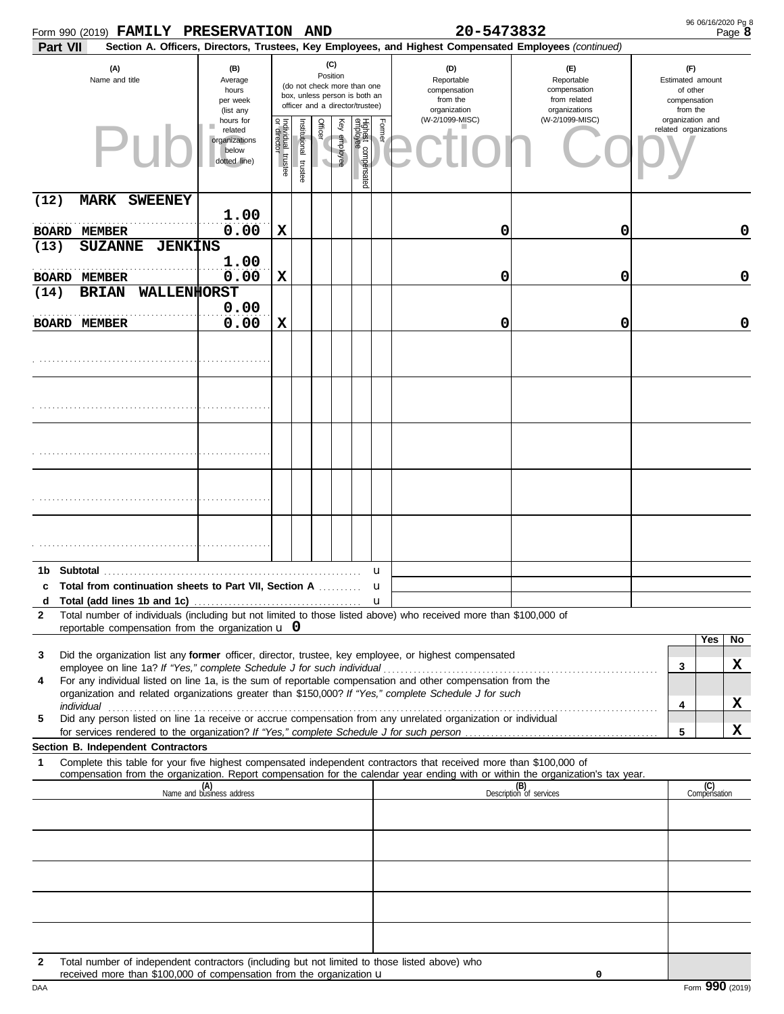| Form 990 (2019) FAMILY PRESERVATION AND                                                                                                                       |                                                                |                                      |                       |                 |              |                                                                                                 |                   | 20-5473832                                                                                             |                                                                    |                                                                 | 96 06/16/2020 Pg 8<br>Page 8 |
|---------------------------------------------------------------------------------------------------------------------------------------------------------------|----------------------------------------------------------------|--------------------------------------|-----------------------|-----------------|--------------|-------------------------------------------------------------------------------------------------|-------------------|--------------------------------------------------------------------------------------------------------|--------------------------------------------------------------------|-----------------------------------------------------------------|------------------------------|
| Part VII                                                                                                                                                      |                                                                |                                      |                       |                 |              |                                                                                                 |                   | Section A. Officers, Directors, Trustees, Key Employees, and Highest Compensated Employees (continued) |                                                                    |                                                                 |                              |
| (A)<br>Name and title                                                                                                                                         | (B)<br>Average<br>hours<br>per week<br>(list any               |                                      |                       | (C)<br>Position |              | (do not check more than one<br>box, unless person is both an<br>officer and a director/trustee) |                   | (D)<br>Reportable<br>compensation<br>from the<br>organization                                          | (E)<br>Reportable<br>compensation<br>from related<br>organizations | (F)<br>Estimated amount<br>of other<br>compensation<br>from the |                              |
|                                                                                                                                                               | hours for<br>related<br>organizations<br>below<br>dotted line) | Individual<br>or director<br>trustee | Institutional trustee | Officer<br>V    | Key employee | Highest compensated<br>employee                                                                 | Former            | (W-2/1099-MISC)                                                                                        | (W-2/1099-MISC)                                                    | organization and<br>related organizations                       |                              |
| (12)<br><b>MARK SWEENEY</b>                                                                                                                                   |                                                                |                                      |                       |                 |              |                                                                                                 |                   |                                                                                                        |                                                                    |                                                                 |                              |
| <b>BOARD MEMBER</b>                                                                                                                                           | 1.00<br>0.00                                                   | X                                    |                       |                 |              |                                                                                                 |                   | 0                                                                                                      | 0                                                                  |                                                                 | 0                            |
| (13)<br><b>SUZANNE</b><br><b>JENKINS</b>                                                                                                                      |                                                                |                                      |                       |                 |              |                                                                                                 |                   |                                                                                                        |                                                                    |                                                                 |                              |
|                                                                                                                                                               | 1.00                                                           |                                      |                       |                 |              |                                                                                                 |                   |                                                                                                        |                                                                    |                                                                 |                              |
| <b>BOARD MEMBER</b><br>WALLENHORST                                                                                                                            | 0.00                                                           | X                                    |                       |                 |              |                                                                                                 |                   | 0                                                                                                      | 0                                                                  |                                                                 | $\mathbf 0$                  |
| <b>BRIAN</b><br>(14)                                                                                                                                          | 0.00                                                           |                                      |                       |                 |              |                                                                                                 |                   |                                                                                                        |                                                                    |                                                                 |                              |
| <b>BOARD MEMBER</b>                                                                                                                                           | 0.00                                                           | X                                    |                       |                 |              |                                                                                                 |                   | 0                                                                                                      | 0                                                                  |                                                                 | 0                            |
|                                                                                                                                                               |                                                                |                                      |                       |                 |              |                                                                                                 |                   |                                                                                                        |                                                                    |                                                                 |                              |
|                                                                                                                                                               |                                                                |                                      |                       |                 |              |                                                                                                 |                   |                                                                                                        |                                                                    |                                                                 |                              |
|                                                                                                                                                               |                                                                |                                      |                       |                 |              |                                                                                                 |                   |                                                                                                        |                                                                    |                                                                 |                              |
|                                                                                                                                                               |                                                                |                                      |                       |                 |              |                                                                                                 |                   |                                                                                                        |                                                                    |                                                                 |                              |
|                                                                                                                                                               |                                                                |                                      |                       |                 |              |                                                                                                 |                   |                                                                                                        |                                                                    |                                                                 |                              |
| 1b                                                                                                                                                            |                                                                |                                      |                       |                 |              |                                                                                                 | u                 |                                                                                                        |                                                                    |                                                                 |                              |
| Total from continuation sheets to Part VII, Section A<br>c<br>d                                                                                               |                                                                |                                      |                       |                 |              |                                                                                                 | u<br>$\mathbf{u}$ |                                                                                                        |                                                                    |                                                                 |                              |
| Total number of individuals (including but not limited to those listed above) who received more than \$100,000 of<br>$\mathbf{2}$                             |                                                                |                                      |                       |                 |              |                                                                                                 |                   |                                                                                                        |                                                                    |                                                                 |                              |
| reportable compensation from the organization $\bf{u}$ 0                                                                                                      |                                                                |                                      |                       |                 |              |                                                                                                 |                   |                                                                                                        |                                                                    |                                                                 | Yes<br>No                    |
| Did the organization list any former officer, director, trustee, key employee, or highest compensated<br>3                                                    |                                                                |                                      |                       |                 |              |                                                                                                 |                   |                                                                                                        |                                                                    | 3                                                               | x                            |
| For any individual listed on line 1a, is the sum of reportable compensation and other compensation from the<br>4                                              |                                                                |                                      |                       |                 |              |                                                                                                 |                   |                                                                                                        |                                                                    |                                                                 |                              |
| organization and related organizations greater than \$150,000? If "Yes," complete Schedule J for such                                                         |                                                                |                                      |                       |                 |              |                                                                                                 |                   |                                                                                                        |                                                                    | 4                                                               | X                            |
| Did any person listed on line 1a receive or accrue compensation from any unrelated organization or individual<br>5                                            |                                                                |                                      |                       |                 |              |                                                                                                 |                   |                                                                                                        |                                                                    |                                                                 |                              |
|                                                                                                                                                               |                                                                |                                      |                       |                 |              |                                                                                                 |                   |                                                                                                        |                                                                    | 5                                                               | x                            |
| Section B. Independent Contractors<br>Complete this table for your five highest compensated independent contractors that received more than \$100,000 of<br>1 |                                                                |                                      |                       |                 |              |                                                                                                 |                   |                                                                                                        |                                                                    |                                                                 |                              |
| compensation from the organization. Report compensation for the calendar year ending with or within the organization's tax year.                              |                                                                |                                      |                       |                 |              |                                                                                                 |                   |                                                                                                        |                                                                    |                                                                 |                              |
|                                                                                                                                                               | (A)<br>Name and business address                               |                                      |                       |                 |              |                                                                                                 |                   |                                                                                                        | (B)<br>Description of services                                     |                                                                 | (C)<br>Compensation          |
|                                                                                                                                                               |                                                                |                                      |                       |                 |              |                                                                                                 |                   |                                                                                                        |                                                                    |                                                                 |                              |
|                                                                                                                                                               |                                                                |                                      |                       |                 |              |                                                                                                 |                   |                                                                                                        |                                                                    |                                                                 |                              |
|                                                                                                                                                               |                                                                |                                      |                       |                 |              |                                                                                                 |                   |                                                                                                        |                                                                    |                                                                 |                              |
|                                                                                                                                                               |                                                                |                                      |                       |                 |              |                                                                                                 |                   |                                                                                                        |                                                                    |                                                                 |                              |
|                                                                                                                                                               |                                                                |                                      |                       |                 |              |                                                                                                 |                   |                                                                                                        |                                                                    |                                                                 |                              |
| Total number of independent contractors (including but not limited to those listed above) who<br>$\mathbf{2}$                                                 |                                                                |                                      |                       |                 |              |                                                                                                 |                   |                                                                                                        |                                                                    |                                                                 |                              |
| received more than \$100,000 of compensation from the organization u                                                                                          |                                                                |                                      |                       |                 |              |                                                                                                 |                   |                                                                                                        | 0                                                                  |                                                                 |                              |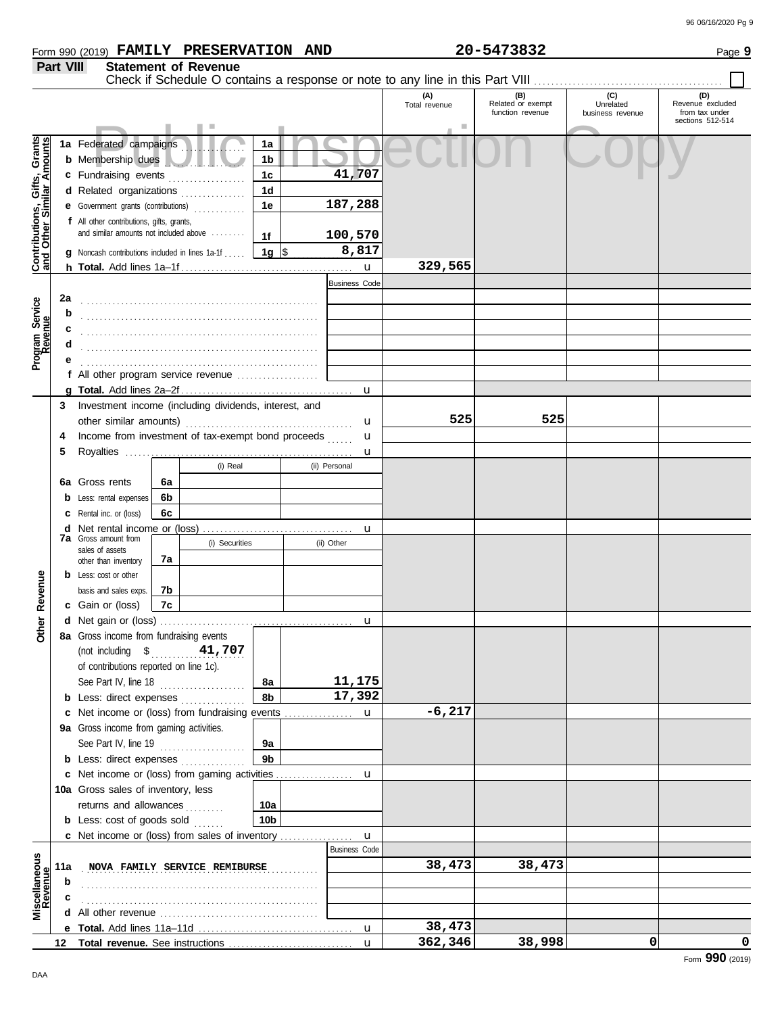|                  |                             | Form 990 (2019) FAMILY PRESERVATION A | <b>AND</b> | 20-5473832 | Page 9 |
|------------------|-----------------------------|---------------------------------------|------------|------------|--------|
| <b>Part VIII</b> | <b>Statement of Revenue</b> |                                       |            |            |        |

|                                                                  |     |                                                                                     |    |                               |                |                      | (A)<br>Total revenue | (B)<br>Related or exempt<br>function revenue | (C)<br>Unrelated<br>business revenue | (D)<br>Revenue excluded<br>from tax under<br>sections 512-514 |
|------------------------------------------------------------------|-----|-------------------------------------------------------------------------------------|----|-------------------------------|----------------|----------------------|----------------------|----------------------------------------------|--------------------------------------|---------------------------------------------------------------|
|                                                                  |     |                                                                                     |    |                               |                |                      |                      |                                              |                                      |                                                               |
|                                                                  |     | 1a Federated campaigns                                                              |    |                               | 1a             |                      |                      |                                              |                                      |                                                               |
|                                                                  |     | b Membership dues                                                                   |    |                               | 1b             |                      |                      |                                              |                                      |                                                               |
|                                                                  |     | c Fundraising events                                                                |    |                               | 1 <sub>c</sub> | 41,707               |                      |                                              |                                      |                                                               |
|                                                                  |     | d Related organizations                                                             |    |                               | 1 <sub>d</sub> |                      |                      |                                              |                                      |                                                               |
|                                                                  |     | e Government grants (contributions)                                                 |    |                               | 1e             | 187,288              |                      |                                              |                                      |                                                               |
|                                                                  |     | f All other contributions, gifts, grants,                                           |    |                               |                |                      |                      |                                              |                                      |                                                               |
|                                                                  |     | and similar amounts not included above                                              |    |                               | 1f             | 100,570              |                      |                                              |                                      |                                                               |
|                                                                  |     | <b>g</b> Noncash contributions included in lines 1a-1f                              |    |                               | 1g ∣\$         | 8,817                |                      |                                              |                                      |                                                               |
| <b>Contributions, Gifts, Grants</b><br>and Other Similar Amounts |     |                                                                                     |    |                               |                | $\mathbf u$          | 329,565              |                                              |                                      |                                                               |
|                                                                  |     |                                                                                     |    |                               |                | <b>Business Code</b> |                      |                                              |                                      |                                                               |
|                                                                  | 2a  |                                                                                     |    |                               |                |                      |                      |                                              |                                      |                                                               |
| Program Service<br>Revenue                                       | b   |                                                                                     |    |                               |                |                      |                      |                                              |                                      |                                                               |
|                                                                  | c   |                                                                                     |    |                               |                |                      |                      |                                              |                                      |                                                               |
|                                                                  | d   |                                                                                     |    |                               |                |                      |                      |                                              |                                      |                                                               |
|                                                                  |     |                                                                                     |    |                               |                |                      |                      |                                              |                                      |                                                               |
|                                                                  |     | f All other program service revenue $\ldots$ , $\ldots$ , $\ldots$                  |    |                               |                |                      |                      |                                              |                                      |                                                               |
|                                                                  |     |                                                                                     |    |                               |                | u                    |                      |                                              |                                      |                                                               |
|                                                                  | 3   | Investment income (including dividends, interest, and                               |    |                               |                |                      |                      |                                              |                                      |                                                               |
|                                                                  |     | other similar amounts)                                                              |    |                               |                | u                    | 525                  | 525                                          |                                      |                                                               |
|                                                                  | 4   | Income from investment of tax-exempt bond proceeds                                  |    |                               |                | u                    |                      |                                              |                                      |                                                               |
|                                                                  | 5   |                                                                                     |    |                               |                | u                    |                      |                                              |                                      |                                                               |
|                                                                  |     |                                                                                     |    | (i) Real                      |                | (ii) Personal        |                      |                                              |                                      |                                                               |
|                                                                  |     | 6a Gross rents                                                                      | 6a |                               |                |                      |                      |                                              |                                      |                                                               |
|                                                                  |     | Less: rental expenses                                                               | 6b |                               |                |                      |                      |                                              |                                      |                                                               |
|                                                                  |     | Rental inc. or (loss)                                                               | 6c |                               |                |                      |                      |                                              |                                      |                                                               |
|                                                                  | d   | Net rental income or (loss)                                                         |    |                               |                |                      |                      |                                              |                                      |                                                               |
|                                                                  |     | <b>7a</b> Gross amount from                                                         |    | (i) Securities                |                | u<br>(ii) Other      |                      |                                              |                                      |                                                               |
|                                                                  |     | sales of assets                                                                     | 7a |                               |                |                      |                      |                                              |                                      |                                                               |
|                                                                  |     | other than inventory<br><b>b</b> Less: cost or other                                |    |                               |                |                      |                      |                                              |                                      |                                                               |
| Revenue                                                          |     | basis and sales exps.                                                               | 7b |                               |                |                      |                      |                                              |                                      |                                                               |
|                                                                  |     | c Gain or (loss)                                                                    | 7c |                               |                |                      |                      |                                              |                                      |                                                               |
|                                                                  |     |                                                                                     |    |                               |                |                      |                      |                                              |                                      |                                                               |
| <b>Other</b>                                                     |     | 8a Gross income from fundraising events                                             |    |                               |                | u                    |                      |                                              |                                      |                                                               |
|                                                                  |     | (not including $$$ 41,707                                                           |    |                               |                |                      |                      |                                              |                                      |                                                               |
|                                                                  |     | of contributions reported on line 1c).                                              |    |                               |                |                      |                      |                                              |                                      |                                                               |
|                                                                  |     | See Part IV, line 18 $\ldots$                                                       |    |                               | 8а             | 11,175               |                      |                                              |                                      |                                                               |
|                                                                  |     | <b>b</b> Less: direct expenses                                                      |    |                               | 8b             | 17,392               |                      |                                              |                                      |                                                               |
|                                                                  |     | c Net income or (loss) from fundraising events                                      |    |                               |                |                      | $-6,217$             |                                              |                                      |                                                               |
|                                                                  |     | 9a Gross income from gaming activities.                                             |    |                               |                | u                    |                      |                                              |                                      |                                                               |
|                                                                  |     |                                                                                     |    |                               | 9а             |                      |                      |                                              |                                      |                                                               |
|                                                                  |     | <b>b</b> Less: direct expenses                                                      |    |                               | 9 <sub>b</sub> |                      |                      |                                              |                                      |                                                               |
|                                                                  |     | c Net income or (loss) from gaming activities                                       |    |                               |                |                      |                      |                                              |                                      |                                                               |
|                                                                  |     | 10a Gross sales of inventory, less                                                  |    |                               |                | u                    |                      |                                              |                                      |                                                               |
|                                                                  |     | returns and allowances                                                              |    |                               | 10a            |                      |                      |                                              |                                      |                                                               |
|                                                                  |     |                                                                                     |    |                               |                |                      |                      |                                              |                                      |                                                               |
|                                                                  |     | <b>b</b> Less: cost of goods sold<br>c Net income or (loss) from sales of inventory |    |                               | 10b            | $\mathbf{u}$         |                      |                                              |                                      |                                                               |
|                                                                  |     |                                                                                     |    |                               |                | <b>Business Code</b> |                      |                                              |                                      |                                                               |
|                                                                  | 11a |                                                                                     |    | NOVA FAMILY SERVICE REMIBURSE |                |                      | 38,473               | 38,473                                       |                                      |                                                               |
| Miscellaneous<br>Revenue                                         |     |                                                                                     |    |                               |                |                      |                      |                                              |                                      |                                                               |
|                                                                  | b   |                                                                                     |    |                               |                |                      |                      |                                              |                                      |                                                               |
|                                                                  |     |                                                                                     |    |                               |                |                      |                      |                                              |                                      |                                                               |
|                                                                  |     |                                                                                     |    |                               |                | u                    | 38,473               |                                              |                                      |                                                               |
|                                                                  |     |                                                                                     |    |                               |                | $\mathbf{u}$         | 362,346              | 38,998                                       | 0                                    | 0                                                             |
|                                                                  |     |                                                                                     |    |                               |                |                      |                      |                                              |                                      |                                                               |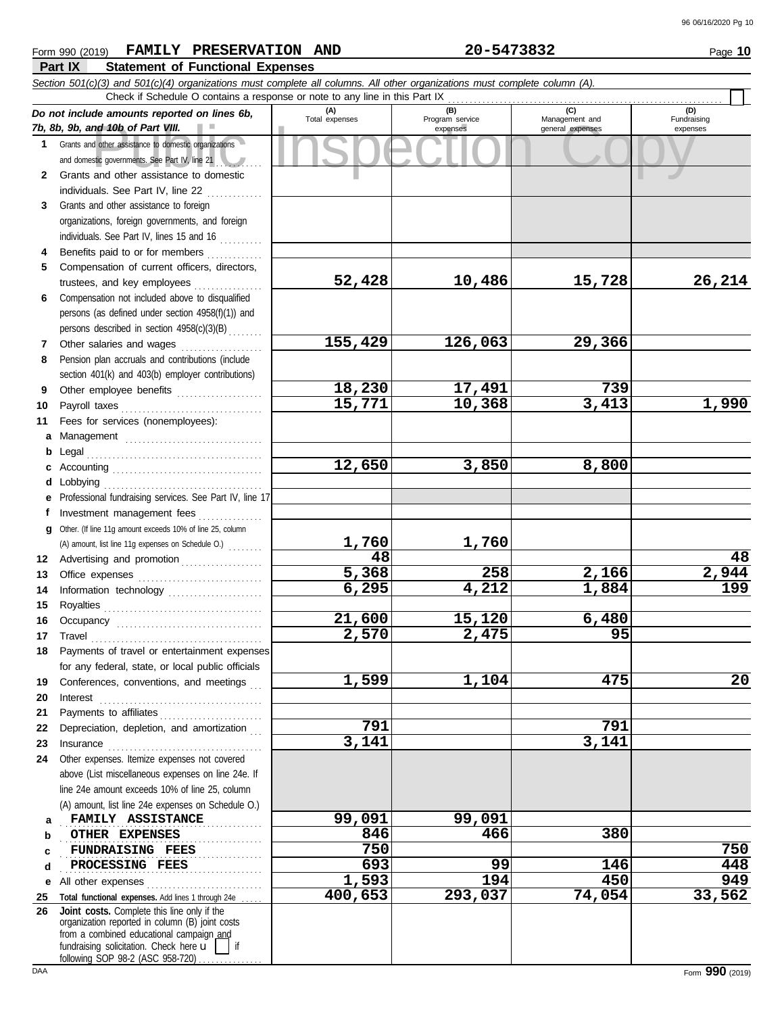## Form 990 (2019) Page **10 FAMILY PRESERVATION AND 20-5473832**

| ιv | . . |
|----|-----|
| __ | -   |
|    |     |
| ໍ້ |     |

|          | LOIIII 990 (YOTA)<br><b>L'UMILLE</b><br><b>LIVERALLY AT TOM</b><br>Part IX<br><b>Statement of Functional Expenses</b>      | <b>AUD</b>         |                             | - JII JUJ4                         | raye <b>IV</b>          |
|----------|----------------------------------------------------------------------------------------------------------------------------|--------------------|-----------------------------|------------------------------------|-------------------------|
|          | Section 501(c)(3) and 501(c)(4) organizations must complete all columns. All other organizations must complete column (A). |                    |                             |                                    |                         |
|          | Check if Schedule O contains a response or note to any line in this Part IX                                                |                    |                             |                                    |                         |
|          | Do not include amounts reported on lines 6b,                                                                               | (A)                | (B)                         | (C)                                | (D)                     |
|          | 7b, 8b, 9b, and 10b of Part VIII.                                                                                          | Total expenses     | Program service<br>expenses | Management and<br>general expenses | Fundraising<br>expenses |
|          | 1 Grants and other assistance to domestic organizations                                                                    |                    |                             |                                    |                         |
|          | and domestic governments. See Part IV, line 21                                                                             |                    |                             |                                    |                         |
|          | 2 Grants and other assistance to domestic                                                                                  |                    |                             |                                    |                         |
|          | individuals. See Part IV, line 22                                                                                          |                    |                             |                                    |                         |
| 3        | Grants and other assistance to foreign                                                                                     |                    |                             |                                    |                         |
|          | organizations, foreign governments, and foreign                                                                            |                    |                             |                                    |                         |
|          | individuals. See Part IV, lines 15 and 16                                                                                  |                    |                             |                                    |                         |
| 4        | Benefits paid to or for members                                                                                            |                    |                             |                                    |                         |
| 5        | Compensation of current officers, directors,                                                                               |                    |                             |                                    |                         |
|          | trustees, and key employees                                                                                                | 52,428             | 10,486                      | 15,728                             | 26,214                  |
| 6        | Compensation not included above to disqualified                                                                            |                    |                             |                                    |                         |
|          | persons (as defined under section 4958(f)(1)) and                                                                          |                    |                             |                                    |                         |
|          | persons described in section 4958(c)(3)(B)                                                                                 |                    |                             |                                    |                         |
| 7        | Other salaries and wages                                                                                                   | 155,429            | 126,063                     | 29,366                             |                         |
| 8        | Pension plan accruals and contributions (include                                                                           |                    |                             |                                    |                         |
|          | section 401(k) and 403(b) employer contributions)                                                                          |                    |                             | 739                                |                         |
| 9        | Other employee benefits                                                                                                    | 18,230<br>15,771   | 17,491<br>10,368            | 3,413                              | 1,990                   |
| 10       | Payroll taxes                                                                                                              |                    |                             |                                    |                         |
| 11       | Fees for services (nonemployees):                                                                                          |                    |                             |                                    |                         |
| a        | Management                                                                                                                 |                    |                             |                                    |                         |
| b        | Legal                                                                                                                      | 12,650             | 3,850                       | 8,800                              |                         |
| c        |                                                                                                                            |                    |                             |                                    |                         |
| d        | Lobbying                                                                                                                   |                    |                             |                                    |                         |
|          | Professional fundraising services. See Part IV, line 17                                                                    |                    |                             |                                    |                         |
|          | Investment management fees                                                                                                 |                    |                             |                                    |                         |
| g        | Other. (If line 11g amount exceeds 10% of line 25, column                                                                  | 1,760              | 1,760                       |                                    |                         |
|          | (A) amount, list line 11g expenses on Schedule O.)                                                                         | $\overline{48}$    |                             |                                    | 48                      |
| 12       | Advertising and promotion                                                                                                  | $\overline{5,368}$ | 258                         | 2,166                              | 2,944                   |
| 13<br>14 |                                                                                                                            | 6,295              | $\overline{4,212}$          | 1,884                              | $\overline{199}$        |
| 15       | Information technology<br>Royalties                                                                                        |                    |                             |                                    |                         |
| 16       | Occupancy                                                                                                                  | 21,600             | 15,120                      | 6,480                              |                         |
| 17       | Travel                                                                                                                     | 2,570              | 2,475                       | 95                                 |                         |
| 18       | Payments of travel or entertainment expenses                                                                               |                    |                             |                                    |                         |
|          | for any federal, state, or local public officials                                                                          |                    |                             |                                    |                         |
| 19       | Conferences, conventions, and meetings                                                                                     | 1,599              | 1,104                       | 475                                | 20                      |
| 20       | Interest                                                                                                                   |                    |                             |                                    |                         |
| 21       | Payments to affiliates                                                                                                     |                    |                             |                                    |                         |
| 22       | Depreciation, depletion, and amortization                                                                                  | 791                |                             | 791                                |                         |
| 23       | Insurance                                                                                                                  | 3,141              |                             | 3,141                              |                         |
| 24       | Other expenses. Itemize expenses not covered                                                                               |                    |                             |                                    |                         |
|          | above (List miscellaneous expenses on line 24e. If                                                                         |                    |                             |                                    |                         |
|          | line 24e amount exceeds 10% of line 25, column                                                                             |                    |                             |                                    |                         |
|          | (A) amount, list line 24e expenses on Schedule O.)                                                                         |                    |                             |                                    |                         |
| a        | FAMILY ASSISTANCE                                                                                                          | 99,091             | 99,091                      |                                    |                         |
| b        | OTHER EXPENSES                                                                                                             | 846                | 466                         | 380                                |                         |
| c        | <b>FUNDRAISING FEES</b>                                                                                                    | 750                |                             |                                    | 750                     |
| d        | PROCESSING FEES                                                                                                            | 693                | 99                          | 146                                | 448                     |
| е        | All other expenses                                                                                                         | 1,593              | 194                         | 450                                | 949                     |
| 25       | Total functional expenses. Add lines 1 through 24e                                                                         | 400,653            | 293,037                     | 74,054                             | 33,562                  |
| 26       | Joint costs. Complete this line only if the                                                                                |                    |                             |                                    |                         |
|          | organization reported in column (B) joint costs<br>from a combined educational campaign and                                |                    |                             |                                    |                         |
|          | fundraising solicitation. Check here u                                                                                     |                    |                             |                                    |                         |

following SOP 98-2 (ASC 958-720) . . . . . . . . . . . . .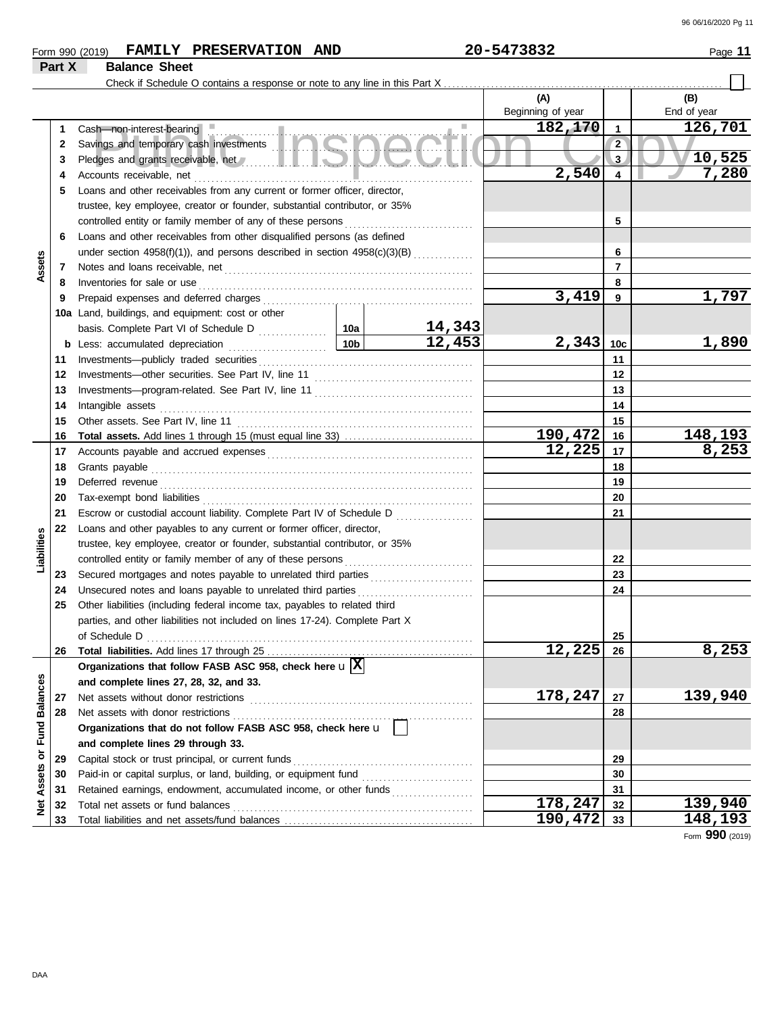|  | Form<br>(2019)<br>990 | <b>FAMILY</b> | <b>PRESERVATION</b> | <b>AND</b> | 5473832<br>20 | Page |
|--|-----------------------|---------------|---------------------|------------|---------------|------|
|--|-----------------------|---------------|---------------------|------------|---------------|------|

## **Part X Balance Sheet**

Check if Schedule O contains a response or note to any line in this Part X . . . . . . . . . . . . . . . . . . . . . . . . . . . . . . . . . . . . . . . . . . . . . . . . . . . . . . . . . . . . . . . . .

|                         |    |                                                                                                                                                                                                                                      |                 |                         | (A)                    |                         | (B)             |
|-------------------------|----|--------------------------------------------------------------------------------------------------------------------------------------------------------------------------------------------------------------------------------------|-----------------|-------------------------|------------------------|-------------------------|-----------------|
|                         |    |                                                                                                                                                                                                                                      |                 |                         | Beginning of year      |                         | End of year     |
|                         | 1  | Cash-non-interest-bearing                                                                                                                                                                                                            |                 |                         | 182,170                | $\overline{\mathbf{1}}$ | 126,701         |
|                         | 2  | Savings and temporary cash investments <b>the same of the same of the same of the same of the same of the same of the same of the same of the same of the same of the same of the same of the same of the same of the same of th</b> |                 |                         |                        | $\overline{2}$          |                 |
|                         | 3  | Pledges and grants receivable, net <b>All and School and School and School and School and School and School and School and School and School and School and School and School and School and School and School and School and Sc</b> |                 |                         |                        | 3                       | 10,525          |
|                         | 4  | Accounts receivable, net                                                                                                                                                                                                             |                 |                         | 2,540                  | $\overline{\mathbf{4}}$ | 7,280           |
|                         | 5  | Loans and other receivables from any current or former officer, director,                                                                                                                                                            |                 |                         |                        |                         |                 |
|                         |    | trustee, key employee, creator or founder, substantial contributor, or 35%                                                                                                                                                           |                 |                         |                        |                         |                 |
|                         |    | controlled entity or family member of any of these persons                                                                                                                                                                           |                 |                         |                        | 5                       |                 |
|                         | 6  | Loans and other receivables from other disqualified persons (as defined                                                                                                                                                              |                 |                         |                        |                         |                 |
|                         |    | under section 4958(f)(1)), and persons described in section 4958(c)(3)(B)                                                                                                                                                            |                 |                         |                        | 6                       |                 |
| Assets                  | 7  |                                                                                                                                                                                                                                      |                 |                         |                        | $\overline{7}$          |                 |
|                         | 8  | Inventories for sale or use                                                                                                                                                                                                          |                 |                         |                        | 8                       |                 |
|                         | 9  |                                                                                                                                                                                                                                      |                 |                         | 3,419                  | 9                       | 1,797           |
|                         |    | 10a Land, buildings, and equipment: cost or other                                                                                                                                                                                    |                 |                         |                        |                         |                 |
|                         |    |                                                                                                                                                                                                                                      |                 | $\frac{14,343}{12,453}$ |                        |                         |                 |
|                         |    | <b>b</b> Less: accumulated depreciation<br>.                                                                                                                                                                                         | 10 <sub>b</sub> |                         | 2,343                  | 10 <sub>c</sub>         | 1,890           |
|                         | 11 | Investments-publicly traded securities                                                                                                                                                                                               |                 |                         |                        | 11                      |                 |
|                         | 12 |                                                                                                                                                                                                                                      |                 |                         |                        | 12                      |                 |
|                         | 13 |                                                                                                                                                                                                                                      |                 |                         |                        | 13                      |                 |
|                         | 14 | Intangible assets                                                                                                                                                                                                                    |                 |                         |                        | 14                      |                 |
|                         | 15 | Other assets. See Part IV, line 11                                                                                                                                                                                                   |                 |                         |                        | 15                      |                 |
|                         | 16 |                                                                                                                                                                                                                                      |                 |                         | 190,472                | 16                      | 148,193         |
|                         | 17 |                                                                                                                                                                                                                                      |                 |                         | $\overline{12,225}$ 17 |                         | 8,253           |
|                         | 18 | Grants payable                                                                                                                                                                                                                       |                 |                         |                        | 18                      |                 |
|                         | 19 | Deferred revenue entrancements and the contract of the contract of the contract of the contract of the contract of the contract of the contract of the contract of the contract of the contract of the contract of the contrac       |                 | 19                      |                        |                         |                 |
|                         | 20 | Tax-exempt bond liabilities                                                                                                                                                                                                          |                 |                         | 20                     |                         |                 |
|                         | 21 | Escrow or custodial account liability. Complete Part IV of Schedule D                                                                                                                                                                |                 |                         |                        | 21                      |                 |
|                         | 22 | Loans and other payables to any current or former officer, director,                                                                                                                                                                 |                 |                         |                        |                         |                 |
| Liabilities             |    | trustee, key employee, creator or founder, substantial contributor, or 35%                                                                                                                                                           |                 |                         |                        |                         |                 |
|                         |    | controlled entity or family member of any of these persons                                                                                                                                                                           |                 |                         |                        | 22                      |                 |
|                         | 23 | Secured mortgages and notes payable to unrelated third parties [111] Secured mortgages and notes payable to unrelated third parties                                                                                                  |                 |                         |                        | 23                      |                 |
|                         | 24 | Unsecured notes and loans payable to unrelated third parties                                                                                                                                                                         |                 |                         |                        | 24                      |                 |
|                         | 25 | Other liabilities (including federal income tax, payables to related third                                                                                                                                                           |                 |                         |                        |                         |                 |
|                         |    | parties, and other liabilities not included on lines 17-24). Complete Part X                                                                                                                                                         |                 |                         |                        |                         |                 |
|                         |    | of Schedule D                                                                                                                                                                                                                        |                 |                         |                        | 25                      |                 |
|                         | 26 |                                                                                                                                                                                                                                      |                 |                         | 12,225                 | 26                      | 8,253           |
|                         |    | Organizations that follow FASB ASC 958, check here $\mathbf{u}$ $\overline{\mathbf{X}}$                                                                                                                                              |                 |                         |                        |                         |                 |
|                         |    | and complete lines 27, 28, 32, and 33.                                                                                                                                                                                               |                 |                         |                        |                         |                 |
|                         | 27 | Net assets without donor restrictions                                                                                                                                                                                                |                 |                         | 178,247                | 27                      | 139,940         |
|                         | 28 | Net assets with donor restrictions                                                                                                                                                                                                   |                 |                         |                        | 28                      |                 |
|                         |    | Organizations that do not follow FASB ASC 958, check here u                                                                                                                                                                          |                 |                         |                        |                         |                 |
|                         |    | and complete lines 29 through 33.                                                                                                                                                                                                    |                 |                         |                        |                         |                 |
|                         | 29 | Capital stock or trust principal, or current funds                                                                                                                                                                                   |                 |                         |                        | 29                      |                 |
| Assets or Fund Balances | 30 | Paid-in or capital surplus, or land, building, or equipment fund                                                                                                                                                                     |                 |                         |                        | 30                      |                 |
|                         | 31 | Retained earnings, endowment, accumulated income, or other funds                                                                                                                                                                     |                 |                         |                        | 31                      |                 |
| <b>Met</b>              | 32 | Total net assets or fund balances                                                                                                                                                                                                    |                 |                         | 178,247                | 32                      | 139,940         |
|                         | 33 |                                                                                                                                                                                                                                      |                 |                         | 190,472                | 33                      | 148,193         |
|                         |    |                                                                                                                                                                                                                                      |                 |                         |                        |                         | Form 990 (2019) |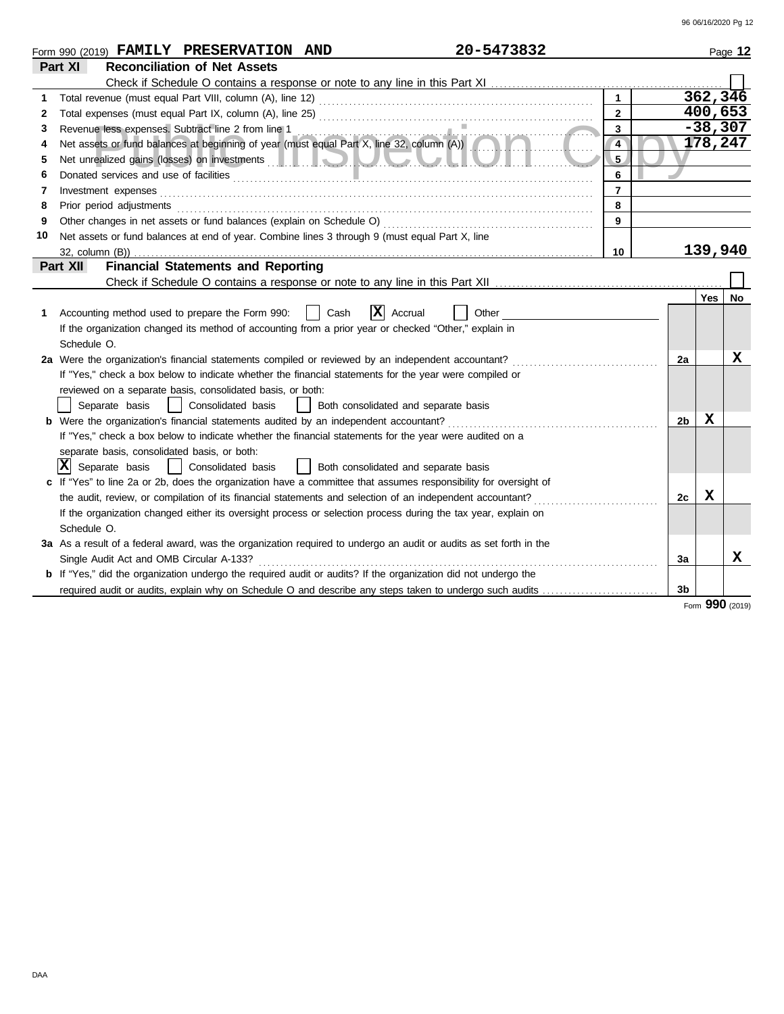|    | 20-5473832<br>Form 990 (2019) FAMILY PRESERVATION AND                                                                                                                                                                                |                |                |            | Page 12   |
|----|--------------------------------------------------------------------------------------------------------------------------------------------------------------------------------------------------------------------------------------|----------------|----------------|------------|-----------|
|    | <b>Reconciliation of Net Assets</b><br>Part XI                                                                                                                                                                                       |                |                |            |           |
|    |                                                                                                                                                                                                                                      |                |                |            |           |
| 1  |                                                                                                                                                                                                                                      |                |                |            | 362, 346  |
| 2  |                                                                                                                                                                                                                                      | $\overline{2}$ |                | 400,653    |           |
| 3  | Revenue less expenses. Subtract line 2 from line 1<br>Net assets or fund balances at beginning of year (must equal Part X, line 32, column (A))                                                                                      | 3              |                | $-38,307$  |           |
| 4  |                                                                                                                                                                                                                                      | $\overline{4}$ |                |            | 178,247   |
| 5  | Net unrealized gains (losses) on investments <b>and the contract of the contract of the contract of the contract of the contract of the contract of the contract of the contract of the contract of the contract of the contract</b> | 5              |                |            |           |
| 6  |                                                                                                                                                                                                                                      | 6              |                |            |           |
| 7  | Investment expenses                                                                                                                                                                                                                  | $\overline{7}$ |                |            |           |
| 8  | Prior period adjustments entertainments and adjustments and account of the contract of the contract of the contract of the contract of the contract of the contract of the contract of the contract of the contract of the con       | 8              |                |            |           |
| 9  |                                                                                                                                                                                                                                      | 9              |                |            |           |
| 10 | Net assets or fund balances at end of year. Combine lines 3 through 9 (must equal Part X, line                                                                                                                                       |                |                |            |           |
|    |                                                                                                                                                                                                                                      | 10             |                | 139,940    |           |
|    | <b>Financial Statements and Reporting</b><br>Part XII                                                                                                                                                                                |                |                |            |           |
|    |                                                                                                                                                                                                                                      |                |                |            |           |
|    |                                                                                                                                                                                                                                      |                |                | <b>Yes</b> | <b>No</b> |
| 1. | x <br>Accounting method used to prepare the Form 990:<br>Cash<br>Accrual<br>Other                                                                                                                                                    |                |                |            |           |
|    | If the organization changed its method of accounting from a prior year or checked "Other," explain in                                                                                                                                |                |                |            |           |
|    | Schedule O.                                                                                                                                                                                                                          |                |                |            |           |
|    | 2a Were the organization's financial statements compiled or reviewed by an independent accountant?                                                                                                                                   |                | 2a             |            | x         |
|    | If "Yes," check a box below to indicate whether the financial statements for the year were compiled or                                                                                                                               |                |                |            |           |
|    | reviewed on a separate basis, consolidated basis, or both:                                                                                                                                                                           |                |                |            |           |
|    | Separate basis<br>  Consolidated basis<br>  Both consolidated and separate basis                                                                                                                                                     |                |                |            |           |
|    | <b>b</b> Were the organization's financial statements audited by an independent accountant?                                                                                                                                          |                | 2 <sub>b</sub> | X          |           |
|    | If "Yes," check a box below to indicate whether the financial statements for the year were audited on a                                                                                                                              |                |                |            |           |
|    | separate basis, consolidated basis, or both:                                                                                                                                                                                         |                |                |            |           |
|    | $ \mathbf{X} $ Separate basis<br>  Consolidated basis<br>  Both consolidated and separate basis                                                                                                                                      |                |                |            |           |
|    | c If "Yes" to line 2a or 2b, does the organization have a committee that assumes responsibility for oversight of                                                                                                                     |                |                |            |           |
|    | the audit, review, or compilation of its financial statements and selection of an independent accountant?                                                                                                                            |                | 2c             | x          |           |
|    | If the organization changed either its oversight process or selection process during the tax year, explain on                                                                                                                        |                |                |            |           |
|    | Schedule O.                                                                                                                                                                                                                          |                |                |            |           |
|    | 3a As a result of a federal award, was the organization required to undergo an audit or audits as set forth in the                                                                                                                   |                |                |            |           |
|    | Single Audit Act and OMB Circular A-133?                                                                                                                                                                                             |                | Зa             |            | x         |
|    | <b>b</b> If "Yes," did the organization undergo the required audit or audits? If the organization did not undergo the                                                                                                                |                |                |            |           |
|    | required audit or audits, explain why on Schedule O and describe any steps taken to undergo such audits                                                                                                                              |                | 3 <sub>b</sub> |            |           |

Form **990** (2019)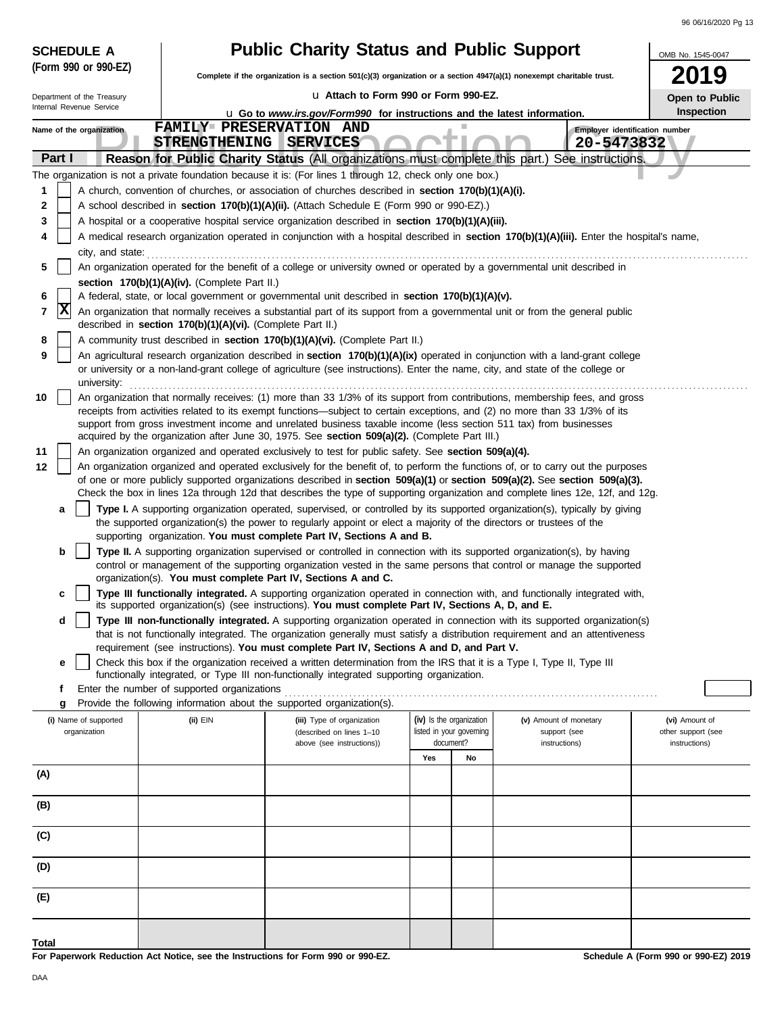| <b>SCHEDULE A</b>                     |                                                            | <b>Public Charity Status and Public Support</b>                                                                                                                                                                                                                 |                                                                   |    |                                                         | OMB No. 1545-0047                                     |
|---------------------------------------|------------------------------------------------------------|-----------------------------------------------------------------------------------------------------------------------------------------------------------------------------------------------------------------------------------------------------------------|-------------------------------------------------------------------|----|---------------------------------------------------------|-------------------------------------------------------|
| (Form 990 or 990-EZ)                  |                                                            | Complete if the organization is a section 501(c)(3) organization or a section 4947(a)(1) nonexempt charitable trust.                                                                                                                                            |                                                                   |    |                                                         | 019                                                   |
| Department of the Treasury            |                                                            | La Attach to Form 990 or Form 990-EZ.                                                                                                                                                                                                                           |                                                                   |    |                                                         | Open to Public                                        |
| Internal Revenue Service              |                                                            | <b>u</b> Go to www.irs.gov/Form990 for instructions and the latest information.                                                                                                                                                                                 |                                                                   |    |                                                         | Inspection                                            |
| Name of the organization              | FAMILY PRESERVATION AND<br>STRENGTHENING SERVICES          |                                                                                                                                                                                                                                                                 |                                                                   |    | Employer identification number<br>20-5473832            |                                                       |
| Part I                                |                                                            | Reason for Public Charity Status (All organizations must complete this part.) See instructions.                                                                                                                                                                 |                                                                   |    |                                                         |                                                       |
|                                       |                                                            | The organization is not a private foundation because it is: (For lines 1 through 12, check only one box.)                                                                                                                                                       |                                                                   |    |                                                         |                                                       |
| 1                                     |                                                            | A church, convention of churches, or association of churches described in section 170(b)(1)(A)(i).                                                                                                                                                              |                                                                   |    |                                                         |                                                       |
| 2                                     |                                                            | A school described in section 170(b)(1)(A)(ii). (Attach Schedule E (Form 990 or 990-EZ).)                                                                                                                                                                       |                                                                   |    |                                                         |                                                       |
| 3<br>4                                |                                                            | A hospital or a cooperative hospital service organization described in section 170(b)(1)(A)(iii).<br>A medical research organization operated in conjunction with a hospital described in section 170(b)(1)(A)(iii). Enter the hospital's name,                 |                                                                   |    |                                                         |                                                       |
| city, and state:                      |                                                            |                                                                                                                                                                                                                                                                 |                                                                   |    |                                                         |                                                       |
| 5                                     |                                                            | An organization operated for the benefit of a college or university owned or operated by a governmental unit described in                                                                                                                                       |                                                                   |    |                                                         |                                                       |
|                                       | section 170(b)(1)(A)(iv). (Complete Part II.)              |                                                                                                                                                                                                                                                                 |                                                                   |    |                                                         |                                                       |
| 6<br>$ {\bf x} $<br>$\overline{7}$    |                                                            | A federal, state, or local government or governmental unit described in section 170(b)(1)(A)(v).<br>An organization that normally receives a substantial part of its support from a governmental unit or from the general public                                |                                                                   |    |                                                         |                                                       |
|                                       | described in section 170(b)(1)(A)(vi). (Complete Part II.) |                                                                                                                                                                                                                                                                 |                                                                   |    |                                                         |                                                       |
| 8                                     |                                                            | A community trust described in section 170(b)(1)(A)(vi). (Complete Part II.)                                                                                                                                                                                    |                                                                   |    |                                                         |                                                       |
| 9<br>university:                      |                                                            | An agricultural research organization described in section 170(b)(1)(A)(ix) operated in conjunction with a land-grant college<br>or university or a non-land-grant college of agriculture (see instructions). Enter the name, city, and state of the college or |                                                                   |    |                                                         |                                                       |
| 10                                    |                                                            | An organization that normally receives: (1) more than 33 1/3% of its support from contributions, membership fees, and gross                                                                                                                                     |                                                                   |    |                                                         |                                                       |
|                                       |                                                            | receipts from activities related to its exempt functions—subject to certain exceptions, and (2) no more than 33 1/3% of its<br>support from gross investment income and unrelated business taxable income (less section 511 tax) from businesses                |                                                                   |    |                                                         |                                                       |
| 11                                    |                                                            | acquired by the organization after June 30, 1975. See section 509(a)(2). (Complete Part III.)<br>An organization organized and operated exclusively to test for public safety. See section 509(a)(4).                                                           |                                                                   |    |                                                         |                                                       |
| 12                                    |                                                            | An organization organized and operated exclusively for the benefit of, to perform the functions of, or to carry out the purposes                                                                                                                                |                                                                   |    |                                                         |                                                       |
|                                       |                                                            | of one or more publicly supported organizations described in section 509(a)(1) or section 509(a)(2). See section 509(a)(3).<br>Check the box in lines 12a through 12d that describes the type of supporting organization and complete lines 12e, 12f, and 12g.  |                                                                   |    |                                                         |                                                       |
| a                                     |                                                            | Type I. A supporting organization operated, supervised, or controlled by its supported organization(s), typically by giving                                                                                                                                     |                                                                   |    |                                                         |                                                       |
|                                       |                                                            | the supported organization(s) the power to regularly appoint or elect a majority of the directors or trustees of the<br>supporting organization. You must complete Part IV, Sections A and B.                                                                   |                                                                   |    |                                                         |                                                       |
| b                                     |                                                            | Type II. A supporting organization supervised or controlled in connection with its supported organization(s), by having                                                                                                                                         |                                                                   |    |                                                         |                                                       |
|                                       |                                                            | control or management of the supporting organization vested in the same persons that control or manage the supported<br>organization(s). You must complete Part IV, Sections A and C.                                                                           |                                                                   |    |                                                         |                                                       |
| c                                     |                                                            | Type III functionally integrated. A supporting organization operated in connection with, and functionally integrated with,                                                                                                                                      |                                                                   |    |                                                         |                                                       |
| d                                     |                                                            | its supported organization(s) (see instructions). You must complete Part IV, Sections A, D, and E.<br>Type III non-functionally integrated. A supporting organization operated in connection with its supported organization(s)                                 |                                                                   |    |                                                         |                                                       |
|                                       |                                                            | that is not functionally integrated. The organization generally must satisfy a distribution requirement and an attentiveness                                                                                                                                    |                                                                   |    |                                                         |                                                       |
|                                       |                                                            | requirement (see instructions). You must complete Part IV, Sections A and D, and Part V.                                                                                                                                                                        |                                                                   |    |                                                         |                                                       |
| е                                     |                                                            | Check this box if the organization received a written determination from the IRS that it is a Type I, Type II, Type III<br>functionally integrated, or Type III non-functionally integrated supporting organization.                                            |                                                                   |    |                                                         |                                                       |
| f                                     | Enter the number of supported organizations                |                                                                                                                                                                                                                                                                 |                                                                   |    |                                                         |                                                       |
| g                                     |                                                            | Provide the following information about the supported organization(s).                                                                                                                                                                                          |                                                                   |    |                                                         |                                                       |
| (i) Name of supported<br>organization | (ii) EIN                                                   | (iii) Type of organization<br>(described on lines 1-10<br>above (see instructions))                                                                                                                                                                             | (iv) Is the organization<br>listed in your governing<br>document? |    | (v) Amount of monetary<br>support (see<br>instructions) | (vi) Amount of<br>other support (see<br>instructions) |
|                                       |                                                            |                                                                                                                                                                                                                                                                 | Yes                                                               | No |                                                         |                                                       |
| (A)                                   |                                                            |                                                                                                                                                                                                                                                                 |                                                                   |    |                                                         |                                                       |
| (B)                                   |                                                            |                                                                                                                                                                                                                                                                 |                                                                   |    |                                                         |                                                       |
| (C)                                   |                                                            |                                                                                                                                                                                                                                                                 |                                                                   |    |                                                         |                                                       |
| (D)                                   |                                                            |                                                                                                                                                                                                                                                                 |                                                                   |    |                                                         |                                                       |
| (E)                                   |                                                            |                                                                                                                                                                                                                                                                 |                                                                   |    |                                                         |                                                       |
| <b>Total</b>                          |                                                            |                                                                                                                                                                                                                                                                 |                                                                   |    |                                                         |                                                       |

**For Paperwork Reduction Act Notice, see the Instructions for Form 990 or 990-EZ.**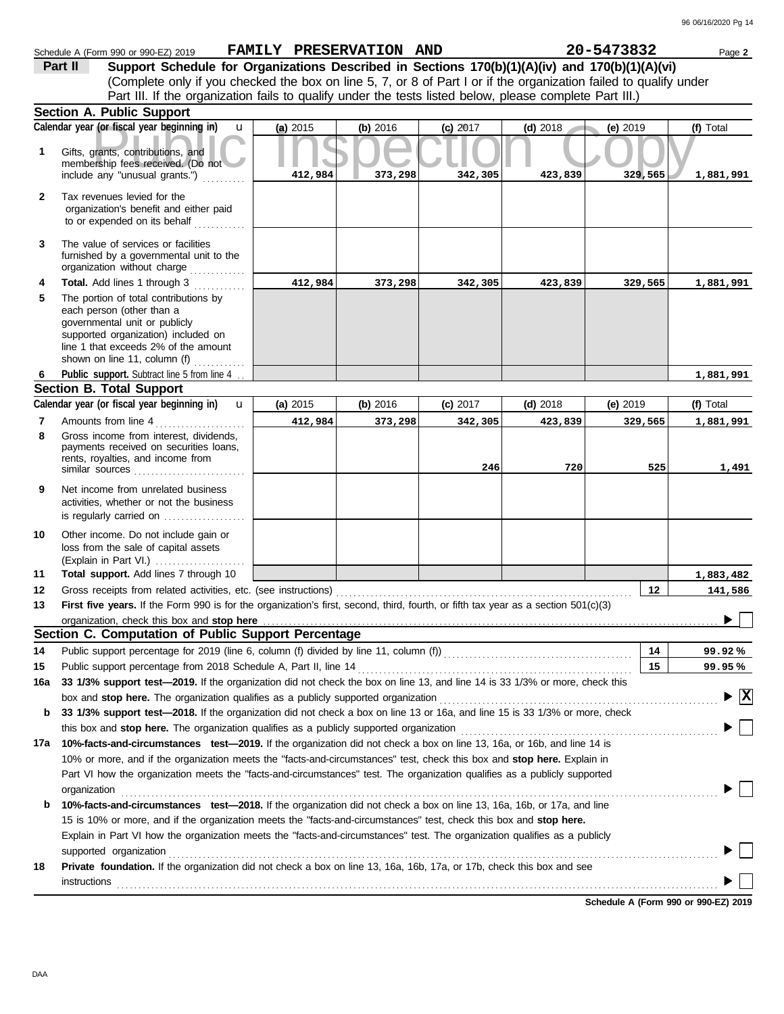|              | Schedule A (Form 990 or 990-EZ) 2019                                                                                                                                                                               | FAMILY PRESERVATION AND |          |            |            | 20-5473832      | Page 2                          |
|--------------|--------------------------------------------------------------------------------------------------------------------------------------------------------------------------------------------------------------------|-------------------------|----------|------------|------------|-----------------|---------------------------------|
|              | Support Schedule for Organizations Described in Sections 170(b)(1)(A)(iv) and 170(b)(1)(A)(vi)<br>Part II                                                                                                          |                         |          |            |            |                 |                                 |
|              | (Complete only if you checked the box on line 5, 7, or 8 of Part I or if the organization failed to qualify under                                                                                                  |                         |          |            |            |                 |                                 |
|              | Part III. If the organization fails to qualify under the tests listed below, please complete Part III.)                                                                                                            |                         |          |            |            |                 |                                 |
|              | <b>Section A. Public Support</b>                                                                                                                                                                                   |                         |          |            |            |                 |                                 |
|              | Calendar year (or fiscal year beginning in)<br>$\mathbf{u}$                                                                                                                                                        | (a) 2015                | (b) 2016 | $(c)$ 2017 | $(d)$ 2018 | (e) 2019        | (f) Total                       |
| 1            | Gifts, grants, contributions, and<br>membership fees received. (Do not                                                                                                                                             |                         |          |            |            |                 |                                 |
|              | include any "unusual grants.")                                                                                                                                                                                     | 412,984                 | 373,298  | 342,305    | 423,839    | 329,565         | 1,881,991                       |
| $\mathbf{2}$ | Tax revenues levied for the<br>organization's benefit and either paid<br>to or expended on its behalf                                                                                                              |                         |          |            |            |                 |                                 |
| 3            | The value of services or facilities<br>furnished by a governmental unit to the<br>organization without charge<br><u>.</u><br>1986 - Paul Barbara, president                                                        |                         |          |            |            |                 |                                 |
| 4            | Total. Add lines 1 through 3                                                                                                                                                                                       | 412,984                 | 373,298  | 342,305    | 423,839    | 329,565         | 1,881,991                       |
| 5            | The portion of total contributions by<br>each person (other than a<br>governmental unit or publicly<br>supported organization) included on<br>line 1 that exceeds 2% of the amount<br>shown on line 11, column (f) |                         |          |            |            |                 |                                 |
| 6            | Public support. Subtract line 5 from line 4                                                                                                                                                                        |                         |          |            |            |                 | 1,881,991                       |
|              | <b>Section B. Total Support</b>                                                                                                                                                                                    |                         |          |            |            |                 |                                 |
|              | Calendar year (or fiscal year beginning in)<br>$\mathbf{u}$                                                                                                                                                        | (a) 2015                | (b) 2016 | (c) 2017   | $(d)$ 2018 | $(e)$ 2019      | (f) Total                       |
| 7            | Amounts from line 4                                                                                                                                                                                                | 412,984                 | 373,298  | 342,305    | 423,839    | 329,565         | 1,881,991                       |
| 8            | Gross income from interest, dividends,<br>payments received on securities loans,<br>rents, royalties, and income from<br>similar sources                                                                           |                         |          | 246        | 720        | 525             | 1,491                           |
| 9            | Net income from unrelated business<br>activities, whether or not the business<br>is regularly carried on $\ldots$ , $\ldots$ , $\ldots$                                                                            |                         |          |            |            |                 |                                 |
| 10           | Other income. Do not include gain or<br>loss from the sale of capital assets<br>(Explain in Part VI.)                                                                                                              |                         |          |            |            |                 |                                 |
| 11           | Total support. Add lines 7 through 10                                                                                                                                                                              |                         |          |            |            |                 | 1,883,482                       |
| 12           | Gross receipts from related activities, etc. (see instructions)                                                                                                                                                    |                         |          |            |            | $12 \,$         | 141,586                         |
| 13           | First five years. If the Form 990 is for the organization's first, second, third, fourth, or fifth tax year as a section 501(c)(3)                                                                                 |                         |          |            |            |                 |                                 |
|              |                                                                                                                                                                                                                    |                         |          |            |            |                 |                                 |
|              | Section C. Computation of Public Support Percentage                                                                                                                                                                |                         |          |            |            |                 |                                 |
| 14           | Public support percentage for 2019 (line 6, column (f) divided by line 11, column (f)) [[[[[[[[[[[[[[[[[[[[[[                                                                                                      |                         |          |            |            | 14              | 99.92%                          |
| 15           | Public support percentage from 2018 Schedule A, Part II, line 14                                                                                                                                                   |                         |          |            |            | 15 <sub>1</sub> | 99.95%                          |
| 16a          | 33 1/3% support test-2019. If the organization did not check the box on line 13, and line 14 is 33 1/3% or more, check this                                                                                        |                         |          |            |            |                 |                                 |
|              | box and stop here. The organization qualifies as a publicly supported organization                                                                                                                                 |                         |          |            |            |                 | $\blacktriangleright$ $\vert$ X |
| b            | 33 1/3% support test-2018. If the organization did not check a box on line 13 or 16a, and line 15 is 33 1/3% or more, check                                                                                        |                         |          |            |            |                 |                                 |
|              | this box and stop here. The organization qualifies as a publicly supported organization                                                                                                                            |                         |          |            |            |                 |                                 |
|              | 17a 10%-facts-and-circumstances test-2019. If the organization did not check a box on line 13, 16a, or 16b, and line 14 is                                                                                         |                         |          |            |            |                 |                                 |
|              | 10% or more, and if the organization meets the "facts-and-circumstances" test, check this box and stop here. Explain in                                                                                            |                         |          |            |            |                 |                                 |
|              | Part VI how the organization meets the "facts-and-circumstances" test. The organization qualifies as a publicly supported                                                                                          |                         |          |            |            |                 |                                 |
|              | organization                                                                                                                                                                                                       |                         |          |            |            |                 |                                 |
| b            | 10%-facts-and-circumstances test-2018. If the organization did not check a box on line 13, 16a, 16b, or 17a, and line                                                                                              |                         |          |            |            |                 |                                 |
|              | 15 is 10% or more, and if the organization meets the "facts-and-circumstances" test, check this box and stop here.                                                                                                 |                         |          |            |            |                 |                                 |
|              | Explain in Part VI how the organization meets the "facts-and-circumstances" test. The organization qualifies as a publicly                                                                                         |                         |          |            |            |                 |                                 |
|              | supported organization                                                                                                                                                                                             |                         |          |            |            |                 |                                 |
| 18           | Private foundation. If the organization did not check a box on line 13, 16a, 16b, 17a, or 17b, check this box and see<br>instructions                                                                              |                         |          |            |            |                 |                                 |
|              |                                                                                                                                                                                                                    |                         |          |            |            |                 |                                 |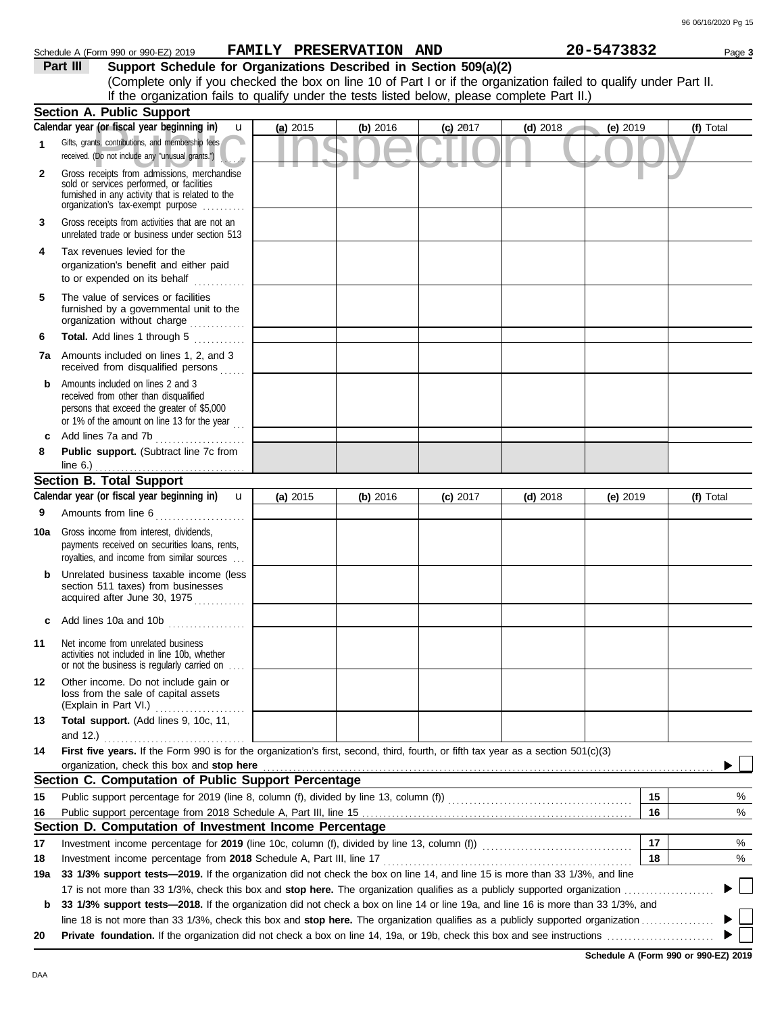| Schedule A (Form 990 or 990-EZ) 2019 | <b>FAMILY PRESERVATION</b> | AND | 20-5473832 | Page 3 |
|--------------------------------------|----------------------------|-----|------------|--------|

| Part III | Support Schedule for Organizations Described in Section 509(a)(2)                                                  |
|----------|--------------------------------------------------------------------------------------------------------------------|
|          | (Complete only if you checked the box on line 10 of Part I or if the organization failed to qualify under Part II. |
|          | If the organization fails to qualify under the tests listed below, please complete Part II.)                       |

|              | <b>Section A. Public Support</b>                                                                                                                                                  |            |            |            |            |            |                |
|--------------|-----------------------------------------------------------------------------------------------------------------------------------------------------------------------------------|------------|------------|------------|------------|------------|----------------|
|              | Calendar year (or fiscal year beginning in)<br>u                                                                                                                                  | $(a)$ 2015 | (b) 2016   | $(c)$ 2017 | $(d)$ 2018 | (e) 2019   | (f) Total      |
| 1            | Gifts, grants, contributions, and membership fees<br>received. (Do not include any "unusual grants.")                                                                             |            |            |            |            |            |                |
| $\mathbf{2}$ | Gross receipts from admissions, merchandise<br>sold or services performed, or facilities<br>furnished in any activity that is related to the<br>organization's tax-exempt purpose |            |            |            |            |            |                |
| 3            | Gross receipts from activities that are not an<br>unrelated trade or business under section 513                                                                                   |            |            |            |            |            |                |
| 4            | Tax revenues levied for the<br>organization's benefit and either paid<br>to or expended on its behalf<br>. <b>.</b>                                                               |            |            |            |            |            |                |
| 5            | The value of services or facilities<br>furnished by a governmental unit to the<br>organization without charge                                                                     |            |            |            |            |            |                |
| 6            | Total. Add lines 1 through 5<br>.                                                                                                                                                 |            |            |            |            |            |                |
| 7a           | Amounts included on lines 1, 2, and 3<br>received from disqualified persons                                                                                                       |            |            |            |            |            |                |
| b            | Amounts included on lines 2 and 3<br>received from other than disqualified<br>persons that exceed the greater of \$5,000<br>or 1% of the amount on line 13 for the year $\ldots$  |            |            |            |            |            |                |
| c            | Add lines 7a and 7b<br>.                                                                                                                                                          |            |            |            |            |            |                |
| 8            | Public support. (Subtract line 7c from<br>line $6.$ )                                                                                                                             |            |            |            |            |            |                |
|              | <b>Section B. Total Support</b>                                                                                                                                                   |            |            |            |            |            |                |
|              | Calendar year (or fiscal year beginning in)<br>$\mathbf{u}$                                                                                                                       | (a) $2015$ | (b) $2016$ | $(c)$ 2017 | (d) $2018$ | (e) $2019$ | (f) Total      |
| 9            | Amounts from line 6                                                                                                                                                               |            |            |            |            |            |                |
| 10a          | .<br>Gross income from interest, dividends,<br>payments received on securities loans, rents,<br>royalties, and income from similar sources                                        |            |            |            |            |            |                |
| b            | Unrelated business taxable income (less<br>section 511 taxes) from businesses<br>acquired after June 30, 1975                                                                     |            |            |            |            |            |                |
| c            | Add lines 10a and 10b $\ldots$ $\ldots$ $\ldots$                                                                                                                                  |            |            |            |            |            |                |
| 11           | Net income from unrelated business<br>activities not included in line 10b, whether<br>or not the business is regularly carried on                                                 |            |            |            |            |            |                |
| 12           | Other income. Do not include gain or<br>loss from the sale of capital assets<br>(Explain in Part VI.)<br>.                                                                        |            |            |            |            |            |                |
| 13           | Total support. (Add lines 9, 10c, 11,                                                                                                                                             |            |            |            |            |            |                |
|              | and $12.$ )                                                                                                                                                                       |            |            |            |            |            |                |
| 14           | First five years. If the Form 990 is for the organization's first, second, third, fourth, or fifth tax year as a section 501(c)(3)                                                |            |            |            |            |            |                |
|              | organization, check this box and stop here                                                                                                                                        |            |            |            |            |            |                |
|              | Section C. Computation of Public Support Percentage                                                                                                                               |            |            |            |            |            |                |
| 15           | Public support percentage for 2019 (line 8, column (f), divided by line 13, column (f) [[[[[[[[[[[[[[[[[[[[[[                                                                     |            |            |            |            | 15         | %              |
| 16           | Public support percentage from 2018 Schedule A, Part III, line 15                                                                                                                 |            |            |            |            | 16         | %              |
|              | Section D. Computation of Investment Income Percentage                                                                                                                            |            |            |            |            |            |                |
| 17           |                                                                                                                                                                                   |            |            |            |            | 17         | %              |
| 18           | Investment income percentage from 2018 Schedule A, Part III, line 17                                                                                                              |            |            |            |            | 18         | %              |
| 19a          | 33 1/3% support tests-2019. If the organization did not check the box on line 14, and line 15 is more than 33 1/3%, and line                                                      |            |            |            |            |            | $\mathbb{R}^n$ |
|              | 17 is not more than 33 1/3%, check this box and stop here. The organization qualifies as a publicly supported organization                                                        |            |            |            |            |            |                |
| b            | 33 1/3% support tests-2018. If the organization did not check a box on line 14 or line 19a, and line 16 is more than 33 1/3%, and                                                 |            |            |            |            |            |                |
| 20           |                                                                                                                                                                                   |            |            |            |            |            |                |
|              |                                                                                                                                                                                   |            |            |            |            |            |                |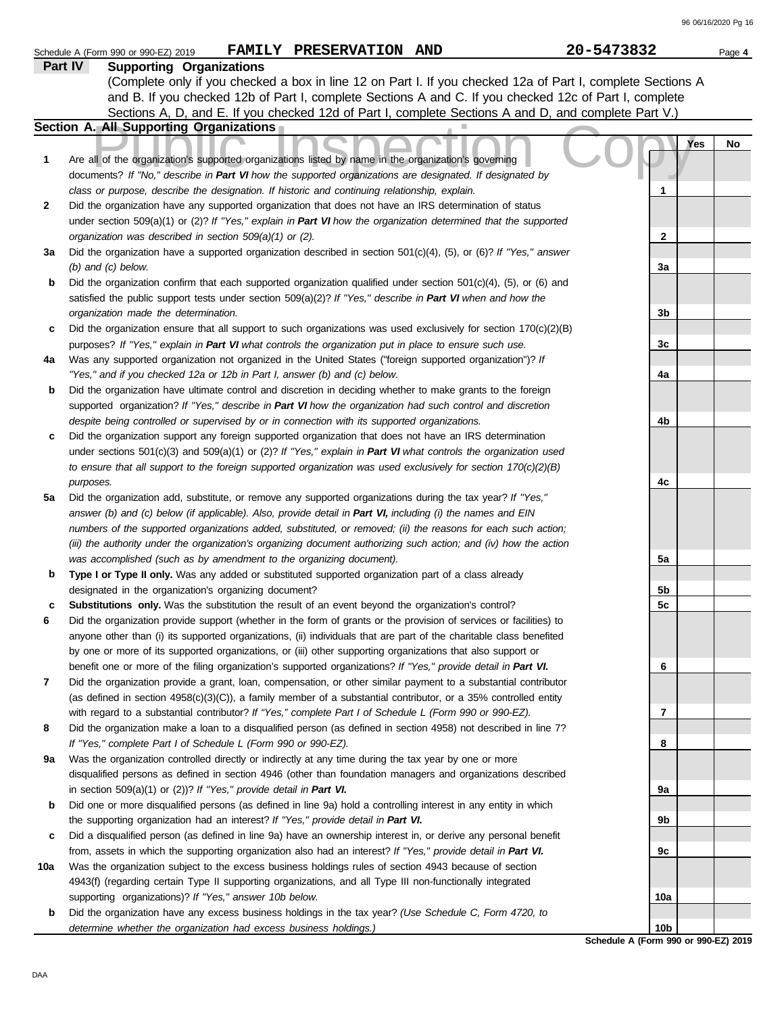| Part IV<br><b>Supporting Organizations</b><br>(Complete only if you checked a box in line 12 on Part I. If you checked 12a of Part I, complete Sections A<br>and B. If you checked 12b of Part I, complete Sections A and C. If you checked 12c of Part I, complete<br>Sections A, D, and E. If you checked 12d of Part I, complete Sections A and D, and complete Part V.)<br>Section A. All Supporting Organizations<br><b>Yes</b><br>No<br>Are all of the organization's supported organizations listed by name in the organization's governing<br>1<br>documents? If "No," describe in Part VI how the supported organizations are designated. If designated by<br>class or purpose, describe the designation. If historic and continuing relationship, explain.<br>1<br>2<br>Did the organization have any supported organization that does not have an IRS determination of status<br>under section 509(a)(1) or (2)? If "Yes," explain in Part VI how the organization determined that the supported<br>organization was described in section 509(a)(1) or (2).<br>$\mathbf{2}$<br>Did the organization have a supported organization described in section $501(c)(4)$ , (5), or (6)? If "Yes," answer<br>За<br>$(b)$ and $(c)$ below.<br>3a<br>Did the organization confirm that each supported organization qualified under section $501(c)(4)$ , $(5)$ , or $(6)$ and<br>b<br>satisfied the public support tests under section 509(a)(2)? If "Yes," describe in Part VI when and how the<br>organization made the determination.<br>3b<br>Did the organization ensure that all support to such organizations was used exclusively for section $170(c)(2)(B)$<br>c<br>3c<br>purposes? If "Yes," explain in Part VI what controls the organization put in place to ensure such use.<br>Was any supported organization not organized in the United States ("foreign supported organization")? If<br>4a<br>"Yes," and if you checked 12a or 12b in Part I, answer (b) and (c) below.<br>4a<br>Did the organization have ultimate control and discretion in deciding whether to make grants to the foreign<br>b<br>supported organization? If "Yes," describe in Part VI how the organization had such control and discretion<br>despite being controlled or supervised by or in connection with its supported organizations.<br>4b<br>Did the organization support any foreign supported organization that does not have an IRS determination<br>c<br>under sections $501(c)(3)$ and $509(a)(1)$ or (2)? If "Yes," explain in Part VI what controls the organization used<br>to ensure that all support to the foreign supported organization was used exclusively for section $170(c)(2)(B)$<br>4c<br>purposes.<br>Did the organization add, substitute, or remove any supported organizations during the tax year? If "Yes,"<br>5a<br>answer (b) and (c) below (if applicable). Also, provide detail in Part VI, including (i) the names and EIN<br>numbers of the supported organizations added, substituted, or removed; (ii) the reasons for each such action;<br>(iii) the authority under the organization's organizing document authorizing such action; and (iv) how the action<br>was accomplished (such as by amendment to the organizing document).<br>5а<br>Type I or Type II only. Was any added or substituted supported organization part of a class already<br>b<br>designated in the organization's organizing document?<br>5b<br>Substitutions only. Was the substitution the result of an event beyond the organization's control?<br>5c<br>c<br>6<br>Did the organization provide support (whether in the form of grants or the provision of services or facilities) to<br>anyone other than (i) its supported organizations, (ii) individuals that are part of the charitable class benefited<br>by one or more of its supported organizations, or (iii) other supporting organizations that also support or<br>benefit one or more of the filing organization's supported organizations? If "Yes," provide detail in Part VI.<br>6<br>Did the organization provide a grant, loan, compensation, or other similar payment to a substantial contributor<br>7<br>(as defined in section $4958(c)(3)(C)$ ), a family member of a substantial contributor, or a 35% controlled entity<br>with regard to a substantial contributor? If "Yes," complete Part I of Schedule L (Form 990 or 990-EZ).<br>7<br>8<br>Did the organization make a loan to a disqualified person (as defined in section 4958) not described in line 7?<br>If "Yes," complete Part I of Schedule L (Form 990 or 990-EZ).<br>8<br>Was the organization controlled directly or indirectly at any time during the tax year by one or more<br>9а<br>disqualified persons as defined in section 4946 (other than foundation managers and organizations described<br>in section $509(a)(1)$ or (2))? If "Yes," provide detail in Part VI.<br>9а<br>Did one or more disqualified persons (as defined in line 9a) hold a controlling interest in any entity in which<br>b<br>the supporting organization had an interest? If "Yes," provide detail in Part VI.<br>9b<br>Did a disqualified person (as defined in line 9a) have an ownership interest in, or derive any personal benefit<br>c<br>from, assets in which the supporting organization also had an interest? If "Yes," provide detail in Part VI.<br>9с<br>Was the organization subject to the excess business holdings rules of section 4943 because of section<br>10a<br>4943(f) (regarding certain Type II supporting organizations, and all Type III non-functionally integrated<br>supporting organizations)? If "Yes," answer 10b below.<br>10a<br>Did the organization have any excess business holdings in the tax year? (Use Schedule C, Form 4720, to<br>b<br>10 <sub>b</sub><br>determine whether the organization had excess business holdings.)<br>Schedule A (Form 990 or 990-EZ) 2019 | Schedule A (Form 990 or 990-EZ) 2019 | FAMILY PRESERVATION AND | 20-5473832 | Page 4 |
|-------------------------------------------------------------------------------------------------------------------------------------------------------------------------------------------------------------------------------------------------------------------------------------------------------------------------------------------------------------------------------------------------------------------------------------------------------------------------------------------------------------------------------------------------------------------------------------------------------------------------------------------------------------------------------------------------------------------------------------------------------------------------------------------------------------------------------------------------------------------------------------------------------------------------------------------------------------------------------------------------------------------------------------------------------------------------------------------------------------------------------------------------------------------------------------------------------------------------------------------------------------------------------------------------------------------------------------------------------------------------------------------------------------------------------------------------------------------------------------------------------------------------------------------------------------------------------------------------------------------------------------------------------------------------------------------------------------------------------------------------------------------------------------------------------------------------------------------------------------------------------------------------------------------------------------------------------------------------------------------------------------------------------------------------------------------------------------------------------------------------------------------------------------------------------------------------------------------------------------------------------------------------------------------------------------------------------------------------------------------------------------------------------------------------------------------------------------------------------------------------------------------------------------------------------------------------------------------------------------------------------------------------------------------------------------------------------------------------------------------------------------------------------------------------------------------------------------------------------------------------------------------------------------------------------------------------------------------------------------------------------------------------------------------------------------------------------------------------------------------------------------------------------------------------------------------------------------------------------------------------------------------------------------------------------------------------------------------------------------------------------------------------------------------------------------------------------------------------------------------------------------------------------------------------------------------------------------------------------------------------------------------------------------------------------------------------------------------------------------------------------------------------------------------------------------------------------------------------------------------------------------------------------------------------------------------------------------------------------------------------------------------------------------------------------------------------------------------------------------------------------------------------------------------------------------------------------------------------------------------------------------------------------------------------------------------------------------------------------------------------------------------------------------------------------------------------------------------------------------------------------------------------------------------------------------------------------------------------------------------------------------------------------------------------------------------------------------------------------------------------------------------------------------------------------------------------------------------------------------------------------------------------------------------------------------------------------------------------------------------------------------------------------------------------------------------------------------------------------------------------------------------------------------------------------------------------------------------------------------------------------------------------------------------------------------------------------------------------------------------------------------------------------------------------------------------------------------------------------------------------------------------------------------------------------------------------------------------------------------------------------------------------------------------------------------------------------------------------------------------------------------------------------------------------------------------------------------------------------------------------------------------------------------------------------------------------------|--------------------------------------|-------------------------|------------|--------|
|                                                                                                                                                                                                                                                                                                                                                                                                                                                                                                                                                                                                                                                                                                                                                                                                                                                                                                                                                                                                                                                                                                                                                                                                                                                                                                                                                                                                                                                                                                                                                                                                                                                                                                                                                                                                                                                                                                                                                                                                                                                                                                                                                                                                                                                                                                                                                                                                                                                                                                                                                                                                                                                                                                                                                                                                                                                                                                                                                                                                                                                                                                                                                                                                                                                                                                                                                                                                                                                                                                                                                                                                                                                                                                                                                                                                                                                                                                                                                                                                                                                                                                                                                                                                                                                                                                                                                                                                                                                                                                                                                                                                                                                                                                                                                                                                                                                                                                                                                                                                                                                                                                                                                                                                                                                                                                                                                                                                                                                                                                                                                                                                                                                                                                                                                                                                                                                                                                                                                       |                                      |                         |            |        |
|                                                                                                                                                                                                                                                                                                                                                                                                                                                                                                                                                                                                                                                                                                                                                                                                                                                                                                                                                                                                                                                                                                                                                                                                                                                                                                                                                                                                                                                                                                                                                                                                                                                                                                                                                                                                                                                                                                                                                                                                                                                                                                                                                                                                                                                                                                                                                                                                                                                                                                                                                                                                                                                                                                                                                                                                                                                                                                                                                                                                                                                                                                                                                                                                                                                                                                                                                                                                                                                                                                                                                                                                                                                                                                                                                                                                                                                                                                                                                                                                                                                                                                                                                                                                                                                                                                                                                                                                                                                                                                                                                                                                                                                                                                                                                                                                                                                                                                                                                                                                                                                                                                                                                                                                                                                                                                                                                                                                                                                                                                                                                                                                                                                                                                                                                                                                                                                                                                                                                       |                                      |                         |            |        |
|                                                                                                                                                                                                                                                                                                                                                                                                                                                                                                                                                                                                                                                                                                                                                                                                                                                                                                                                                                                                                                                                                                                                                                                                                                                                                                                                                                                                                                                                                                                                                                                                                                                                                                                                                                                                                                                                                                                                                                                                                                                                                                                                                                                                                                                                                                                                                                                                                                                                                                                                                                                                                                                                                                                                                                                                                                                                                                                                                                                                                                                                                                                                                                                                                                                                                                                                                                                                                                                                                                                                                                                                                                                                                                                                                                                                                                                                                                                                                                                                                                                                                                                                                                                                                                                                                                                                                                                                                                                                                                                                                                                                                                                                                                                                                                                                                                                                                                                                                                                                                                                                                                                                                                                                                                                                                                                                                                                                                                                                                                                                                                                                                                                                                                                                                                                                                                                                                                                                                       |                                      |                         |            |        |
|                                                                                                                                                                                                                                                                                                                                                                                                                                                                                                                                                                                                                                                                                                                                                                                                                                                                                                                                                                                                                                                                                                                                                                                                                                                                                                                                                                                                                                                                                                                                                                                                                                                                                                                                                                                                                                                                                                                                                                                                                                                                                                                                                                                                                                                                                                                                                                                                                                                                                                                                                                                                                                                                                                                                                                                                                                                                                                                                                                                                                                                                                                                                                                                                                                                                                                                                                                                                                                                                                                                                                                                                                                                                                                                                                                                                                                                                                                                                                                                                                                                                                                                                                                                                                                                                                                                                                                                                                                                                                                                                                                                                                                                                                                                                                                                                                                                                                                                                                                                                                                                                                                                                                                                                                                                                                                                                                                                                                                                                                                                                                                                                                                                                                                                                                                                                                                                                                                                                                       |                                      |                         |            |        |
|                                                                                                                                                                                                                                                                                                                                                                                                                                                                                                                                                                                                                                                                                                                                                                                                                                                                                                                                                                                                                                                                                                                                                                                                                                                                                                                                                                                                                                                                                                                                                                                                                                                                                                                                                                                                                                                                                                                                                                                                                                                                                                                                                                                                                                                                                                                                                                                                                                                                                                                                                                                                                                                                                                                                                                                                                                                                                                                                                                                                                                                                                                                                                                                                                                                                                                                                                                                                                                                                                                                                                                                                                                                                                                                                                                                                                                                                                                                                                                                                                                                                                                                                                                                                                                                                                                                                                                                                                                                                                                                                                                                                                                                                                                                                                                                                                                                                                                                                                                                                                                                                                                                                                                                                                                                                                                                                                                                                                                                                                                                                                                                                                                                                                                                                                                                                                                                                                                                                                       |                                      |                         |            |        |
|                                                                                                                                                                                                                                                                                                                                                                                                                                                                                                                                                                                                                                                                                                                                                                                                                                                                                                                                                                                                                                                                                                                                                                                                                                                                                                                                                                                                                                                                                                                                                                                                                                                                                                                                                                                                                                                                                                                                                                                                                                                                                                                                                                                                                                                                                                                                                                                                                                                                                                                                                                                                                                                                                                                                                                                                                                                                                                                                                                                                                                                                                                                                                                                                                                                                                                                                                                                                                                                                                                                                                                                                                                                                                                                                                                                                                                                                                                                                                                                                                                                                                                                                                                                                                                                                                                                                                                                                                                                                                                                                                                                                                                                                                                                                                                                                                                                                                                                                                                                                                                                                                                                                                                                                                                                                                                                                                                                                                                                                                                                                                                                                                                                                                                                                                                                                                                                                                                                                                       |                                      |                         |            |        |
|                                                                                                                                                                                                                                                                                                                                                                                                                                                                                                                                                                                                                                                                                                                                                                                                                                                                                                                                                                                                                                                                                                                                                                                                                                                                                                                                                                                                                                                                                                                                                                                                                                                                                                                                                                                                                                                                                                                                                                                                                                                                                                                                                                                                                                                                                                                                                                                                                                                                                                                                                                                                                                                                                                                                                                                                                                                                                                                                                                                                                                                                                                                                                                                                                                                                                                                                                                                                                                                                                                                                                                                                                                                                                                                                                                                                                                                                                                                                                                                                                                                                                                                                                                                                                                                                                                                                                                                                                                                                                                                                                                                                                                                                                                                                                                                                                                                                                                                                                                                                                                                                                                                                                                                                                                                                                                                                                                                                                                                                                                                                                                                                                                                                                                                                                                                                                                                                                                                                                       |                                      |                         |            |        |
|                                                                                                                                                                                                                                                                                                                                                                                                                                                                                                                                                                                                                                                                                                                                                                                                                                                                                                                                                                                                                                                                                                                                                                                                                                                                                                                                                                                                                                                                                                                                                                                                                                                                                                                                                                                                                                                                                                                                                                                                                                                                                                                                                                                                                                                                                                                                                                                                                                                                                                                                                                                                                                                                                                                                                                                                                                                                                                                                                                                                                                                                                                                                                                                                                                                                                                                                                                                                                                                                                                                                                                                                                                                                                                                                                                                                                                                                                                                                                                                                                                                                                                                                                                                                                                                                                                                                                                                                                                                                                                                                                                                                                                                                                                                                                                                                                                                                                                                                                                                                                                                                                                                                                                                                                                                                                                                                                                                                                                                                                                                                                                                                                                                                                                                                                                                                                                                                                                                                                       |                                      |                         |            |        |
|                                                                                                                                                                                                                                                                                                                                                                                                                                                                                                                                                                                                                                                                                                                                                                                                                                                                                                                                                                                                                                                                                                                                                                                                                                                                                                                                                                                                                                                                                                                                                                                                                                                                                                                                                                                                                                                                                                                                                                                                                                                                                                                                                                                                                                                                                                                                                                                                                                                                                                                                                                                                                                                                                                                                                                                                                                                                                                                                                                                                                                                                                                                                                                                                                                                                                                                                                                                                                                                                                                                                                                                                                                                                                                                                                                                                                                                                                                                                                                                                                                                                                                                                                                                                                                                                                                                                                                                                                                                                                                                                                                                                                                                                                                                                                                                                                                                                                                                                                                                                                                                                                                                                                                                                                                                                                                                                                                                                                                                                                                                                                                                                                                                                                                                                                                                                                                                                                                                                                       |                                      |                         |            |        |
|                                                                                                                                                                                                                                                                                                                                                                                                                                                                                                                                                                                                                                                                                                                                                                                                                                                                                                                                                                                                                                                                                                                                                                                                                                                                                                                                                                                                                                                                                                                                                                                                                                                                                                                                                                                                                                                                                                                                                                                                                                                                                                                                                                                                                                                                                                                                                                                                                                                                                                                                                                                                                                                                                                                                                                                                                                                                                                                                                                                                                                                                                                                                                                                                                                                                                                                                                                                                                                                                                                                                                                                                                                                                                                                                                                                                                                                                                                                                                                                                                                                                                                                                                                                                                                                                                                                                                                                                                                                                                                                                                                                                                                                                                                                                                                                                                                                                                                                                                                                                                                                                                                                                                                                                                                                                                                                                                                                                                                                                                                                                                                                                                                                                                                                                                                                                                                                                                                                                                       |                                      |                         |            |        |
|                                                                                                                                                                                                                                                                                                                                                                                                                                                                                                                                                                                                                                                                                                                                                                                                                                                                                                                                                                                                                                                                                                                                                                                                                                                                                                                                                                                                                                                                                                                                                                                                                                                                                                                                                                                                                                                                                                                                                                                                                                                                                                                                                                                                                                                                                                                                                                                                                                                                                                                                                                                                                                                                                                                                                                                                                                                                                                                                                                                                                                                                                                                                                                                                                                                                                                                                                                                                                                                                                                                                                                                                                                                                                                                                                                                                                                                                                                                                                                                                                                                                                                                                                                                                                                                                                                                                                                                                                                                                                                                                                                                                                                                                                                                                                                                                                                                                                                                                                                                                                                                                                                                                                                                                                                                                                                                                                                                                                                                                                                                                                                                                                                                                                                                                                                                                                                                                                                                                                       |                                      |                         |            |        |
|                                                                                                                                                                                                                                                                                                                                                                                                                                                                                                                                                                                                                                                                                                                                                                                                                                                                                                                                                                                                                                                                                                                                                                                                                                                                                                                                                                                                                                                                                                                                                                                                                                                                                                                                                                                                                                                                                                                                                                                                                                                                                                                                                                                                                                                                                                                                                                                                                                                                                                                                                                                                                                                                                                                                                                                                                                                                                                                                                                                                                                                                                                                                                                                                                                                                                                                                                                                                                                                                                                                                                                                                                                                                                                                                                                                                                                                                                                                                                                                                                                                                                                                                                                                                                                                                                                                                                                                                                                                                                                                                                                                                                                                                                                                                                                                                                                                                                                                                                                                                                                                                                                                                                                                                                                                                                                                                                                                                                                                                                                                                                                                                                                                                                                                                                                                                                                                                                                                                                       |                                      |                         |            |        |
|                                                                                                                                                                                                                                                                                                                                                                                                                                                                                                                                                                                                                                                                                                                                                                                                                                                                                                                                                                                                                                                                                                                                                                                                                                                                                                                                                                                                                                                                                                                                                                                                                                                                                                                                                                                                                                                                                                                                                                                                                                                                                                                                                                                                                                                                                                                                                                                                                                                                                                                                                                                                                                                                                                                                                                                                                                                                                                                                                                                                                                                                                                                                                                                                                                                                                                                                                                                                                                                                                                                                                                                                                                                                                                                                                                                                                                                                                                                                                                                                                                                                                                                                                                                                                                                                                                                                                                                                                                                                                                                                                                                                                                                                                                                                                                                                                                                                                                                                                                                                                                                                                                                                                                                                                                                                                                                                                                                                                                                                                                                                                                                                                                                                                                                                                                                                                                                                                                                                                       |                                      |                         |            |        |
|                                                                                                                                                                                                                                                                                                                                                                                                                                                                                                                                                                                                                                                                                                                                                                                                                                                                                                                                                                                                                                                                                                                                                                                                                                                                                                                                                                                                                                                                                                                                                                                                                                                                                                                                                                                                                                                                                                                                                                                                                                                                                                                                                                                                                                                                                                                                                                                                                                                                                                                                                                                                                                                                                                                                                                                                                                                                                                                                                                                                                                                                                                                                                                                                                                                                                                                                                                                                                                                                                                                                                                                                                                                                                                                                                                                                                                                                                                                                                                                                                                                                                                                                                                                                                                                                                                                                                                                                                                                                                                                                                                                                                                                                                                                                                                                                                                                                                                                                                                                                                                                                                                                                                                                                                                                                                                                                                                                                                                                                                                                                                                                                                                                                                                                                                                                                                                                                                                                                                       |                                      |                         |            |        |
|                                                                                                                                                                                                                                                                                                                                                                                                                                                                                                                                                                                                                                                                                                                                                                                                                                                                                                                                                                                                                                                                                                                                                                                                                                                                                                                                                                                                                                                                                                                                                                                                                                                                                                                                                                                                                                                                                                                                                                                                                                                                                                                                                                                                                                                                                                                                                                                                                                                                                                                                                                                                                                                                                                                                                                                                                                                                                                                                                                                                                                                                                                                                                                                                                                                                                                                                                                                                                                                                                                                                                                                                                                                                                                                                                                                                                                                                                                                                                                                                                                                                                                                                                                                                                                                                                                                                                                                                                                                                                                                                                                                                                                                                                                                                                                                                                                                                                                                                                                                                                                                                                                                                                                                                                                                                                                                                                                                                                                                                                                                                                                                                                                                                                                                                                                                                                                                                                                                                                       |                                      |                         |            |        |
|                                                                                                                                                                                                                                                                                                                                                                                                                                                                                                                                                                                                                                                                                                                                                                                                                                                                                                                                                                                                                                                                                                                                                                                                                                                                                                                                                                                                                                                                                                                                                                                                                                                                                                                                                                                                                                                                                                                                                                                                                                                                                                                                                                                                                                                                                                                                                                                                                                                                                                                                                                                                                                                                                                                                                                                                                                                                                                                                                                                                                                                                                                                                                                                                                                                                                                                                                                                                                                                                                                                                                                                                                                                                                                                                                                                                                                                                                                                                                                                                                                                                                                                                                                                                                                                                                                                                                                                                                                                                                                                                                                                                                                                                                                                                                                                                                                                                                                                                                                                                                                                                                                                                                                                                                                                                                                                                                                                                                                                                                                                                                                                                                                                                                                                                                                                                                                                                                                                                                       |                                      |                         |            |        |
|                                                                                                                                                                                                                                                                                                                                                                                                                                                                                                                                                                                                                                                                                                                                                                                                                                                                                                                                                                                                                                                                                                                                                                                                                                                                                                                                                                                                                                                                                                                                                                                                                                                                                                                                                                                                                                                                                                                                                                                                                                                                                                                                                                                                                                                                                                                                                                                                                                                                                                                                                                                                                                                                                                                                                                                                                                                                                                                                                                                                                                                                                                                                                                                                                                                                                                                                                                                                                                                                                                                                                                                                                                                                                                                                                                                                                                                                                                                                                                                                                                                                                                                                                                                                                                                                                                                                                                                                                                                                                                                                                                                                                                                                                                                                                                                                                                                                                                                                                                                                                                                                                                                                                                                                                                                                                                                                                                                                                                                                                                                                                                                                                                                                                                                                                                                                                                                                                                                                                       |                                      |                         |            |        |
|                                                                                                                                                                                                                                                                                                                                                                                                                                                                                                                                                                                                                                                                                                                                                                                                                                                                                                                                                                                                                                                                                                                                                                                                                                                                                                                                                                                                                                                                                                                                                                                                                                                                                                                                                                                                                                                                                                                                                                                                                                                                                                                                                                                                                                                                                                                                                                                                                                                                                                                                                                                                                                                                                                                                                                                                                                                                                                                                                                                                                                                                                                                                                                                                                                                                                                                                                                                                                                                                                                                                                                                                                                                                                                                                                                                                                                                                                                                                                                                                                                                                                                                                                                                                                                                                                                                                                                                                                                                                                                                                                                                                                                                                                                                                                                                                                                                                                                                                                                                                                                                                                                                                                                                                                                                                                                                                                                                                                                                                                                                                                                                                                                                                                                                                                                                                                                                                                                                                                       |                                      |                         |            |        |
|                                                                                                                                                                                                                                                                                                                                                                                                                                                                                                                                                                                                                                                                                                                                                                                                                                                                                                                                                                                                                                                                                                                                                                                                                                                                                                                                                                                                                                                                                                                                                                                                                                                                                                                                                                                                                                                                                                                                                                                                                                                                                                                                                                                                                                                                                                                                                                                                                                                                                                                                                                                                                                                                                                                                                                                                                                                                                                                                                                                                                                                                                                                                                                                                                                                                                                                                                                                                                                                                                                                                                                                                                                                                                                                                                                                                                                                                                                                                                                                                                                                                                                                                                                                                                                                                                                                                                                                                                                                                                                                                                                                                                                                                                                                                                                                                                                                                                                                                                                                                                                                                                                                                                                                                                                                                                                                                                                                                                                                                                                                                                                                                                                                                                                                                                                                                                                                                                                                                                       |                                      |                         |            |        |
|                                                                                                                                                                                                                                                                                                                                                                                                                                                                                                                                                                                                                                                                                                                                                                                                                                                                                                                                                                                                                                                                                                                                                                                                                                                                                                                                                                                                                                                                                                                                                                                                                                                                                                                                                                                                                                                                                                                                                                                                                                                                                                                                                                                                                                                                                                                                                                                                                                                                                                                                                                                                                                                                                                                                                                                                                                                                                                                                                                                                                                                                                                                                                                                                                                                                                                                                                                                                                                                                                                                                                                                                                                                                                                                                                                                                                                                                                                                                                                                                                                                                                                                                                                                                                                                                                                                                                                                                                                                                                                                                                                                                                                                                                                                                                                                                                                                                                                                                                                                                                                                                                                                                                                                                                                                                                                                                                                                                                                                                                                                                                                                                                                                                                                                                                                                                                                                                                                                                                       |                                      |                         |            |        |
|                                                                                                                                                                                                                                                                                                                                                                                                                                                                                                                                                                                                                                                                                                                                                                                                                                                                                                                                                                                                                                                                                                                                                                                                                                                                                                                                                                                                                                                                                                                                                                                                                                                                                                                                                                                                                                                                                                                                                                                                                                                                                                                                                                                                                                                                                                                                                                                                                                                                                                                                                                                                                                                                                                                                                                                                                                                                                                                                                                                                                                                                                                                                                                                                                                                                                                                                                                                                                                                                                                                                                                                                                                                                                                                                                                                                                                                                                                                                                                                                                                                                                                                                                                                                                                                                                                                                                                                                                                                                                                                                                                                                                                                                                                                                                                                                                                                                                                                                                                                                                                                                                                                                                                                                                                                                                                                                                                                                                                                                                                                                                                                                                                                                                                                                                                                                                                                                                                                                                       |                                      |                         |            |        |
|                                                                                                                                                                                                                                                                                                                                                                                                                                                                                                                                                                                                                                                                                                                                                                                                                                                                                                                                                                                                                                                                                                                                                                                                                                                                                                                                                                                                                                                                                                                                                                                                                                                                                                                                                                                                                                                                                                                                                                                                                                                                                                                                                                                                                                                                                                                                                                                                                                                                                                                                                                                                                                                                                                                                                                                                                                                                                                                                                                                                                                                                                                                                                                                                                                                                                                                                                                                                                                                                                                                                                                                                                                                                                                                                                                                                                                                                                                                                                                                                                                                                                                                                                                                                                                                                                                                                                                                                                                                                                                                                                                                                                                                                                                                                                                                                                                                                                                                                                                                                                                                                                                                                                                                                                                                                                                                                                                                                                                                                                                                                                                                                                                                                                                                                                                                                                                                                                                                                                       |                                      |                         |            |        |
|                                                                                                                                                                                                                                                                                                                                                                                                                                                                                                                                                                                                                                                                                                                                                                                                                                                                                                                                                                                                                                                                                                                                                                                                                                                                                                                                                                                                                                                                                                                                                                                                                                                                                                                                                                                                                                                                                                                                                                                                                                                                                                                                                                                                                                                                                                                                                                                                                                                                                                                                                                                                                                                                                                                                                                                                                                                                                                                                                                                                                                                                                                                                                                                                                                                                                                                                                                                                                                                                                                                                                                                                                                                                                                                                                                                                                                                                                                                                                                                                                                                                                                                                                                                                                                                                                                                                                                                                                                                                                                                                                                                                                                                                                                                                                                                                                                                                                                                                                                                                                                                                                                                                                                                                                                                                                                                                                                                                                                                                                                                                                                                                                                                                                                                                                                                                                                                                                                                                                       |                                      |                         |            |        |
|                                                                                                                                                                                                                                                                                                                                                                                                                                                                                                                                                                                                                                                                                                                                                                                                                                                                                                                                                                                                                                                                                                                                                                                                                                                                                                                                                                                                                                                                                                                                                                                                                                                                                                                                                                                                                                                                                                                                                                                                                                                                                                                                                                                                                                                                                                                                                                                                                                                                                                                                                                                                                                                                                                                                                                                                                                                                                                                                                                                                                                                                                                                                                                                                                                                                                                                                                                                                                                                                                                                                                                                                                                                                                                                                                                                                                                                                                                                                                                                                                                                                                                                                                                                                                                                                                                                                                                                                                                                                                                                                                                                                                                                                                                                                                                                                                                                                                                                                                                                                                                                                                                                                                                                                                                                                                                                                                                                                                                                                                                                                                                                                                                                                                                                                                                                                                                                                                                                                                       |                                      |                         |            |        |
|                                                                                                                                                                                                                                                                                                                                                                                                                                                                                                                                                                                                                                                                                                                                                                                                                                                                                                                                                                                                                                                                                                                                                                                                                                                                                                                                                                                                                                                                                                                                                                                                                                                                                                                                                                                                                                                                                                                                                                                                                                                                                                                                                                                                                                                                                                                                                                                                                                                                                                                                                                                                                                                                                                                                                                                                                                                                                                                                                                                                                                                                                                                                                                                                                                                                                                                                                                                                                                                                                                                                                                                                                                                                                                                                                                                                                                                                                                                                                                                                                                                                                                                                                                                                                                                                                                                                                                                                                                                                                                                                                                                                                                                                                                                                                                                                                                                                                                                                                                                                                                                                                                                                                                                                                                                                                                                                                                                                                                                                                                                                                                                                                                                                                                                                                                                                                                                                                                                                                       |                                      |                         |            |        |
|                                                                                                                                                                                                                                                                                                                                                                                                                                                                                                                                                                                                                                                                                                                                                                                                                                                                                                                                                                                                                                                                                                                                                                                                                                                                                                                                                                                                                                                                                                                                                                                                                                                                                                                                                                                                                                                                                                                                                                                                                                                                                                                                                                                                                                                                                                                                                                                                                                                                                                                                                                                                                                                                                                                                                                                                                                                                                                                                                                                                                                                                                                                                                                                                                                                                                                                                                                                                                                                                                                                                                                                                                                                                                                                                                                                                                                                                                                                                                                                                                                                                                                                                                                                                                                                                                                                                                                                                                                                                                                                                                                                                                                                                                                                                                                                                                                                                                                                                                                                                                                                                                                                                                                                                                                                                                                                                                                                                                                                                                                                                                                                                                                                                                                                                                                                                                                                                                                                                                       |                                      |                         |            |        |
|                                                                                                                                                                                                                                                                                                                                                                                                                                                                                                                                                                                                                                                                                                                                                                                                                                                                                                                                                                                                                                                                                                                                                                                                                                                                                                                                                                                                                                                                                                                                                                                                                                                                                                                                                                                                                                                                                                                                                                                                                                                                                                                                                                                                                                                                                                                                                                                                                                                                                                                                                                                                                                                                                                                                                                                                                                                                                                                                                                                                                                                                                                                                                                                                                                                                                                                                                                                                                                                                                                                                                                                                                                                                                                                                                                                                                                                                                                                                                                                                                                                                                                                                                                                                                                                                                                                                                                                                                                                                                                                                                                                                                                                                                                                                                                                                                                                                                                                                                                                                                                                                                                                                                                                                                                                                                                                                                                                                                                                                                                                                                                                                                                                                                                                                                                                                                                                                                                                                                       |                                      |                         |            |        |
|                                                                                                                                                                                                                                                                                                                                                                                                                                                                                                                                                                                                                                                                                                                                                                                                                                                                                                                                                                                                                                                                                                                                                                                                                                                                                                                                                                                                                                                                                                                                                                                                                                                                                                                                                                                                                                                                                                                                                                                                                                                                                                                                                                                                                                                                                                                                                                                                                                                                                                                                                                                                                                                                                                                                                                                                                                                                                                                                                                                                                                                                                                                                                                                                                                                                                                                                                                                                                                                                                                                                                                                                                                                                                                                                                                                                                                                                                                                                                                                                                                                                                                                                                                                                                                                                                                                                                                                                                                                                                                                                                                                                                                                                                                                                                                                                                                                                                                                                                                                                                                                                                                                                                                                                                                                                                                                                                                                                                                                                                                                                                                                                                                                                                                                                                                                                                                                                                                                                                       |                                      |                         |            |        |
|                                                                                                                                                                                                                                                                                                                                                                                                                                                                                                                                                                                                                                                                                                                                                                                                                                                                                                                                                                                                                                                                                                                                                                                                                                                                                                                                                                                                                                                                                                                                                                                                                                                                                                                                                                                                                                                                                                                                                                                                                                                                                                                                                                                                                                                                                                                                                                                                                                                                                                                                                                                                                                                                                                                                                                                                                                                                                                                                                                                                                                                                                                                                                                                                                                                                                                                                                                                                                                                                                                                                                                                                                                                                                                                                                                                                                                                                                                                                                                                                                                                                                                                                                                                                                                                                                                                                                                                                                                                                                                                                                                                                                                                                                                                                                                                                                                                                                                                                                                                                                                                                                                                                                                                                                                                                                                                                                                                                                                                                                                                                                                                                                                                                                                                                                                                                                                                                                                                                                       |                                      |                         |            |        |
|                                                                                                                                                                                                                                                                                                                                                                                                                                                                                                                                                                                                                                                                                                                                                                                                                                                                                                                                                                                                                                                                                                                                                                                                                                                                                                                                                                                                                                                                                                                                                                                                                                                                                                                                                                                                                                                                                                                                                                                                                                                                                                                                                                                                                                                                                                                                                                                                                                                                                                                                                                                                                                                                                                                                                                                                                                                                                                                                                                                                                                                                                                                                                                                                                                                                                                                                                                                                                                                                                                                                                                                                                                                                                                                                                                                                                                                                                                                                                                                                                                                                                                                                                                                                                                                                                                                                                                                                                                                                                                                                                                                                                                                                                                                                                                                                                                                                                                                                                                                                                                                                                                                                                                                                                                                                                                                                                                                                                                                                                                                                                                                                                                                                                                                                                                                                                                                                                                                                                       |                                      |                         |            |        |
|                                                                                                                                                                                                                                                                                                                                                                                                                                                                                                                                                                                                                                                                                                                                                                                                                                                                                                                                                                                                                                                                                                                                                                                                                                                                                                                                                                                                                                                                                                                                                                                                                                                                                                                                                                                                                                                                                                                                                                                                                                                                                                                                                                                                                                                                                                                                                                                                                                                                                                                                                                                                                                                                                                                                                                                                                                                                                                                                                                                                                                                                                                                                                                                                                                                                                                                                                                                                                                                                                                                                                                                                                                                                                                                                                                                                                                                                                                                                                                                                                                                                                                                                                                                                                                                                                                                                                                                                                                                                                                                                                                                                                                                                                                                                                                                                                                                                                                                                                                                                                                                                                                                                                                                                                                                                                                                                                                                                                                                                                                                                                                                                                                                                                                                                                                                                                                                                                                                                                       |                                      |                         |            |        |
|                                                                                                                                                                                                                                                                                                                                                                                                                                                                                                                                                                                                                                                                                                                                                                                                                                                                                                                                                                                                                                                                                                                                                                                                                                                                                                                                                                                                                                                                                                                                                                                                                                                                                                                                                                                                                                                                                                                                                                                                                                                                                                                                                                                                                                                                                                                                                                                                                                                                                                                                                                                                                                                                                                                                                                                                                                                                                                                                                                                                                                                                                                                                                                                                                                                                                                                                                                                                                                                                                                                                                                                                                                                                                                                                                                                                                                                                                                                                                                                                                                                                                                                                                                                                                                                                                                                                                                                                                                                                                                                                                                                                                                                                                                                                                                                                                                                                                                                                                                                                                                                                                                                                                                                                                                                                                                                                                                                                                                                                                                                                                                                                                                                                                                                                                                                                                                                                                                                                                       |                                      |                         |            |        |
|                                                                                                                                                                                                                                                                                                                                                                                                                                                                                                                                                                                                                                                                                                                                                                                                                                                                                                                                                                                                                                                                                                                                                                                                                                                                                                                                                                                                                                                                                                                                                                                                                                                                                                                                                                                                                                                                                                                                                                                                                                                                                                                                                                                                                                                                                                                                                                                                                                                                                                                                                                                                                                                                                                                                                                                                                                                                                                                                                                                                                                                                                                                                                                                                                                                                                                                                                                                                                                                                                                                                                                                                                                                                                                                                                                                                                                                                                                                                                                                                                                                                                                                                                                                                                                                                                                                                                                                                                                                                                                                                                                                                                                                                                                                                                                                                                                                                                                                                                                                                                                                                                                                                                                                                                                                                                                                                                                                                                                                                                                                                                                                                                                                                                                                                                                                                                                                                                                                                                       |                                      |                         |            |        |
|                                                                                                                                                                                                                                                                                                                                                                                                                                                                                                                                                                                                                                                                                                                                                                                                                                                                                                                                                                                                                                                                                                                                                                                                                                                                                                                                                                                                                                                                                                                                                                                                                                                                                                                                                                                                                                                                                                                                                                                                                                                                                                                                                                                                                                                                                                                                                                                                                                                                                                                                                                                                                                                                                                                                                                                                                                                                                                                                                                                                                                                                                                                                                                                                                                                                                                                                                                                                                                                                                                                                                                                                                                                                                                                                                                                                                                                                                                                                                                                                                                                                                                                                                                                                                                                                                                                                                                                                                                                                                                                                                                                                                                                                                                                                                                                                                                                                                                                                                                                                                                                                                                                                                                                                                                                                                                                                                                                                                                                                                                                                                                                                                                                                                                                                                                                                                                                                                                                                                       |                                      |                         |            |        |
|                                                                                                                                                                                                                                                                                                                                                                                                                                                                                                                                                                                                                                                                                                                                                                                                                                                                                                                                                                                                                                                                                                                                                                                                                                                                                                                                                                                                                                                                                                                                                                                                                                                                                                                                                                                                                                                                                                                                                                                                                                                                                                                                                                                                                                                                                                                                                                                                                                                                                                                                                                                                                                                                                                                                                                                                                                                                                                                                                                                                                                                                                                                                                                                                                                                                                                                                                                                                                                                                                                                                                                                                                                                                                                                                                                                                                                                                                                                                                                                                                                                                                                                                                                                                                                                                                                                                                                                                                                                                                                                                                                                                                                                                                                                                                                                                                                                                                                                                                                                                                                                                                                                                                                                                                                                                                                                                                                                                                                                                                                                                                                                                                                                                                                                                                                                                                                                                                                                                                       |                                      |                         |            |        |
|                                                                                                                                                                                                                                                                                                                                                                                                                                                                                                                                                                                                                                                                                                                                                                                                                                                                                                                                                                                                                                                                                                                                                                                                                                                                                                                                                                                                                                                                                                                                                                                                                                                                                                                                                                                                                                                                                                                                                                                                                                                                                                                                                                                                                                                                                                                                                                                                                                                                                                                                                                                                                                                                                                                                                                                                                                                                                                                                                                                                                                                                                                                                                                                                                                                                                                                                                                                                                                                                                                                                                                                                                                                                                                                                                                                                                                                                                                                                                                                                                                                                                                                                                                                                                                                                                                                                                                                                                                                                                                                                                                                                                                                                                                                                                                                                                                                                                                                                                                                                                                                                                                                                                                                                                                                                                                                                                                                                                                                                                                                                                                                                                                                                                                                                                                                                                                                                                                                                                       |                                      |                         |            |        |
|                                                                                                                                                                                                                                                                                                                                                                                                                                                                                                                                                                                                                                                                                                                                                                                                                                                                                                                                                                                                                                                                                                                                                                                                                                                                                                                                                                                                                                                                                                                                                                                                                                                                                                                                                                                                                                                                                                                                                                                                                                                                                                                                                                                                                                                                                                                                                                                                                                                                                                                                                                                                                                                                                                                                                                                                                                                                                                                                                                                                                                                                                                                                                                                                                                                                                                                                                                                                                                                                                                                                                                                                                                                                                                                                                                                                                                                                                                                                                                                                                                                                                                                                                                                                                                                                                                                                                                                                                                                                                                                                                                                                                                                                                                                                                                                                                                                                                                                                                                                                                                                                                                                                                                                                                                                                                                                                                                                                                                                                                                                                                                                                                                                                                                                                                                                                                                                                                                                                                       |                                      |                         |            |        |
|                                                                                                                                                                                                                                                                                                                                                                                                                                                                                                                                                                                                                                                                                                                                                                                                                                                                                                                                                                                                                                                                                                                                                                                                                                                                                                                                                                                                                                                                                                                                                                                                                                                                                                                                                                                                                                                                                                                                                                                                                                                                                                                                                                                                                                                                                                                                                                                                                                                                                                                                                                                                                                                                                                                                                                                                                                                                                                                                                                                                                                                                                                                                                                                                                                                                                                                                                                                                                                                                                                                                                                                                                                                                                                                                                                                                                                                                                                                                                                                                                                                                                                                                                                                                                                                                                                                                                                                                                                                                                                                                                                                                                                                                                                                                                                                                                                                                                                                                                                                                                                                                                                                                                                                                                                                                                                                                                                                                                                                                                                                                                                                                                                                                                                                                                                                                                                                                                                                                                       |                                      |                         |            |        |
|                                                                                                                                                                                                                                                                                                                                                                                                                                                                                                                                                                                                                                                                                                                                                                                                                                                                                                                                                                                                                                                                                                                                                                                                                                                                                                                                                                                                                                                                                                                                                                                                                                                                                                                                                                                                                                                                                                                                                                                                                                                                                                                                                                                                                                                                                                                                                                                                                                                                                                                                                                                                                                                                                                                                                                                                                                                                                                                                                                                                                                                                                                                                                                                                                                                                                                                                                                                                                                                                                                                                                                                                                                                                                                                                                                                                                                                                                                                                                                                                                                                                                                                                                                                                                                                                                                                                                                                                                                                                                                                                                                                                                                                                                                                                                                                                                                                                                                                                                                                                                                                                                                                                                                                                                                                                                                                                                                                                                                                                                                                                                                                                                                                                                                                                                                                                                                                                                                                                                       |                                      |                         |            |        |
|                                                                                                                                                                                                                                                                                                                                                                                                                                                                                                                                                                                                                                                                                                                                                                                                                                                                                                                                                                                                                                                                                                                                                                                                                                                                                                                                                                                                                                                                                                                                                                                                                                                                                                                                                                                                                                                                                                                                                                                                                                                                                                                                                                                                                                                                                                                                                                                                                                                                                                                                                                                                                                                                                                                                                                                                                                                                                                                                                                                                                                                                                                                                                                                                                                                                                                                                                                                                                                                                                                                                                                                                                                                                                                                                                                                                                                                                                                                                                                                                                                                                                                                                                                                                                                                                                                                                                                                                                                                                                                                                                                                                                                                                                                                                                                                                                                                                                                                                                                                                                                                                                                                                                                                                                                                                                                                                                                                                                                                                                                                                                                                                                                                                                                                                                                                                                                                                                                                                                       |                                      |                         |            |        |
|                                                                                                                                                                                                                                                                                                                                                                                                                                                                                                                                                                                                                                                                                                                                                                                                                                                                                                                                                                                                                                                                                                                                                                                                                                                                                                                                                                                                                                                                                                                                                                                                                                                                                                                                                                                                                                                                                                                                                                                                                                                                                                                                                                                                                                                                                                                                                                                                                                                                                                                                                                                                                                                                                                                                                                                                                                                                                                                                                                                                                                                                                                                                                                                                                                                                                                                                                                                                                                                                                                                                                                                                                                                                                                                                                                                                                                                                                                                                                                                                                                                                                                                                                                                                                                                                                                                                                                                                                                                                                                                                                                                                                                                                                                                                                                                                                                                                                                                                                                                                                                                                                                                                                                                                                                                                                                                                                                                                                                                                                                                                                                                                                                                                                                                                                                                                                                                                                                                                                       |                                      |                         |            |        |
|                                                                                                                                                                                                                                                                                                                                                                                                                                                                                                                                                                                                                                                                                                                                                                                                                                                                                                                                                                                                                                                                                                                                                                                                                                                                                                                                                                                                                                                                                                                                                                                                                                                                                                                                                                                                                                                                                                                                                                                                                                                                                                                                                                                                                                                                                                                                                                                                                                                                                                                                                                                                                                                                                                                                                                                                                                                                                                                                                                                                                                                                                                                                                                                                                                                                                                                                                                                                                                                                                                                                                                                                                                                                                                                                                                                                                                                                                                                                                                                                                                                                                                                                                                                                                                                                                                                                                                                                                                                                                                                                                                                                                                                                                                                                                                                                                                                                                                                                                                                                                                                                                                                                                                                                                                                                                                                                                                                                                                                                                                                                                                                                                                                                                                                                                                                                                                                                                                                                                       |                                      |                         |            |        |
|                                                                                                                                                                                                                                                                                                                                                                                                                                                                                                                                                                                                                                                                                                                                                                                                                                                                                                                                                                                                                                                                                                                                                                                                                                                                                                                                                                                                                                                                                                                                                                                                                                                                                                                                                                                                                                                                                                                                                                                                                                                                                                                                                                                                                                                                                                                                                                                                                                                                                                                                                                                                                                                                                                                                                                                                                                                                                                                                                                                                                                                                                                                                                                                                                                                                                                                                                                                                                                                                                                                                                                                                                                                                                                                                                                                                                                                                                                                                                                                                                                                                                                                                                                                                                                                                                                                                                                                                                                                                                                                                                                                                                                                                                                                                                                                                                                                                                                                                                                                                                                                                                                                                                                                                                                                                                                                                                                                                                                                                                                                                                                                                                                                                                                                                                                                                                                                                                                                                                       |                                      |                         |            |        |
|                                                                                                                                                                                                                                                                                                                                                                                                                                                                                                                                                                                                                                                                                                                                                                                                                                                                                                                                                                                                                                                                                                                                                                                                                                                                                                                                                                                                                                                                                                                                                                                                                                                                                                                                                                                                                                                                                                                                                                                                                                                                                                                                                                                                                                                                                                                                                                                                                                                                                                                                                                                                                                                                                                                                                                                                                                                                                                                                                                                                                                                                                                                                                                                                                                                                                                                                                                                                                                                                                                                                                                                                                                                                                                                                                                                                                                                                                                                                                                                                                                                                                                                                                                                                                                                                                                                                                                                                                                                                                                                                                                                                                                                                                                                                                                                                                                                                                                                                                                                                                                                                                                                                                                                                                                                                                                                                                                                                                                                                                                                                                                                                                                                                                                                                                                                                                                                                                                                                                       |                                      |                         |            |        |
|                                                                                                                                                                                                                                                                                                                                                                                                                                                                                                                                                                                                                                                                                                                                                                                                                                                                                                                                                                                                                                                                                                                                                                                                                                                                                                                                                                                                                                                                                                                                                                                                                                                                                                                                                                                                                                                                                                                                                                                                                                                                                                                                                                                                                                                                                                                                                                                                                                                                                                                                                                                                                                                                                                                                                                                                                                                                                                                                                                                                                                                                                                                                                                                                                                                                                                                                                                                                                                                                                                                                                                                                                                                                                                                                                                                                                                                                                                                                                                                                                                                                                                                                                                                                                                                                                                                                                                                                                                                                                                                                                                                                                                                                                                                                                                                                                                                                                                                                                                                                                                                                                                                                                                                                                                                                                                                                                                                                                                                                                                                                                                                                                                                                                                                                                                                                                                                                                                                                                       |                                      |                         |            |        |
|                                                                                                                                                                                                                                                                                                                                                                                                                                                                                                                                                                                                                                                                                                                                                                                                                                                                                                                                                                                                                                                                                                                                                                                                                                                                                                                                                                                                                                                                                                                                                                                                                                                                                                                                                                                                                                                                                                                                                                                                                                                                                                                                                                                                                                                                                                                                                                                                                                                                                                                                                                                                                                                                                                                                                                                                                                                                                                                                                                                                                                                                                                                                                                                                                                                                                                                                                                                                                                                                                                                                                                                                                                                                                                                                                                                                                                                                                                                                                                                                                                                                                                                                                                                                                                                                                                                                                                                                                                                                                                                                                                                                                                                                                                                                                                                                                                                                                                                                                                                                                                                                                                                                                                                                                                                                                                                                                                                                                                                                                                                                                                                                                                                                                                                                                                                                                                                                                                                                                       |                                      |                         |            |        |
|                                                                                                                                                                                                                                                                                                                                                                                                                                                                                                                                                                                                                                                                                                                                                                                                                                                                                                                                                                                                                                                                                                                                                                                                                                                                                                                                                                                                                                                                                                                                                                                                                                                                                                                                                                                                                                                                                                                                                                                                                                                                                                                                                                                                                                                                                                                                                                                                                                                                                                                                                                                                                                                                                                                                                                                                                                                                                                                                                                                                                                                                                                                                                                                                                                                                                                                                                                                                                                                                                                                                                                                                                                                                                                                                                                                                                                                                                                                                                                                                                                                                                                                                                                                                                                                                                                                                                                                                                                                                                                                                                                                                                                                                                                                                                                                                                                                                                                                                                                                                                                                                                                                                                                                                                                                                                                                                                                                                                                                                                                                                                                                                                                                                                                                                                                                                                                                                                                                                                       |                                      |                         |            |        |
|                                                                                                                                                                                                                                                                                                                                                                                                                                                                                                                                                                                                                                                                                                                                                                                                                                                                                                                                                                                                                                                                                                                                                                                                                                                                                                                                                                                                                                                                                                                                                                                                                                                                                                                                                                                                                                                                                                                                                                                                                                                                                                                                                                                                                                                                                                                                                                                                                                                                                                                                                                                                                                                                                                                                                                                                                                                                                                                                                                                                                                                                                                                                                                                                                                                                                                                                                                                                                                                                                                                                                                                                                                                                                                                                                                                                                                                                                                                                                                                                                                                                                                                                                                                                                                                                                                                                                                                                                                                                                                                                                                                                                                                                                                                                                                                                                                                                                                                                                                                                                                                                                                                                                                                                                                                                                                                                                                                                                                                                                                                                                                                                                                                                                                                                                                                                                                                                                                                                                       |                                      |                         |            |        |
|                                                                                                                                                                                                                                                                                                                                                                                                                                                                                                                                                                                                                                                                                                                                                                                                                                                                                                                                                                                                                                                                                                                                                                                                                                                                                                                                                                                                                                                                                                                                                                                                                                                                                                                                                                                                                                                                                                                                                                                                                                                                                                                                                                                                                                                                                                                                                                                                                                                                                                                                                                                                                                                                                                                                                                                                                                                                                                                                                                                                                                                                                                                                                                                                                                                                                                                                                                                                                                                                                                                                                                                                                                                                                                                                                                                                                                                                                                                                                                                                                                                                                                                                                                                                                                                                                                                                                                                                                                                                                                                                                                                                                                                                                                                                                                                                                                                                                                                                                                                                                                                                                                                                                                                                                                                                                                                                                                                                                                                                                                                                                                                                                                                                                                                                                                                                                                                                                                                                                       |                                      |                         |            |        |
|                                                                                                                                                                                                                                                                                                                                                                                                                                                                                                                                                                                                                                                                                                                                                                                                                                                                                                                                                                                                                                                                                                                                                                                                                                                                                                                                                                                                                                                                                                                                                                                                                                                                                                                                                                                                                                                                                                                                                                                                                                                                                                                                                                                                                                                                                                                                                                                                                                                                                                                                                                                                                                                                                                                                                                                                                                                                                                                                                                                                                                                                                                                                                                                                                                                                                                                                                                                                                                                                                                                                                                                                                                                                                                                                                                                                                                                                                                                                                                                                                                                                                                                                                                                                                                                                                                                                                                                                                                                                                                                                                                                                                                                                                                                                                                                                                                                                                                                                                                                                                                                                                                                                                                                                                                                                                                                                                                                                                                                                                                                                                                                                                                                                                                                                                                                                                                                                                                                                                       |                                      |                         |            |        |
|                                                                                                                                                                                                                                                                                                                                                                                                                                                                                                                                                                                                                                                                                                                                                                                                                                                                                                                                                                                                                                                                                                                                                                                                                                                                                                                                                                                                                                                                                                                                                                                                                                                                                                                                                                                                                                                                                                                                                                                                                                                                                                                                                                                                                                                                                                                                                                                                                                                                                                                                                                                                                                                                                                                                                                                                                                                                                                                                                                                                                                                                                                                                                                                                                                                                                                                                                                                                                                                                                                                                                                                                                                                                                                                                                                                                                                                                                                                                                                                                                                                                                                                                                                                                                                                                                                                                                                                                                                                                                                                                                                                                                                                                                                                                                                                                                                                                                                                                                                                                                                                                                                                                                                                                                                                                                                                                                                                                                                                                                                                                                                                                                                                                                                                                                                                                                                                                                                                                                       |                                      |                         |            |        |
|                                                                                                                                                                                                                                                                                                                                                                                                                                                                                                                                                                                                                                                                                                                                                                                                                                                                                                                                                                                                                                                                                                                                                                                                                                                                                                                                                                                                                                                                                                                                                                                                                                                                                                                                                                                                                                                                                                                                                                                                                                                                                                                                                                                                                                                                                                                                                                                                                                                                                                                                                                                                                                                                                                                                                                                                                                                                                                                                                                                                                                                                                                                                                                                                                                                                                                                                                                                                                                                                                                                                                                                                                                                                                                                                                                                                                                                                                                                                                                                                                                                                                                                                                                                                                                                                                                                                                                                                                                                                                                                                                                                                                                                                                                                                                                                                                                                                                                                                                                                                                                                                                                                                                                                                                                                                                                                                                                                                                                                                                                                                                                                                                                                                                                                                                                                                                                                                                                                                                       |                                      |                         |            |        |
|                                                                                                                                                                                                                                                                                                                                                                                                                                                                                                                                                                                                                                                                                                                                                                                                                                                                                                                                                                                                                                                                                                                                                                                                                                                                                                                                                                                                                                                                                                                                                                                                                                                                                                                                                                                                                                                                                                                                                                                                                                                                                                                                                                                                                                                                                                                                                                                                                                                                                                                                                                                                                                                                                                                                                                                                                                                                                                                                                                                                                                                                                                                                                                                                                                                                                                                                                                                                                                                                                                                                                                                                                                                                                                                                                                                                                                                                                                                                                                                                                                                                                                                                                                                                                                                                                                                                                                                                                                                                                                                                                                                                                                                                                                                                                                                                                                                                                                                                                                                                                                                                                                                                                                                                                                                                                                                                                                                                                                                                                                                                                                                                                                                                                                                                                                                                                                                                                                                                                       |                                      |                         |            |        |
|                                                                                                                                                                                                                                                                                                                                                                                                                                                                                                                                                                                                                                                                                                                                                                                                                                                                                                                                                                                                                                                                                                                                                                                                                                                                                                                                                                                                                                                                                                                                                                                                                                                                                                                                                                                                                                                                                                                                                                                                                                                                                                                                                                                                                                                                                                                                                                                                                                                                                                                                                                                                                                                                                                                                                                                                                                                                                                                                                                                                                                                                                                                                                                                                                                                                                                                                                                                                                                                                                                                                                                                                                                                                                                                                                                                                                                                                                                                                                                                                                                                                                                                                                                                                                                                                                                                                                                                                                                                                                                                                                                                                                                                                                                                                                                                                                                                                                                                                                                                                                                                                                                                                                                                                                                                                                                                                                                                                                                                                                                                                                                                                                                                                                                                                                                                                                                                                                                                                                       |                                      |                         |            |        |
|                                                                                                                                                                                                                                                                                                                                                                                                                                                                                                                                                                                                                                                                                                                                                                                                                                                                                                                                                                                                                                                                                                                                                                                                                                                                                                                                                                                                                                                                                                                                                                                                                                                                                                                                                                                                                                                                                                                                                                                                                                                                                                                                                                                                                                                                                                                                                                                                                                                                                                                                                                                                                                                                                                                                                                                                                                                                                                                                                                                                                                                                                                                                                                                                                                                                                                                                                                                                                                                                                                                                                                                                                                                                                                                                                                                                                                                                                                                                                                                                                                                                                                                                                                                                                                                                                                                                                                                                                                                                                                                                                                                                                                                                                                                                                                                                                                                                                                                                                                                                                                                                                                                                                                                                                                                                                                                                                                                                                                                                                                                                                                                                                                                                                                                                                                                                                                                                                                                                                       |                                      |                         |            |        |
|                                                                                                                                                                                                                                                                                                                                                                                                                                                                                                                                                                                                                                                                                                                                                                                                                                                                                                                                                                                                                                                                                                                                                                                                                                                                                                                                                                                                                                                                                                                                                                                                                                                                                                                                                                                                                                                                                                                                                                                                                                                                                                                                                                                                                                                                                                                                                                                                                                                                                                                                                                                                                                                                                                                                                                                                                                                                                                                                                                                                                                                                                                                                                                                                                                                                                                                                                                                                                                                                                                                                                                                                                                                                                                                                                                                                                                                                                                                                                                                                                                                                                                                                                                                                                                                                                                                                                                                                                                                                                                                                                                                                                                                                                                                                                                                                                                                                                                                                                                                                                                                                                                                                                                                                                                                                                                                                                                                                                                                                                                                                                                                                                                                                                                                                                                                                                                                                                                                                                       |                                      |                         |            |        |
|                                                                                                                                                                                                                                                                                                                                                                                                                                                                                                                                                                                                                                                                                                                                                                                                                                                                                                                                                                                                                                                                                                                                                                                                                                                                                                                                                                                                                                                                                                                                                                                                                                                                                                                                                                                                                                                                                                                                                                                                                                                                                                                                                                                                                                                                                                                                                                                                                                                                                                                                                                                                                                                                                                                                                                                                                                                                                                                                                                                                                                                                                                                                                                                                                                                                                                                                                                                                                                                                                                                                                                                                                                                                                                                                                                                                                                                                                                                                                                                                                                                                                                                                                                                                                                                                                                                                                                                                                                                                                                                                                                                                                                                                                                                                                                                                                                                                                                                                                                                                                                                                                                                                                                                                                                                                                                                                                                                                                                                                                                                                                                                                                                                                                                                                                                                                                                                                                                                                                       |                                      |                         |            |        |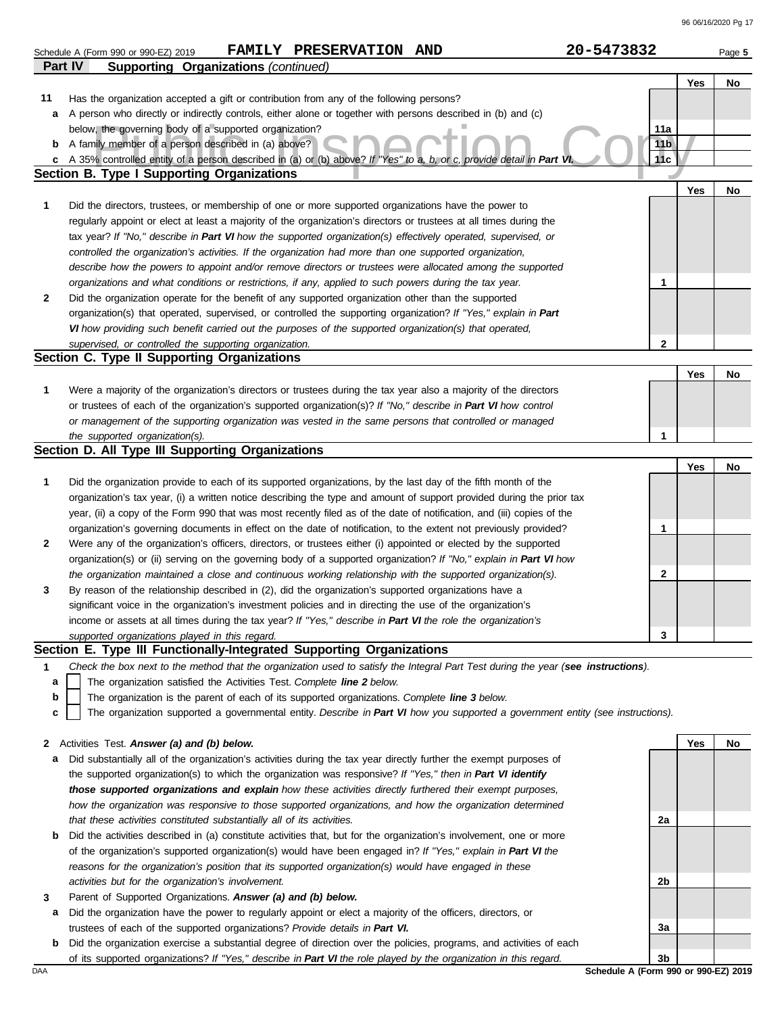|         | FAMILY PRESERVATION AND<br>Schedule A (Form 990 or 990-EZ) 2019                                                                                                                                                                            | 20-5473832             | Page 5 |
|---------|--------------------------------------------------------------------------------------------------------------------------------------------------------------------------------------------------------------------------------------------|------------------------|--------|
| Part IV | <b>Supporting Organizations (continued)</b>                                                                                                                                                                                                |                        |        |
|         |                                                                                                                                                                                                                                            | Yes                    | No     |
| 11      | Has the organization accepted a gift or contribution from any of the following persons?                                                                                                                                                    |                        |        |
| а       | A person who directly or indirectly controls, either alone or together with persons described in (b) and (c)                                                                                                                               |                        |        |
| b       | below, the governing body of a supported organization?<br>A family member of a person described in (a) above?                                                                                                                              | 11a<br>11 <sub>b</sub> |        |
| c       | A 35% controlled entity of a person described in (a) or (b) above? If "Yes" to a, b, or c, provide detail in Part VI                                                                                                                       | 11c                    |        |
|         | <b>Section B. Type I Supporting Organizations</b>                                                                                                                                                                                          |                        |        |
|         |                                                                                                                                                                                                                                            | Yes                    | No     |
| 1       | Did the directors, trustees, or membership of one or more supported organizations have the power to                                                                                                                                        |                        |        |
|         | regularly appoint or elect at least a majority of the organization's directors or trustees at all times during the                                                                                                                         |                        |        |
|         | tax year? If "No," describe in Part VI how the supported organization(s) effectively operated, supervised, or                                                                                                                              |                        |        |
|         | controlled the organization's activities. If the organization had more than one supported organization,                                                                                                                                    |                        |        |
|         | describe how the powers to appoint and/or remove directors or trustees were allocated among the supported                                                                                                                                  |                        |        |
|         | organizations and what conditions or restrictions, if any, applied to such powers during the tax year.                                                                                                                                     | 1                      |        |
| 2       | Did the organization operate for the benefit of any supported organization other than the supported                                                                                                                                        |                        |        |
|         | organization(s) that operated, supervised, or controlled the supporting organization? If "Yes," explain in Part                                                                                                                            |                        |        |
|         | VI how providing such benefit carried out the purposes of the supported organization(s) that operated,<br>supervised, or controlled the supporting organization.                                                                           | $\mathbf 2$            |        |
|         | Section C. Type II Supporting Organizations                                                                                                                                                                                                |                        |        |
|         |                                                                                                                                                                                                                                            | Yes                    | No     |
| 1       | Were a majority of the organization's directors or trustees during the tax year also a majority of the directors                                                                                                                           |                        |        |
|         | or trustees of each of the organization's supported organization(s)? If "No," describe in Part VI how control                                                                                                                              |                        |        |
|         | or management of the supporting organization was vested in the same persons that controlled or managed                                                                                                                                     |                        |        |
|         | the supported organization(s).                                                                                                                                                                                                             | 1                      |        |
|         | Section D. All Type III Supporting Organizations                                                                                                                                                                                           |                        |        |
|         |                                                                                                                                                                                                                                            | Yes                    | No     |
| 1       | Did the organization provide to each of its supported organizations, by the last day of the fifth month of the                                                                                                                             |                        |        |
|         | organization's tax year, (i) a written notice describing the type and amount of support provided during the prior tax                                                                                                                      |                        |        |
|         | year, (ii) a copy of the Form 990 that was most recently filed as of the date of notification, and (iii) copies of the<br>organization's governing documents in effect on the date of notification, to the extent not previously provided? | 1                      |        |
| 2       | Were any of the organization's officers, directors, or trustees either (i) appointed or elected by the supported                                                                                                                           |                        |        |
|         | organization(s) or (ii) serving on the governing body of a supported organization? If "No," explain in Part VI how                                                                                                                         |                        |        |
|         | the organization maintained a close and continuous working relationship with the supported organization(s).                                                                                                                                | 2                      |        |
| 3       | By reason of the relationship described in (2), did the organization's supported organizations have a                                                                                                                                      |                        |        |
|         | significant voice in the organization's investment policies and in directing the use of the organization's                                                                                                                                 |                        |        |
|         | income or assets at all times during the tax year? If "Yes," describe in Part VI the role the organization's                                                                                                                               |                        |        |
|         | supported organizations played in this regard.                                                                                                                                                                                             | 3                      |        |
|         | Section E. Type III Functionally-Integrated Supporting Organizations                                                                                                                                                                       |                        |        |
| 1       | Check the box next to the method that the organization used to satisfy the Integral Part Test during the year (see instructions).<br>The organization satisfied the Activities Test. Complete line 2 below.                                |                        |        |
| a<br>b  | The organization is the parent of each of its supported organizations. Complete line 3 below.                                                                                                                                              |                        |        |
| C       | The organization supported a governmental entity. Describe in Part VI how you supported a government entity (see instructions).                                                                                                            |                        |        |
|         |                                                                                                                                                                                                                                            |                        |        |
| 2       | Activities Test. Answer (a) and (b) below.                                                                                                                                                                                                 | Yes                    | No     |
| а       | Did substantially all of the organization's activities during the tax year directly further the exempt purposes of                                                                                                                         |                        |        |
|         | the supported organization(s) to which the organization was responsive? If "Yes," then in Part VI identify                                                                                                                                 |                        |        |
|         | those supported organizations and explain how these activities directly furthered their exempt purposes,                                                                                                                                   |                        |        |
|         | how the organization was responsive to those supported organizations, and how the organization determined                                                                                                                                  |                        |        |
|         | that these activities constituted substantially all of its activities.                                                                                                                                                                     | 2a                     |        |
| b       | Did the activities described in (a) constitute activities that, but for the organization's involvement, one or more                                                                                                                        |                        |        |
|         | of the organization's supported organization(s) would have been engaged in? If "Yes," explain in Part VI the                                                                                                                               |                        |        |
|         | reasons for the organization's position that its supported organization(s) would have engaged in these                                                                                                                                     |                        |        |
| 3       | activities but for the organization's involvement.<br>Parent of Supported Organizations. Answer (a) and (b) below.                                                                                                                         | 2b                     |        |
| а       | Did the organization have the power to regularly appoint or elect a majority of the officers, directors, or                                                                                                                                |                        |        |
|         | trustees of each of the supported organizations? Provide details in Part VI.                                                                                                                                                               | За                     |        |
| b       | Did the organization exercise a substantial degree of direction over the policies, programs, and activities of each                                                                                                                        |                        |        |

of its supported organizations? *If "Yes," describe in Part VI the role played by the organization in this regard.*

DAA **Schedule A (Form 990 or 990-EZ) 2019**  $|3b|$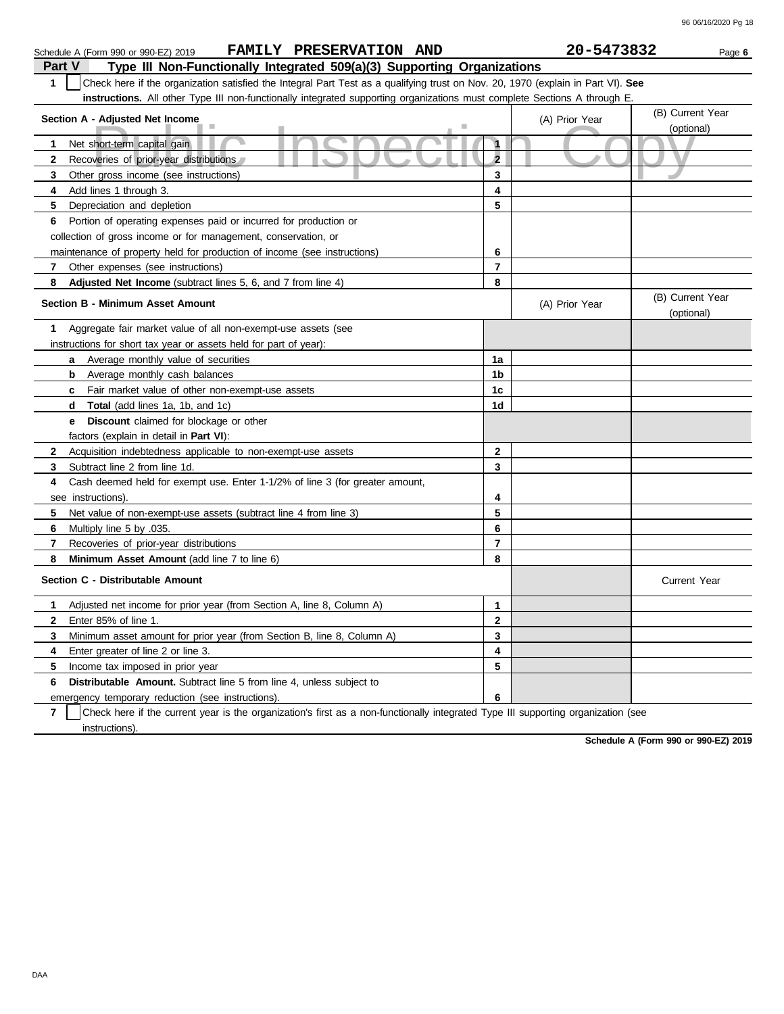| FAMILY PRESERVATION AND<br>Schedule A (Form 990 or 990-EZ) 2019                                                                       |                | 20-5473832     | Page 6                         |
|---------------------------------------------------------------------------------------------------------------------------------------|----------------|----------------|--------------------------------|
| Type III Non-Functionally Integrated 509(a)(3) Supporting Organizations<br>Part V                                                     |                |                |                                |
| Check here if the organization satisfied the Integral Part Test as a qualifying trust on Nov. 20, 1970 (explain in Part VI). See<br>1 |                |                |                                |
| instructions. All other Type III non-functionally integrated supporting organizations must complete Sections A through E              |                |                |                                |
|                                                                                                                                       |                |                | (B) Current Year               |
| Section A - Adjusted Net Income                                                                                                       |                | (A) Prior Year | (optional)                     |
| Net short-term capital gain<br>1                                                                                                      | $\mathbf{1}$   |                |                                |
| $\mathbf{2}$<br>Recoveries of prior-year distributions                                                                                | $\overline{2}$ |                |                                |
| 3<br>Other gross income (see instructions)                                                                                            | 3              |                |                                |
| 4<br>Add lines 1 through 3.                                                                                                           | 4              |                |                                |
| 5<br>Depreciation and depletion                                                                                                       | 5              |                |                                |
| Portion of operating expenses paid or incurred for production or<br>6                                                                 |                |                |                                |
| collection of gross income or for management, conservation, or                                                                        |                |                |                                |
| maintenance of property held for production of income (see instructions)                                                              | 6              |                |                                |
| 7<br>Other expenses (see instructions)                                                                                                | $\overline{7}$ |                |                                |
| 8<br>Adjusted Net Income (subtract lines 5, 6, and 7 from line 4)                                                                     | 8              |                |                                |
| <b>Section B - Minimum Asset Amount</b>                                                                                               |                | (A) Prior Year | (B) Current Year<br>(optional) |
| Aggregate fair market value of all non-exempt-use assets (see<br>1                                                                    |                |                |                                |
| instructions for short tax year or assets held for part of year):                                                                     |                |                |                                |
| Average monthly value of securities<br>a                                                                                              | 1a             |                |                                |
| b<br>Average monthly cash balances                                                                                                    | 1 <sub>b</sub> |                |                                |
| Fair market value of other non-exempt-use assets<br>c                                                                                 | 1c             |                |                                |
| <b>Total</b> (add lines 1a, 1b, and 1c)<br>d                                                                                          | 1d             |                |                                |
| Discount claimed for blockage or other<br>е                                                                                           |                |                |                                |
| factors (explain in detail in Part VI):                                                                                               |                |                |                                |
| $\mathbf{2}$<br>Acquisition indebtedness applicable to non-exempt-use assets                                                          | $\mathbf{2}$   |                |                                |
| Subtract line 2 from line 1d.<br>3                                                                                                    | 3              |                |                                |
| Cash deemed held for exempt use. Enter 1-1/2% of line 3 (for greater amount,<br>4                                                     |                |                |                                |
| see instructions)                                                                                                                     | 4              |                |                                |
| 5<br>Net value of non-exempt-use assets (subtract line 4 from line 3)                                                                 | 5              |                |                                |
| Multiply line 5 by .035.<br>6                                                                                                         | 6              |                |                                |
| 7<br>Recoveries of prior-year distributions                                                                                           | $\overline{7}$ |                |                                |
| 8<br>Minimum Asset Amount (add line 7 to line 6)                                                                                      | 8              |                |                                |
| Section C - Distributable Amount                                                                                                      |                |                | <b>Current Year</b>            |
| 1<br>Adjusted net income for prior year (from Section A, line 8, Column A)                                                            | 1              |                |                                |
| $\mathbf{2}$<br>Enter 85% of line 1.                                                                                                  | $\mathbf{2}$   |                |                                |
| 3<br>Minimum asset amount for prior year (from Section B, line 8, Column A)                                                           | 3              |                |                                |
| 4<br>Enter greater of line 2 or line 3.                                                                                               | 4              |                |                                |
| 5<br>Income tax imposed in prior year                                                                                                 | 5              |                |                                |
| <b>Distributable Amount.</b> Subtract line 5 from line 4, unless subject to<br>6                                                      |                |                |                                |
| emergency temporary reduction (see instructions).                                                                                     | 6              |                |                                |

**7** instructions). Check here if the current year is the organization's first as a non-functionally integrated Type III supporting organization (see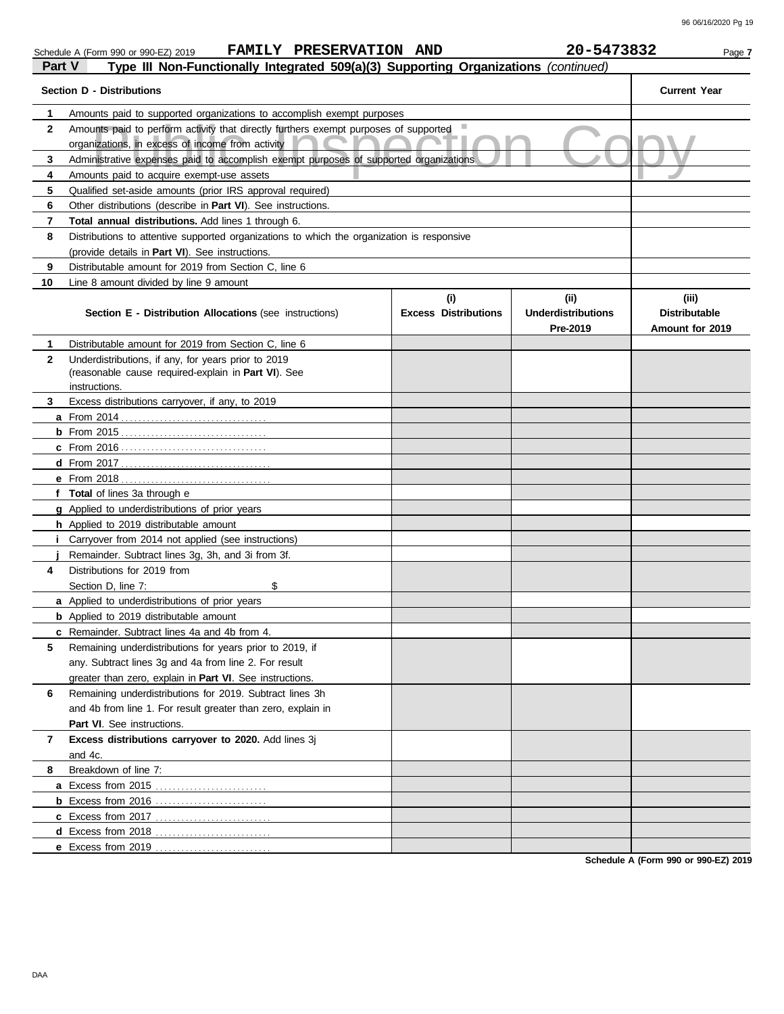| Part V<br>Type III Non-Functionally Integrated 509(a)(3) Supporting Organizations (continued) |                                                                                                                                          |                                    |                                               |                                                  |  |
|-----------------------------------------------------------------------------------------------|------------------------------------------------------------------------------------------------------------------------------------------|------------------------------------|-----------------------------------------------|--------------------------------------------------|--|
|                                                                                               | <b>Section D - Distributions</b>                                                                                                         |                                    |                                               | <b>Current Year</b>                              |  |
| 1                                                                                             | Amounts paid to supported organizations to accomplish exempt purposes                                                                    |                                    |                                               |                                                  |  |
| $\mathbf{2}$                                                                                  | Amounts paid to perform activity that directly furthers exempt purposes of supported<br>organizations, in excess of income from activity |                                    |                                               |                                                  |  |
| 3                                                                                             | Administrative expenses paid to accomplish exempt purposes of supported organizations                                                    |                                    |                                               |                                                  |  |
| 4                                                                                             | Amounts paid to acquire exempt-use assets                                                                                                |                                    |                                               |                                                  |  |
| 5                                                                                             | Qualified set-aside amounts (prior IRS approval required)                                                                                |                                    |                                               |                                                  |  |
| 6                                                                                             | Other distributions (describe in Part VI). See instructions.                                                                             |                                    |                                               |                                                  |  |
| 7                                                                                             | <b>Total annual distributions.</b> Add lines 1 through 6.                                                                                |                                    |                                               |                                                  |  |
| 8                                                                                             | Distributions to attentive supported organizations to which the organization is responsive                                               |                                    |                                               |                                                  |  |
|                                                                                               | (provide details in Part VI). See instructions.                                                                                          |                                    |                                               |                                                  |  |
| 9                                                                                             | Distributable amount for 2019 from Section C, line 6                                                                                     |                                    |                                               |                                                  |  |
| 10                                                                                            | Line 8 amount divided by line 9 amount                                                                                                   |                                    |                                               |                                                  |  |
|                                                                                               | <b>Section E - Distribution Allocations (see instructions)</b>                                                                           | (i)<br><b>Excess Distributions</b> | (ii)<br><b>Underdistributions</b><br>Pre-2019 | (iii)<br><b>Distributable</b><br>Amount for 2019 |  |
| 1                                                                                             | Distributable amount for 2019 from Section C, line 6                                                                                     |                                    |                                               |                                                  |  |
| $\mathbf{2}$                                                                                  | Underdistributions, if any, for years prior to 2019                                                                                      |                                    |                                               |                                                  |  |
|                                                                                               | (reasonable cause required-explain in Part VI). See                                                                                      |                                    |                                               |                                                  |  |
|                                                                                               | instructions.                                                                                                                            |                                    |                                               |                                                  |  |
| 3                                                                                             | Excess distributions carryover, if any, to 2019                                                                                          |                                    |                                               |                                                  |  |
|                                                                                               |                                                                                                                                          |                                    |                                               |                                                  |  |
|                                                                                               |                                                                                                                                          |                                    |                                               |                                                  |  |
|                                                                                               |                                                                                                                                          |                                    |                                               |                                                  |  |
|                                                                                               |                                                                                                                                          |                                    |                                               |                                                  |  |
|                                                                                               |                                                                                                                                          |                                    |                                               |                                                  |  |
|                                                                                               | f Total of lines 3a through e                                                                                                            |                                    |                                               |                                                  |  |
|                                                                                               | <b>g</b> Applied to underdistributions of prior years                                                                                    |                                    |                                               |                                                  |  |
|                                                                                               | <b>h</b> Applied to 2019 distributable amount                                                                                            |                                    |                                               |                                                  |  |
|                                                                                               | <i>i</i> Carryover from 2014 not applied (see instructions)                                                                              |                                    |                                               |                                                  |  |
|                                                                                               | Remainder. Subtract lines 3g, 3h, and 3i from 3f.                                                                                        |                                    |                                               |                                                  |  |
| 4                                                                                             | Distributions for 2019 from                                                                                                              |                                    |                                               |                                                  |  |
|                                                                                               | \$<br>Section D, line 7:                                                                                                                 |                                    |                                               |                                                  |  |
|                                                                                               | <b>a</b> Applied to underdistributions of prior years                                                                                    |                                    |                                               |                                                  |  |
|                                                                                               | <b>b</b> Applied to 2019 distributable amount                                                                                            |                                    |                                               |                                                  |  |
|                                                                                               | c Remainder. Subtract lines 4a and 4b from 4.                                                                                            |                                    |                                               |                                                  |  |
| 5                                                                                             | Remaining underdistributions for years prior to 2019, if                                                                                 |                                    |                                               |                                                  |  |
|                                                                                               | any. Subtract lines 3g and 4a from line 2. For result                                                                                    |                                    |                                               |                                                  |  |
|                                                                                               | greater than zero, explain in <b>Part VI</b> . See instructions.                                                                         |                                    |                                               |                                                  |  |
| 6                                                                                             | Remaining underdistributions for 2019. Subtract lines 3h                                                                                 |                                    |                                               |                                                  |  |
|                                                                                               | and 4b from line 1. For result greater than zero, explain in                                                                             |                                    |                                               |                                                  |  |
|                                                                                               | <b>Part VI.</b> See instructions.                                                                                                        |                                    |                                               |                                                  |  |
| 7                                                                                             | Excess distributions carryover to 2020. Add lines 3j                                                                                     |                                    |                                               |                                                  |  |
| 8                                                                                             | and 4c.<br>Breakdown of line 7:                                                                                                          |                                    |                                               |                                                  |  |
|                                                                                               | a Excess from 2015                                                                                                                       |                                    |                                               |                                                  |  |
|                                                                                               |                                                                                                                                          |                                    |                                               |                                                  |  |
|                                                                                               | <b>c</b> Excess from 2017                                                                                                                |                                    |                                               |                                                  |  |
|                                                                                               | d Excess from 2018                                                                                                                       |                                    |                                               |                                                  |  |
|                                                                                               | e Excess from 2019                                                                                                                       |                                    |                                               |                                                  |  |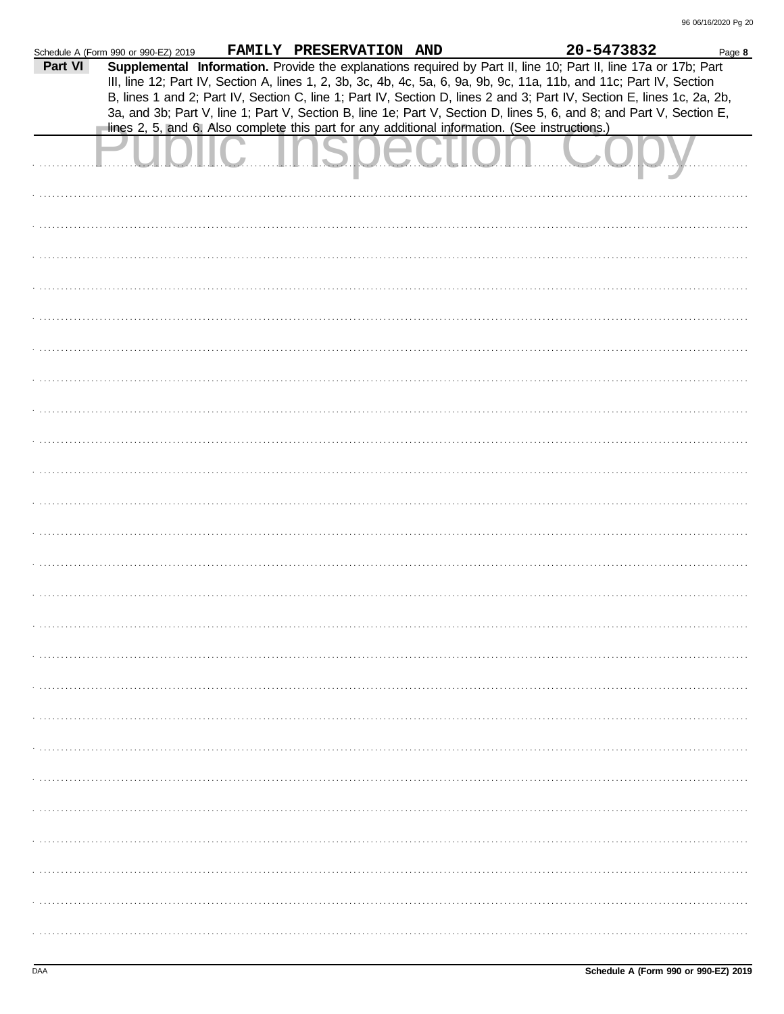|         | Schedule A (Form 990 or 990-EZ) 2019 | FAMILY PRESERVATION AND |                                                                                                | 20-5473832                                                                                                                                                                                                                                                                                                                                                        | Page 8 |
|---------|--------------------------------------|-------------------------|------------------------------------------------------------------------------------------------|-------------------------------------------------------------------------------------------------------------------------------------------------------------------------------------------------------------------------------------------------------------------------------------------------------------------------------------------------------------------|--------|
| Part VI |                                      |                         |                                                                                                | Supplemental Information. Provide the explanations required by Part II, line 10; Part II, line 17a or 17b; Part<br>III, line 12; Part IV, Section A, lines 1, 2, 3b, 3c, 4b, 4c, 5a, 6, 9a, 9b, 9c, 11a, 11b, and 11c; Part IV, Section<br>B, lines 1 and 2; Part IV, Section C, line 1; Part IV, Section D, lines 2 and 3; Part IV, Section E, lines 1c, 2a, 2b, |        |
|         |                                      |                         | lines 2, 5, and 6. Also complete this part for any additional information. (See instructions.) | 3a, and 3b; Part V, line 1; Part V, Section B, line 1e; Part V, Section D, lines 5, 6, and 8; and Part V, Section E,                                                                                                                                                                                                                                              |        |
|         |                                      |                         |                                                                                                |                                                                                                                                                                                                                                                                                                                                                                   |        |
|         |                                      |                         |                                                                                                |                                                                                                                                                                                                                                                                                                                                                                   |        |
|         |                                      |                         |                                                                                                |                                                                                                                                                                                                                                                                                                                                                                   |        |
|         |                                      |                         |                                                                                                |                                                                                                                                                                                                                                                                                                                                                                   |        |
|         |                                      |                         |                                                                                                |                                                                                                                                                                                                                                                                                                                                                                   |        |
|         |                                      |                         |                                                                                                |                                                                                                                                                                                                                                                                                                                                                                   |        |
|         |                                      |                         |                                                                                                |                                                                                                                                                                                                                                                                                                                                                                   |        |
|         |                                      |                         |                                                                                                |                                                                                                                                                                                                                                                                                                                                                                   |        |
|         |                                      |                         |                                                                                                |                                                                                                                                                                                                                                                                                                                                                                   |        |
|         |                                      |                         |                                                                                                |                                                                                                                                                                                                                                                                                                                                                                   |        |
|         |                                      |                         |                                                                                                |                                                                                                                                                                                                                                                                                                                                                                   |        |
|         |                                      |                         |                                                                                                |                                                                                                                                                                                                                                                                                                                                                                   |        |
|         |                                      |                         |                                                                                                |                                                                                                                                                                                                                                                                                                                                                                   |        |
|         |                                      |                         |                                                                                                |                                                                                                                                                                                                                                                                                                                                                                   |        |
|         |                                      |                         |                                                                                                |                                                                                                                                                                                                                                                                                                                                                                   |        |
|         |                                      |                         |                                                                                                |                                                                                                                                                                                                                                                                                                                                                                   |        |
|         |                                      |                         |                                                                                                |                                                                                                                                                                                                                                                                                                                                                                   |        |
|         |                                      |                         |                                                                                                |                                                                                                                                                                                                                                                                                                                                                                   |        |
|         |                                      |                         |                                                                                                |                                                                                                                                                                                                                                                                                                                                                                   |        |
|         |                                      |                         |                                                                                                |                                                                                                                                                                                                                                                                                                                                                                   |        |
|         |                                      |                         |                                                                                                |                                                                                                                                                                                                                                                                                                                                                                   |        |
|         |                                      |                         |                                                                                                |                                                                                                                                                                                                                                                                                                                                                                   |        |
|         |                                      |                         |                                                                                                |                                                                                                                                                                                                                                                                                                                                                                   |        |
|         |                                      |                         |                                                                                                |                                                                                                                                                                                                                                                                                                                                                                   |        |
|         |                                      |                         |                                                                                                |                                                                                                                                                                                                                                                                                                                                                                   |        |
|         |                                      |                         |                                                                                                |                                                                                                                                                                                                                                                                                                                                                                   |        |
|         |                                      |                         |                                                                                                |                                                                                                                                                                                                                                                                                                                                                                   |        |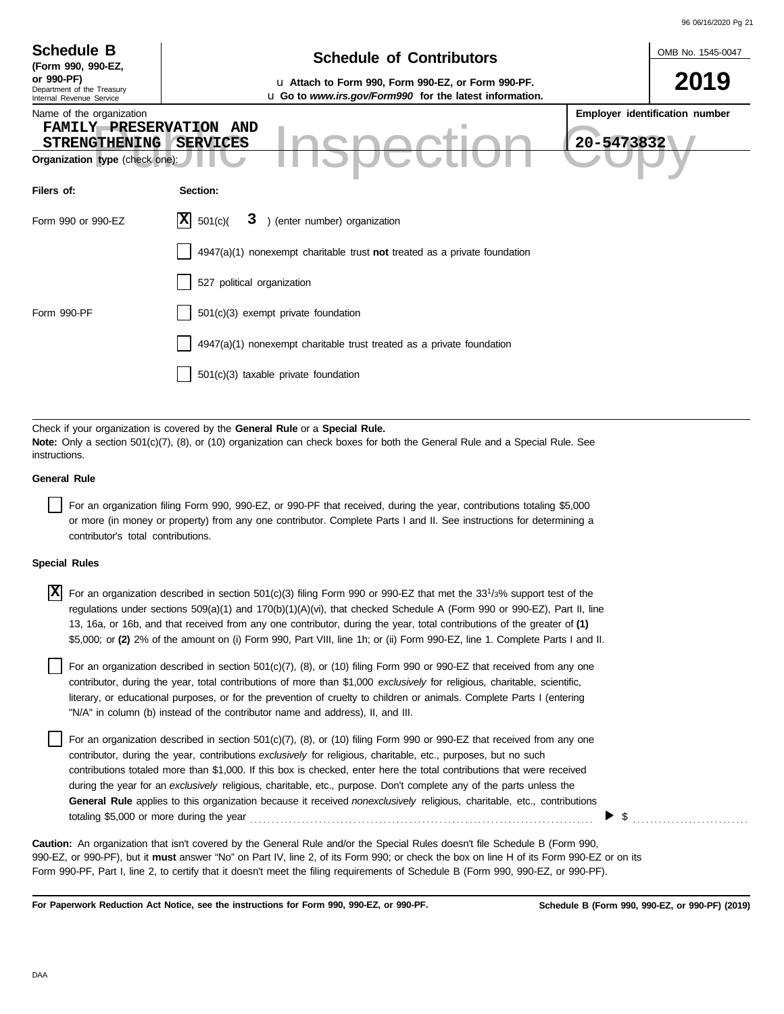|                                                                                                                                                                                                                                                                                     |                                                                                                                                                                                                                                                                                                                                                                                                                                                                                                                            | 96 06/16/2020 Pg 21            |  |  |  |  |  |
|-------------------------------------------------------------------------------------------------------------------------------------------------------------------------------------------------------------------------------------------------------------------------------------|----------------------------------------------------------------------------------------------------------------------------------------------------------------------------------------------------------------------------------------------------------------------------------------------------------------------------------------------------------------------------------------------------------------------------------------------------------------------------------------------------------------------------|--------------------------------|--|--|--|--|--|
| <b>Schedule B</b><br>(Form 990, 990-EZ,                                                                                                                                                                                                                                             | <b>Schedule of Contributors</b>                                                                                                                                                                                                                                                                                                                                                                                                                                                                                            | OMB No. 1545-0047              |  |  |  |  |  |
| or 990-PF)<br>Department of the Treasury<br>Internal Revenue Service                                                                                                                                                                                                                | u Attach to Form 990, Form 990-EZ, or Form 990-PF.<br>u Go to www.irs.gov/Form990 for the latest information.                                                                                                                                                                                                                                                                                                                                                                                                              | 2019                           |  |  |  |  |  |
| Name of the organization<br>FAMILY PRESERVATION AND<br><b>STRENGTHENING</b><br>Organization type (check one):                                                                                                                                                                       | 20-5473832<br><b>SERVICES</b>                                                                                                                                                                                                                                                                                                                                                                                                                                                                                              | Employer identification number |  |  |  |  |  |
| Filers of:                                                                                                                                                                                                                                                                          | Section:                                                                                                                                                                                                                                                                                                                                                                                                                                                                                                                   |                                |  |  |  |  |  |
| Form 990 or 990-EZ                                                                                                                                                                                                                                                                  | ΙXΙ<br>) (enter number) organization<br>501(c)<br>3                                                                                                                                                                                                                                                                                                                                                                                                                                                                        |                                |  |  |  |  |  |
|                                                                                                                                                                                                                                                                                     | $4947(a)(1)$ nonexempt charitable trust not treated as a private foundation                                                                                                                                                                                                                                                                                                                                                                                                                                                |                                |  |  |  |  |  |
|                                                                                                                                                                                                                                                                                     | 527 political organization                                                                                                                                                                                                                                                                                                                                                                                                                                                                                                 |                                |  |  |  |  |  |
| Form 990-PF                                                                                                                                                                                                                                                                         | 501(c)(3) exempt private foundation                                                                                                                                                                                                                                                                                                                                                                                                                                                                                        |                                |  |  |  |  |  |
|                                                                                                                                                                                                                                                                                     | 4947(a)(1) nonexempt charitable trust treated as a private foundation                                                                                                                                                                                                                                                                                                                                                                                                                                                      |                                |  |  |  |  |  |
|                                                                                                                                                                                                                                                                                     | 501(c)(3) taxable private foundation                                                                                                                                                                                                                                                                                                                                                                                                                                                                                       |                                |  |  |  |  |  |
|                                                                                                                                                                                                                                                                                     |                                                                                                                                                                                                                                                                                                                                                                                                                                                                                                                            |                                |  |  |  |  |  |
| instructions.                                                                                                                                                                                                                                                                       | Check if your organization is covered by the General Rule or a Special Rule.<br><b>Note:</b> Only a section 501(c)(7), (8), or (10) organization can check boxes for both the General Rule and a Special Rule. See                                                                                                                                                                                                                                                                                                         |                                |  |  |  |  |  |
| <b>General Rule</b>                                                                                                                                                                                                                                                                 |                                                                                                                                                                                                                                                                                                                                                                                                                                                                                                                            |                                |  |  |  |  |  |
| For an organization filing Form 990, 990-EZ, or 990-PF that received, during the year, contributions totaling \$5,000<br>or more (in money or property) from any one contributor. Complete Parts I and II. See instructions for determining a<br>contributor's total contributions. |                                                                                                                                                                                                                                                                                                                                                                                                                                                                                                                            |                                |  |  |  |  |  |
| <b>Special Rules</b>                                                                                                                                                                                                                                                                |                                                                                                                                                                                                                                                                                                                                                                                                                                                                                                                            |                                |  |  |  |  |  |
| x                                                                                                                                                                                                                                                                                   | For an organization described in section 501(c)(3) filing Form 990 or 990-EZ that met the 33 <sup>1</sup> /3% support test of the<br>regulations under sections $509(a)(1)$ and $170(b)(1)(A)(vi)$ , that checked Schedule A (Form 990 or 990-EZ), Part II, line<br>13, 16a, or 16b, and that received from any one contributor, during the year, total contributions of the greater of (1)<br>\$5,000; or (2) 2% of the amount on (i) Form 990, Part VIII, line 1h; or (ii) Form 990-EZ, line 1. Complete Parts I and II. |                                |  |  |  |  |  |

literary, or educational purposes, or for the prevention of cruelty to children or animals. Complete Parts I (entering For an organization described in section  $501(c)(7)$ ,  $(8)$ , or  $(10)$  filing Form 990 or 990-EZ that received from any one contributor, during the year, total contributions of more than \$1,000 *exclusively* for religious, charitable, scientific, "N/A" in column (b) instead of the contributor name and address), II, and III.

For an organization described in section 501(c)(7), (8), or (10) filing Form 990 or 990-EZ that received from any one contributor, during the year, contributions *exclusively* for religious, charitable, etc., purposes, but no such contributions totaled more than \$1,000. If this box is checked, enter here the total contributions that were received during the year for an *exclusively* religious, charitable, etc., purpose. Don't complete any of the parts unless the **General Rule** applies to this organization because it received *nonexclusively* religious, charitable, etc., contributions totaling \$5,000 or more during the year . . . . . . . . . . . . . . . . . . . . . . . . . . . . . . . . . . . . . . . . . . . . . . . . . . . . . . . . . . . . . . . . . . . . . . . . . . . . . . . .

990-EZ, or 990-PF), but it **must** answer "No" on Part IV, line 2, of its Form 990; or check the box on line H of its Form 990-EZ or on its Form 990-PF, Part I, line 2, to certify that it doesn't meet the filing requirements of Schedule B (Form 990, 990-EZ, or 990-PF). **Caution:** An organization that isn't covered by the General Rule and/or the Special Rules doesn't file Schedule B (Form 990,

**For Paperwork Reduction Act Notice, see the instructions for Form 990, 990-EZ, or 990-PF.**

 $\triangleright$  \$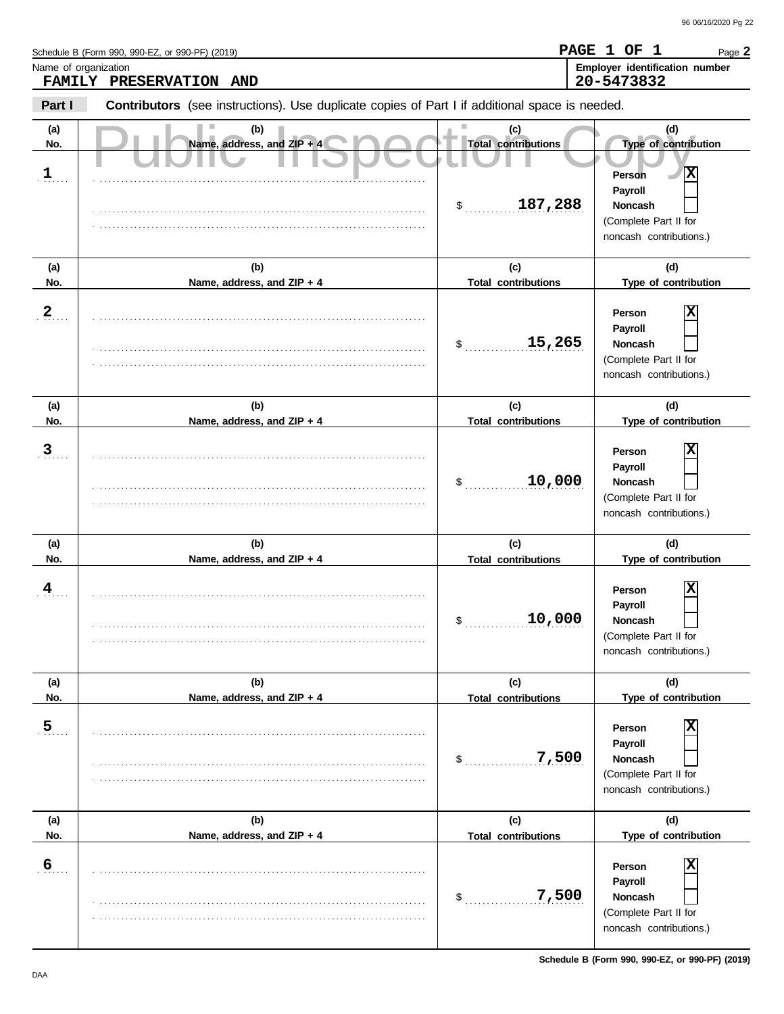Schedule B (Form 990, 990-EZ, or 990-PF) (2019)

Name of organization **Employer identification number Employer identification number** Page **2 PAGE 1 OF 1**

|                            | 20-5473832<br><b>FAMILY</b><br><b>PRESERVATION</b><br><b>AND</b>                               |                                                    |                                                                                                                       |  |  |  |  |
|----------------------------|------------------------------------------------------------------------------------------------|----------------------------------------------------|-----------------------------------------------------------------------------------------------------------------------|--|--|--|--|
| Part I                     | Contributors (see instructions). Use duplicate copies of Part I if additional space is needed. |                                                    |                                                                                                                       |  |  |  |  |
| (a)<br>No.<br>$\mathbf{1}$ | (b)<br>Name, address, and $ZIP + 4$                                                            | (c)<br><b>Total contributions</b><br>187,288<br>\$ | (d)<br>Type of contribution<br>Ιx<br>Person<br>Payroll<br>Noncash<br>(Complete Part II for<br>noncash contributions.) |  |  |  |  |
| (a)<br>No.                 | (b)<br>Name, address, and ZIP + 4                                                              | (c)<br><b>Total contributions</b>                  | (d)<br>Type of contribution                                                                                           |  |  |  |  |
| $\frac{2}{\cdot}$          |                                                                                                | 15,265<br>\$                                       | X<br>Person<br>Payroll<br>Noncash<br>(Complete Part II for<br>noncash contributions.)                                 |  |  |  |  |
| (a)<br>No.                 | (b)<br>Name, address, and ZIP + 4                                                              | (c)<br><b>Total contributions</b>                  | (d)<br>Type of contribution                                                                                           |  |  |  |  |
| $\mathbf{3}$               |                                                                                                | 10,000<br>\$                                       | х<br>Person<br>Payroll<br>Noncash<br>(Complete Part II for<br>noncash contributions.)                                 |  |  |  |  |
| (a)<br>No.                 | (b)<br>Name, address, and ZIP + 4                                                              | (c)<br><b>Total contributions</b>                  | (d)<br>Type of contribution                                                                                           |  |  |  |  |
| 4                          |                                                                                                | 10,000<br>\$                                       | x<br>Person<br>Payroll<br>Noncash<br>(Complete Part II for<br>noncash contributions.)                                 |  |  |  |  |
| (a)                        | (b)                                                                                            | (c)                                                | (d)                                                                                                                   |  |  |  |  |
| No.                        | Name, address, and ZIP + 4                                                                     | <b>Total contributions</b>                         | Type of contribution                                                                                                  |  |  |  |  |
| $\overline{5}$             |                                                                                                | 7,500<br>\$                                        | х<br>Person<br>Payroll<br>Noncash<br>(Complete Part II for<br>noncash contributions.)                                 |  |  |  |  |
| (a)                        | (b)                                                                                            | (c)                                                | (d)                                                                                                                   |  |  |  |  |
| No.<br>$6\overline{6}$     | Name, address, and ZIP + 4                                                                     | <b>Total contributions</b><br>7,500<br>\$          | Type of contribution<br>X<br>Person<br>Payroll<br>Noncash<br>(Complete Part II for<br>noncash contributions.)         |  |  |  |  |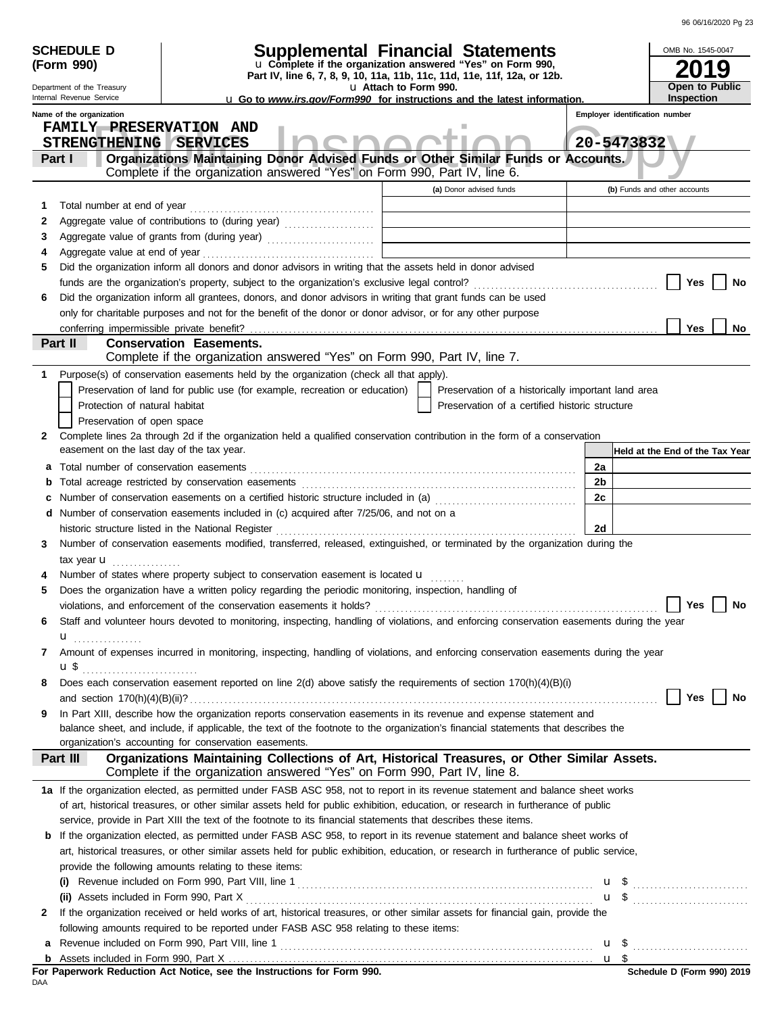| 96 06/16/2020 Pg 23 |
|---------------------|
|                     |

|     | <b>SCHEDULE D</b><br>(Form 990)           | <b>Supplemental Financial Statements</b><br>u Complete if the organization answered "Yes" on Form 990,                                                                                  |       |                                | OMB No. 1545-0047<br>9                   |
|-----|-------------------------------------------|-----------------------------------------------------------------------------------------------------------------------------------------------------------------------------------------|-------|--------------------------------|------------------------------------------|
|     | Department of the Treasury                | Part IV, line 6, 7, 8, 9, 10, 11a, 11b, 11c, 11d, 11e, 11f, 12a, or 12b.<br>u Attach to Form 990.                                                                                       |       |                                | Open to Public                           |
|     | Internal Revenue Service                  | <b>u</b> Go to www.irs.gov/Form990 for instructions and the latest information.                                                                                                         |       |                                | <b>Inspection</b>                        |
|     | Name of the organization                  |                                                                                                                                                                                         |       | Employer identification number |                                          |
|     | <b>FAMILY PRESERVATION AND</b>            |                                                                                                                                                                                         |       |                                |                                          |
|     | STRENGTHENING SERVICES                    |                                                                                                                                                                                         |       | 20-5473832                     |                                          |
|     | Part I                                    | Organizations Maintaining Donor Advised Funds or Other Similar Funds or Accounts.<br>Complete if the organization answered "Yes" on Form 990, Part IV, line 6.                          |       |                                |                                          |
|     |                                           | (a) Donor advised funds                                                                                                                                                                 |       |                                | (b) Funds and other accounts             |
| 1   | Total number at end of year               |                                                                                                                                                                                         |       |                                |                                          |
| 2   |                                           |                                                                                                                                                                                         |       |                                |                                          |
| 3   |                                           | Aggregate value of grants from (during year)                                                                                                                                            |       |                                |                                          |
| 4   |                                           |                                                                                                                                                                                         |       |                                |                                          |
| 5   |                                           | Did the organization inform all donors and donor advisors in writing that the assets held in donor advised                                                                              |       |                                |                                          |
|     |                                           |                                                                                                                                                                                         |       |                                | Yes<br>No                                |
| 6   |                                           | Did the organization inform all grantees, donors, and donor advisors in writing that grant funds can be used                                                                            |       |                                |                                          |
|     |                                           | only for charitable purposes and not for the benefit of the donor or donor advisor, or for any other purpose                                                                            |       |                                |                                          |
|     |                                           |                                                                                                                                                                                         |       |                                | Yes<br>No                                |
|     | Part II                                   | <b>Conservation Easements.</b>                                                                                                                                                          |       |                                |                                          |
|     |                                           | Complete if the organization answered "Yes" on Form 990, Part IV, line 7.                                                                                                               |       |                                |                                          |
| 1   |                                           | Purpose(s) of conservation easements held by the organization (check all that apply).                                                                                                   |       |                                |                                          |
|     |                                           | Preservation of land for public use (for example, recreation or education)<br>Preservation of a historically important land area                                                        |       |                                |                                          |
|     | Protection of natural habitat             | Preservation of a certified historic structure                                                                                                                                          |       |                                |                                          |
|     | Preservation of open space                |                                                                                                                                                                                         |       |                                |                                          |
| 2   |                                           | Complete lines 2a through 2d if the organization held a qualified conservation contribution in the form of a conservation                                                               |       |                                |                                          |
|     | easement on the last day of the tax year. |                                                                                                                                                                                         |       |                                | Held at the End of the Tax Year          |
| а   |                                           |                                                                                                                                                                                         | 2a    |                                |                                          |
| b   |                                           |                                                                                                                                                                                         | 2b    |                                |                                          |
|     |                                           |                                                                                                                                                                                         | 2c    |                                |                                          |
| d   |                                           | Number of conservation easements included in (c) acquired after 7/25/06, and not on a                                                                                                   |       |                                |                                          |
|     |                                           | historic structure listed in the National Register                                                                                                                                      | 2d    |                                |                                          |
| 3   |                                           | Number of conservation easements modified, transferred, released, extinguished, or terminated by the organization during the                                                            |       |                                |                                          |
|     | tax year $\mathbf u$                      |                                                                                                                                                                                         |       |                                |                                          |
| 5   |                                           | Number of states where property subject to conservation easement is located u<br>Does the organization have a written policy regarding the periodic monitoring, inspection, handling of |       |                                |                                          |
|     |                                           | violations, and enforcement of the conservation easements it holds?                                                                                                                     |       |                                | <b>Yes</b><br>No                         |
| 6   |                                           | Staff and volunteer hours devoted to monitoring, inspecting, handling of violations, and enforcing conservation easements during the year                                               |       |                                |                                          |
|     |                                           |                                                                                                                                                                                         |       |                                |                                          |
| 7   | $\mathbf{u}_{\text{}}$                    | Amount of expenses incurred in monitoring, inspecting, handling of violations, and enforcing conservation easements during the year                                                     |       |                                |                                          |
|     | u\$                                       |                                                                                                                                                                                         |       |                                |                                          |
| 8   |                                           | Does each conservation easement reported on line 2(d) above satisfy the requirements of section 170(h)(4)(B)(i)                                                                         |       |                                |                                          |
|     |                                           |                                                                                                                                                                                         |       |                                | Yes<br>No                                |
| 9   |                                           | In Part XIII, describe how the organization reports conservation easements in its revenue and expense statement and                                                                     |       |                                |                                          |
|     |                                           | balance sheet, and include, if applicable, the text of the footnote to the organization's financial statements that describes the                                                       |       |                                |                                          |
|     |                                           | organization's accounting for conservation easements.                                                                                                                                   |       |                                |                                          |
|     | Part III                                  | Organizations Maintaining Collections of Art, Historical Treasures, or Other Similar Assets.                                                                                            |       |                                |                                          |
|     |                                           | Complete if the organization answered "Yes" on Form 990, Part IV, line 8.                                                                                                               |       |                                |                                          |
|     |                                           | 1a If the organization elected, as permitted under FASB ASC 958, not to report in its revenue statement and balance sheet works                                                         |       |                                |                                          |
|     |                                           | of art, historical treasures, or other similar assets held for public exhibition, education, or research in furtherance of public                                                       |       |                                |                                          |
|     |                                           | service, provide in Part XIII the text of the footnote to its financial statements that describes these items.                                                                          |       |                                |                                          |
|     |                                           | <b>b</b> If the organization elected, as permitted under FASB ASC 958, to report in its revenue statement and balance sheet works of                                                    |       |                                |                                          |
|     |                                           | art, historical treasures, or other similar assets held for public exhibition, education, or research in furtherance of public service,                                                 |       |                                |                                          |
|     |                                           | provide the following amounts relating to these items:                                                                                                                                  |       |                                |                                          |
|     |                                           |                                                                                                                                                                                         |       |                                | $\mathbf{u}$ \$                          |
|     |                                           | If the organization received or held works of art, historical treasures, or other similar assets for financial gain, provide the                                                        |       |                                | $\mathbf{u}$ \$ $\ldots$                 |
| 2   |                                           | following amounts required to be reported under FASB ASC 958 relating to these items:                                                                                                   |       |                                |                                          |
| a   |                                           |                                                                                                                                                                                         |       |                                |                                          |
|     |                                           |                                                                                                                                                                                         | $u \$ |                                |                                          |
|     |                                           | For Paperwork Reduction Act Notice, see the Instructions for Form 990.                                                                                                                  |       |                                | $\frac{1}{2}$ Schedule D (Form 990) 2019 |
| DAA |                                           |                                                                                                                                                                                         |       |                                |                                          |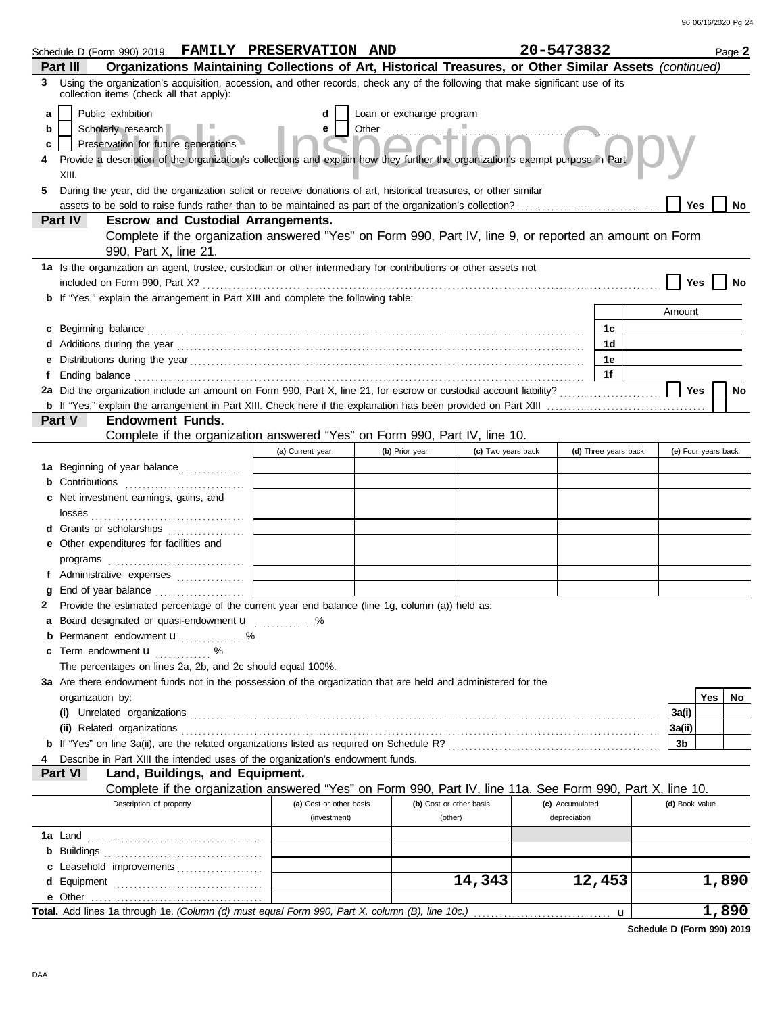| Schedule D (Form 990) 2019 FAMILY PRESERVATION AND                                                                                                                                                                                   |                                                                                                                                |                          |                         | 20-5473832      |                      |                | Page 2              |
|--------------------------------------------------------------------------------------------------------------------------------------------------------------------------------------------------------------------------------------|--------------------------------------------------------------------------------------------------------------------------------|--------------------------|-------------------------|-----------------|----------------------|----------------|---------------------|
| Organizations Maintaining Collections of Art, Historical Treasures, or Other Similar Assets (continued)<br>Part III                                                                                                                  |                                                                                                                                |                          |                         |                 |                      |                |                     |
| Using the organization's acquisition, accession, and other records, check any of the following that make significant use of its<br>3<br>collection items (check all that apply):                                                     |                                                                                                                                |                          |                         |                 |                      |                |                     |
| Public exhibition<br>a                                                                                                                                                                                                               | d                                                                                                                              | Loan or exchange program |                         |                 |                      |                |                     |
| Scholarly research<br>b                                                                                                                                                                                                              | Other Change of Times<br>e                                                                                                     |                          |                         |                 |                      |                |                     |
| Preservation for future generations<br>c                                                                                                                                                                                             |                                                                                                                                |                          |                         |                 |                      |                |                     |
|                                                                                                                                                                                                                                      | Provide a description of the organization's collections and explain how they further the organization's exempt purpose in Part |                          |                         |                 |                      |                |                     |
| XIII.                                                                                                                                                                                                                                |                                                                                                                                |                          |                         |                 |                      |                |                     |
| During the year, did the organization solicit or receive donations of art, historical treasures, or other similar<br>5.                                                                                                              |                                                                                                                                |                          |                         |                 |                      |                |                     |
|                                                                                                                                                                                                                                      |                                                                                                                                |                          |                         |                 |                      | Yes            | No                  |
| <b>Part IV</b><br><b>Escrow and Custodial Arrangements.</b>                                                                                                                                                                          |                                                                                                                                |                          |                         |                 |                      |                |                     |
| Complete if the organization answered "Yes" on Form 990, Part IV, line 9, or reported an amount on Form                                                                                                                              |                                                                                                                                |                          |                         |                 |                      |                |                     |
| 990, Part X, line 21.                                                                                                                                                                                                                |                                                                                                                                |                          |                         |                 |                      |                |                     |
| 1a Is the organization an agent, trustee, custodian or other intermediary for contributions or other assets not                                                                                                                      |                                                                                                                                |                          |                         |                 |                      |                |                     |
|                                                                                                                                                                                                                                      |                                                                                                                                |                          |                         |                 |                      | Yes            |                     |
| <b>b</b> If "Yes," explain the arrangement in Part XIII and complete the following table:                                                                                                                                            |                                                                                                                                |                          |                         |                 |                      |                |                     |
|                                                                                                                                                                                                                                      |                                                                                                                                |                          |                         |                 |                      | Amount         |                     |
| c Beginning balance <b>contract to the contract of the set of the contract of the contract of the contract of the contract of the contract of the contract of the contract of the contract of the contract of the contract of th</b> |                                                                                                                                |                          |                         |                 | 1c                   |                |                     |
|                                                                                                                                                                                                                                      |                                                                                                                                |                          |                         |                 | 1d                   |                |                     |
| е                                                                                                                                                                                                                                    |                                                                                                                                |                          |                         |                 | 1е                   |                |                     |
| f                                                                                                                                                                                                                                    |                                                                                                                                |                          |                         |                 | 1f                   |                |                     |
| 2a Did the organization include an amount on Form 990, Part X, line 21, for escrow or custodial account liability?                                                                                                                   |                                                                                                                                |                          |                         |                 |                      | <b>Yes</b>     | No                  |
|                                                                                                                                                                                                                                      |                                                                                                                                |                          |                         |                 |                      |                |                     |
| Part V<br><b>Endowment Funds.</b>                                                                                                                                                                                                    |                                                                                                                                |                          |                         |                 |                      |                |                     |
| Complete if the organization answered "Yes" on Form 990, Part IV, line 10.                                                                                                                                                           |                                                                                                                                |                          |                         |                 |                      |                |                     |
|                                                                                                                                                                                                                                      | (a) Current year                                                                                                               | (b) Prior year           | (c) Two years back      |                 | (d) Three years back |                | (e) Four years back |
| 1a Beginning of year balance                                                                                                                                                                                                         |                                                                                                                                |                          |                         |                 |                      |                |                     |
| <b>b</b> Contributions                                                                                                                                                                                                               |                                                                                                                                |                          |                         |                 |                      |                |                     |
| c Net investment earnings, gains, and                                                                                                                                                                                                |                                                                                                                                |                          |                         |                 |                      |                |                     |
|                                                                                                                                                                                                                                      |                                                                                                                                |                          |                         |                 |                      |                |                     |
| d Grants or scholarships                                                                                                                                                                                                             |                                                                                                                                |                          |                         |                 |                      |                |                     |
| e Other expenditures for facilities and                                                                                                                                                                                              |                                                                                                                                |                          |                         |                 |                      |                |                     |
|                                                                                                                                                                                                                                      |                                                                                                                                |                          |                         |                 |                      |                |                     |
| f Administrative expenses                                                                                                                                                                                                            |                                                                                                                                |                          |                         |                 |                      |                |                     |
| End of year balance<br>g                                                                                                                                                                                                             |                                                                                                                                |                          |                         |                 |                      |                |                     |
| Provide the estimated percentage of the current year end balance (line 1g, column (a)) held as:<br>2<br>a Board designated or quasi-endowment u                                                                                      |                                                                                                                                |                          |                         |                 |                      |                |                     |
| <b>b</b> Permanent endowment <b>u</b> %                                                                                                                                                                                              |                                                                                                                                |                          |                         |                 |                      |                |                     |
| <b>c</b> Term endowment $\mathbf{u}$ %                                                                                                                                                                                               |                                                                                                                                |                          |                         |                 |                      |                |                     |
| The percentages on lines 2a, 2b, and 2c should equal 100%.                                                                                                                                                                           |                                                                                                                                |                          |                         |                 |                      |                |                     |
| 3a Are there endowment funds not in the possession of the organization that are held and administered for the                                                                                                                        |                                                                                                                                |                          |                         |                 |                      |                |                     |
| organization by:                                                                                                                                                                                                                     |                                                                                                                                |                          |                         |                 |                      |                | Yes<br>No           |
|                                                                                                                                                                                                                                      |                                                                                                                                |                          |                         |                 |                      | 3a(i)          |                     |
|                                                                                                                                                                                                                                      |                                                                                                                                |                          |                         |                 |                      | 3a(ii)         |                     |
|                                                                                                                                                                                                                                      |                                                                                                                                |                          |                         |                 |                      | 3b             |                     |
| Describe in Part XIII the intended uses of the organization's endowment funds.                                                                                                                                                       |                                                                                                                                |                          |                         |                 |                      |                |                     |
| Land, Buildings, and Equipment.<br><b>Part VI</b>                                                                                                                                                                                    |                                                                                                                                |                          |                         |                 |                      |                |                     |
| Complete if the organization answered "Yes" on Form 990, Part IV, line 11a. See Form 990, Part X, line 10.                                                                                                                           |                                                                                                                                |                          |                         |                 |                      |                |                     |
| Description of property                                                                                                                                                                                                              | (a) Cost or other basis                                                                                                        |                          | (b) Cost or other basis | (c) Accumulated |                      | (d) Book value |                     |
|                                                                                                                                                                                                                                      | (investment)                                                                                                                   |                          | (other)                 | depreciation    |                      |                |                     |
|                                                                                                                                                                                                                                      |                                                                                                                                |                          |                         |                 |                      |                |                     |
|                                                                                                                                                                                                                                      |                                                                                                                                |                          |                         |                 |                      |                |                     |
| c Leasehold improvements                                                                                                                                                                                                             |                                                                                                                                |                          |                         |                 |                      |                |                     |
|                                                                                                                                                                                                                                      |                                                                                                                                |                          | 14,343                  |                 | 12,453               |                | 1,890               |
|                                                                                                                                                                                                                                      |                                                                                                                                |                          |                         |                 |                      |                |                     |
| Total. Add lines 1a through 1e. (Column (d) must equal Form 990, Part X, column (B), line 10c.)                                                                                                                                      |                                                                                                                                |                          |                         |                 | u                    |                | 1,890               |

**Schedule D (Form 990) 2019**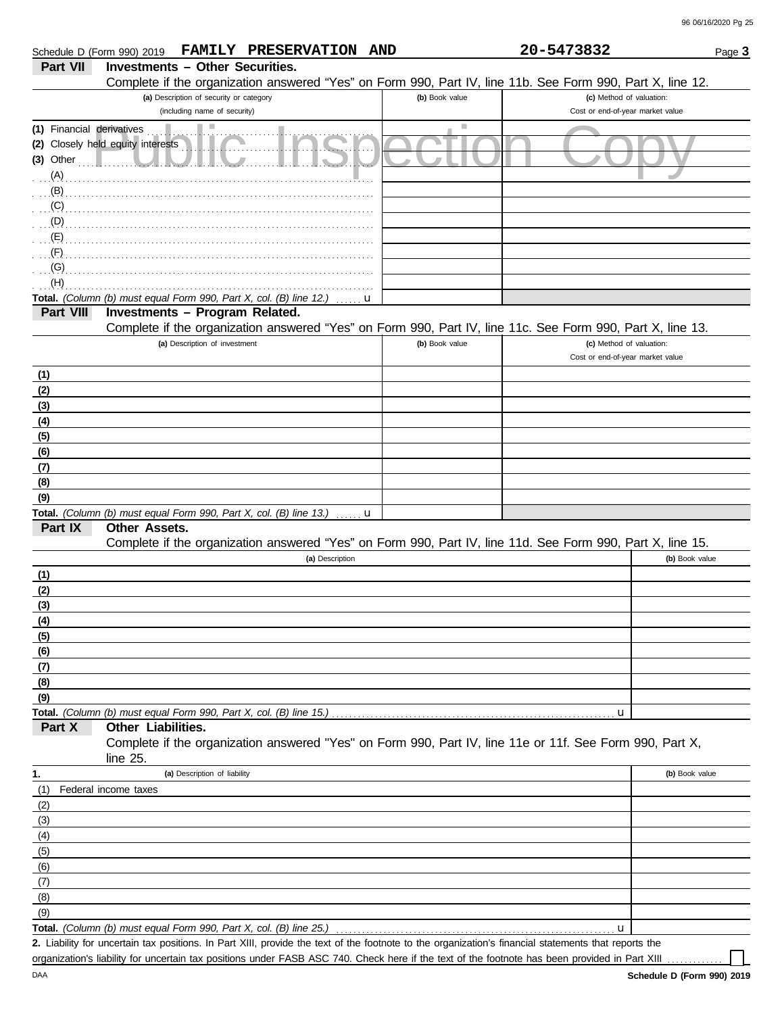|                           | FAMILY PRESERVATION AND<br>Schedule D (Form 990) 2019                                                      |                | 20-5473832                       | Page 3         |
|---------------------------|------------------------------------------------------------------------------------------------------------|----------------|----------------------------------|----------------|
| Part VII                  | <b>Investments - Other Securities.</b>                                                                     |                |                                  |                |
|                           | Complete if the organization answered "Yes" on Form 990, Part IV, line 11b. See Form 990, Part X, line 12. |                |                                  |                |
|                           | (a) Description of security or category                                                                    | (b) Book value | (c) Method of valuation:         |                |
|                           | (including name of security)                                                                               |                | Cost or end-of-year market value |                |
| (1) Financial derivatives |                                                                                                            | ш              |                                  |                |
|                           | (2) Closely held equity interests                                                                          |                |                                  |                |
| $(3)$ Other               |                                                                                                            |                |                                  |                |
| (A)                       |                                                                                                            |                |                                  |                |
| (B)                       |                                                                                                            |                |                                  |                |
| (C)                       |                                                                                                            |                |                                  |                |
| $\mathbb{C}$ $(D)$        |                                                                                                            |                |                                  |                |
| $\cdot$ $(E)$             |                                                                                                            |                |                                  |                |
| (F)                       |                                                                                                            |                |                                  |                |
| (G)                       |                                                                                                            |                |                                  |                |
| (H)                       |                                                                                                            |                |                                  |                |
|                           | Total. (Column (b) must equal Form 990, Part X, col. (B) line 12.)<br>u                                    |                |                                  |                |
| Part VIII                 | Investments - Program Related.                                                                             |                |                                  |                |
|                           | Complete if the organization answered "Yes" on Form 990, Part IV, line 11c. See Form 990, Part X, line 13. |                |                                  |                |
|                           | (a) Description of investment                                                                              | (b) Book value | (c) Method of valuation:         |                |
|                           |                                                                                                            |                | Cost or end-of-year market value |                |
| <u>(1)</u>                |                                                                                                            |                |                                  |                |
| (2)                       |                                                                                                            |                |                                  |                |
| (3)                       |                                                                                                            |                |                                  |                |
| (4)                       |                                                                                                            |                |                                  |                |
| (5)                       |                                                                                                            |                |                                  |                |
| (6)                       |                                                                                                            |                |                                  |                |
| (7)                       |                                                                                                            |                |                                  |                |
| (8)                       |                                                                                                            |                |                                  |                |
| (9)                       |                                                                                                            |                |                                  |                |
|                           | Total. (Column (b) must equal Form 990, Part X, col. (B) line 13.)<br>u                                    |                |                                  |                |
| Part IX                   | Other Assets.                                                                                              |                |                                  |                |
|                           | Complete if the organization answered "Yes" on Form 990, Part IV, line 11d. See Form 990, Part X, line 15. |                |                                  |                |
|                           | (a) Description                                                                                            |                |                                  | (b) Book value |
| <u>(1)</u>                |                                                                                                            |                |                                  |                |
| (2)                       |                                                                                                            |                |                                  |                |
| (3)                       |                                                                                                            |                |                                  |                |
| (4)                       |                                                                                                            |                |                                  |                |
| (5)                       |                                                                                                            |                |                                  |                |
| (6)                       |                                                                                                            |                |                                  |                |
| (7)                       |                                                                                                            |                |                                  |                |
| (8)                       |                                                                                                            |                |                                  |                |
| (9)                       |                                                                                                            |                |                                  |                |
|                           | Total. (Column (b) must equal Form 990, Part X, col. (B) line 15.)                                         |                | u                                |                |
| Part X                    | Other Liabilities.                                                                                         |                |                                  |                |
|                           | Complete if the organization answered "Yes" on Form 990, Part IV, line 11e or 11f. See Form 990, Part X,   |                |                                  |                |
|                           | line 25.                                                                                                   |                |                                  |                |
| 1.                        | (a) Description of liability                                                                               |                |                                  | (b) Book value |
| (1)                       | Federal income taxes                                                                                       |                |                                  |                |
| (2)                       |                                                                                                            |                |                                  |                |
| (3)                       |                                                                                                            |                |                                  |                |
| (4)                       |                                                                                                            |                |                                  |                |
| (5)                       |                                                                                                            |                |                                  |                |
| (6)                       |                                                                                                            |                |                                  |                |
| (7)                       |                                                                                                            |                |                                  |                |
| (8)                       |                                                                                                            |                |                                  |                |
| (9)                       |                                                                                                            |                |                                  |                |
|                           | Total. (Column (b) must equal Form 990, Part X, col. (B) line 25.)                                         |                | u                                |                |

Liability for uncertain tax positions. In Part XIII, provide the text of the footnote to the organization's financial statements that reports the **2.** organization's liability for uncertain tax positions under FASB ASC 740. Check here if the text of the footnote has been provided in Part XIII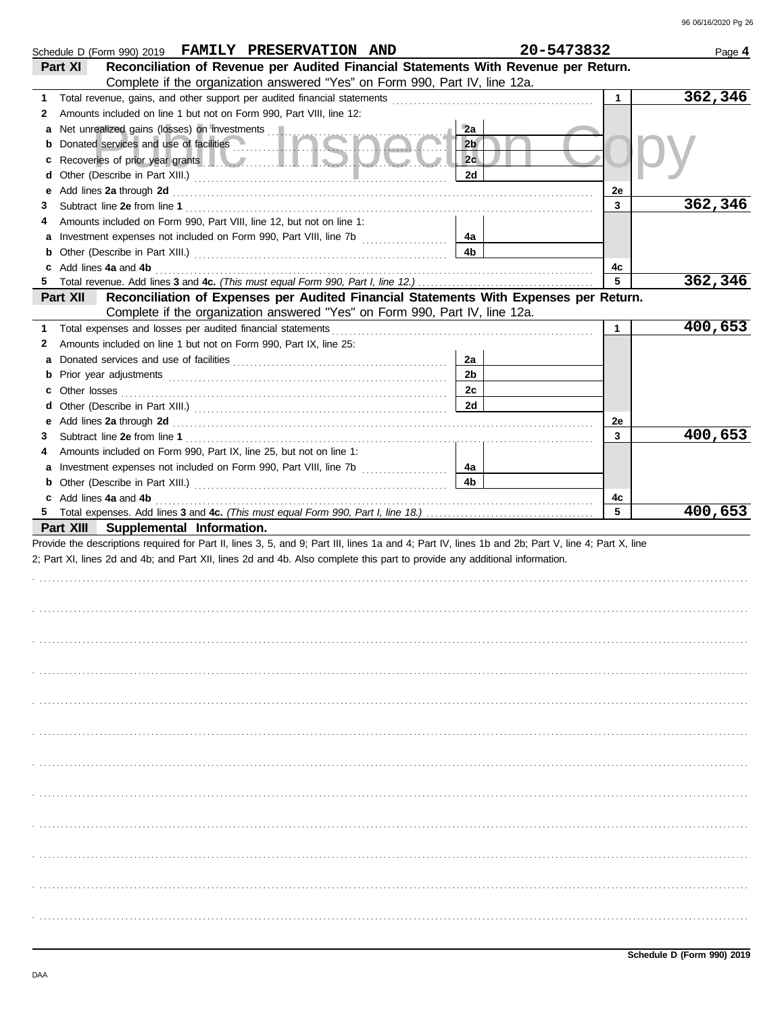|             | Schedule D (Form 990) 2019 FAMILY PRESERVATION AND                                                                                                                                                                             | 20-5473832     |              | Page 4   |
|-------------|--------------------------------------------------------------------------------------------------------------------------------------------------------------------------------------------------------------------------------|----------------|--------------|----------|
|             | Reconciliation of Revenue per Audited Financial Statements With Revenue per Return.<br>Part XI                                                                                                                                 |                |              |          |
|             | Complete if the organization answered "Yes" on Form 990, Part IV, line 12a.                                                                                                                                                    |                |              |          |
| 1.          | Total revenue, gains, and other support per audited financial statements                                                                                                                                                       |                | $\mathbf{1}$ | 362,346  |
| 2           | Amounts included on line 1 but not on Form 990, Part VIII, line 12:                                                                                                                                                            |                |              |          |
| а           |                                                                                                                                                                                                                                | 2a             |              |          |
| b           |                                                                                                                                                                                                                                | 2 <sub>b</sub> |              |          |
| с           |                                                                                                                                                                                                                                | 2c             |              |          |
| d           |                                                                                                                                                                                                                                | 2d             |              |          |
| е           | Add lines 2a through 2d [11] Add [12] Add lines 2a through 2d [12] Add lines 2a through 2d [12] Add lines 2.                                                                                                                   |                | 2e           |          |
| 3           |                                                                                                                                                                                                                                |                | 3            | 362, 346 |
|             | Amounts included on Form 990, Part VIII, line 12, but not on line 1:                                                                                                                                                           |                |              |          |
| а           | Investment expenses not included on Form 990, Part VIII, line 7b [100] [100] [100] [100] [100] [100] [100] [100] [100] [100] [100] [100] [100] [100] [100] [100] [100] [100] [100] [100] [100] [100] [100] [100] [100] [100] [ | 4a             |              |          |
| b           |                                                                                                                                                                                                                                | 4b             |              |          |
|             | Add lines 4a and 4b                                                                                                                                                                                                            |                | 4c           |          |
|             |                                                                                                                                                                                                                                |                | 5            | 362,346  |
|             | Reconciliation of Expenses per Audited Financial Statements With Expenses per Return.<br>Part XII                                                                                                                              |                |              |          |
|             | Complete if the organization answered "Yes" on Form 990, Part IV, line 12a.                                                                                                                                                    |                |              |          |
| 1           | Total expenses and losses per audited financial statements                                                                                                                                                                     |                | $\mathbf 1$  | 400,653  |
| 2           | Amounts included on line 1 but not on Form 990, Part IX, line 25:                                                                                                                                                              |                |              |          |
| а           |                                                                                                                                                                                                                                | 2a             |              |          |
| $\mathbf b$ |                                                                                                                                                                                                                                | 2 <sub>b</sub> |              |          |
| c           |                                                                                                                                                                                                                                | 2c             |              |          |
| d           |                                                                                                                                                                                                                                | 2d             |              |          |
| е           |                                                                                                                                                                                                                                |                | 2e           |          |
| 3           |                                                                                                                                                                                                                                |                | 3            | 400,653  |
|             | Amounts included on Form 990, Part IX, line 25, but not on line 1:                                                                                                                                                             |                |              |          |
| а           |                                                                                                                                                                                                                                | 4a             |              |          |
| b           |                                                                                                                                                                                                                                | 4 <sub>b</sub> |              |          |
|             | Add lines 4a and 4b                                                                                                                                                                                                            |                | 4c           |          |
| 5.          |                                                                                                                                                                                                                                |                | 5            | 400,653  |
|             | Part XIII Supplemental Information.                                                                                                                                                                                            |                |              |          |
|             | Provide the descriptions required for Part II, lines 3, 5, and 9; Part III, lines 1a and 4; Part IV, lines 1b and 2b; Part V, line 4; Part X, line                                                                             |                |              |          |
|             | 2; Part XI, lines 2d and 4b; and Part XII, lines 2d and 4b. Also complete this part to provide any additional information.                                                                                                     |                |              |          |
|             |                                                                                                                                                                                                                                |                |              |          |
|             |                                                                                                                                                                                                                                |                |              |          |
|             |                                                                                                                                                                                                                                |                |              |          |
|             |                                                                                                                                                                                                                                |                |              |          |
|             |                                                                                                                                                                                                                                |                |              |          |
|             |                                                                                                                                                                                                                                |                |              |          |
|             |                                                                                                                                                                                                                                |                |              |          |
|             |                                                                                                                                                                                                                                |                |              |          |
|             |                                                                                                                                                                                                                                |                |              |          |
|             |                                                                                                                                                                                                                                |                |              |          |
|             |                                                                                                                                                                                                                                |                |              |          |
|             |                                                                                                                                                                                                                                |                |              |          |
|             |                                                                                                                                                                                                                                |                |              |          |
|             |                                                                                                                                                                                                                                |                |              |          |
|             |                                                                                                                                                                                                                                |                |              |          |
|             |                                                                                                                                                                                                                                |                |              |          |
|             |                                                                                                                                                                                                                                |                |              |          |
|             |                                                                                                                                                                                                                                |                |              |          |
|             |                                                                                                                                                                                                                                |                |              |          |
|             |                                                                                                                                                                                                                                |                |              |          |
|             |                                                                                                                                                                                                                                |                |              |          |
|             |                                                                                                                                                                                                                                |                |              |          |
|             |                                                                                                                                                                                                                                |                |              |          |
|             |                                                                                                                                                                                                                                |                |              |          |
|             |                                                                                                                                                                                                                                |                |              |          |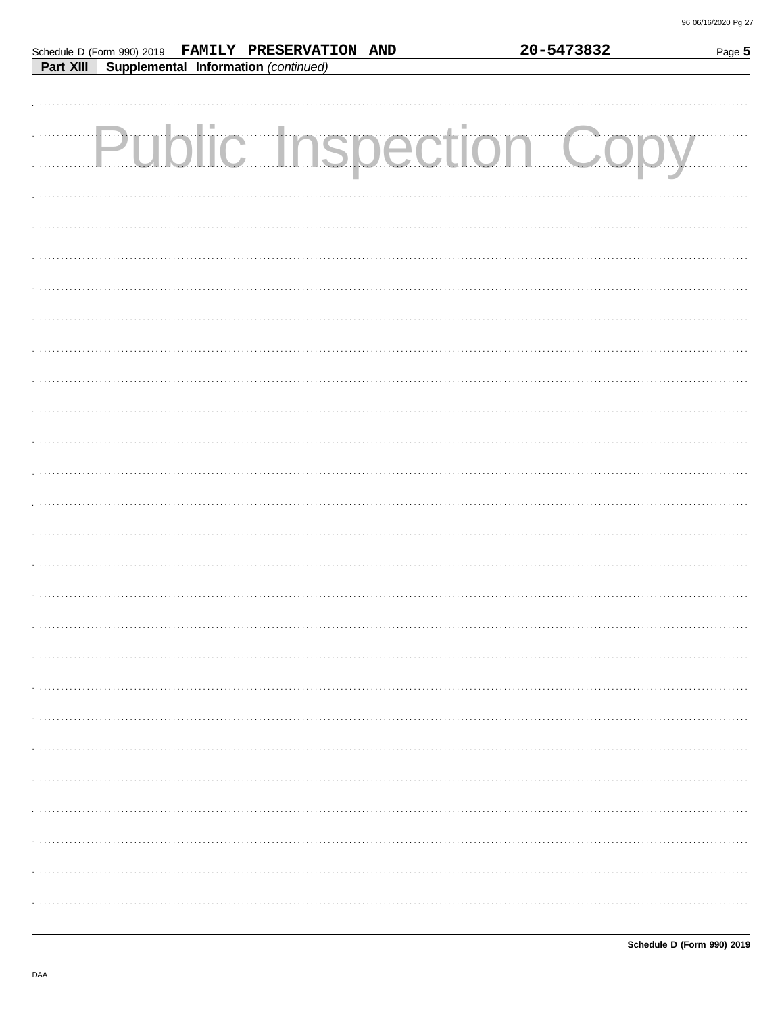20-5473832

|           |  | Schedule D (Form 990) 2019 FAMILY PRESERVATION AND | 20-5473832 | Page 5                 |
|-----------|--|----------------------------------------------------|------------|------------------------|
| Part XIII |  | Supplemental Information (continued)               |            |                        |
|           |  |                                                    |            |                        |
|           |  |                                                    |            |                        |
|           |  |                                                    |            |                        |
|           |  |                                                    |            | Public Inspection Copy |
|           |  |                                                    |            |                        |
|           |  |                                                    |            |                        |
|           |  |                                                    |            |                        |
|           |  |                                                    |            |                        |
|           |  |                                                    |            |                        |
|           |  |                                                    |            |                        |
|           |  |                                                    |            |                        |
|           |  |                                                    |            |                        |
|           |  |                                                    |            |                        |
|           |  |                                                    |            |                        |
|           |  |                                                    |            |                        |
|           |  |                                                    |            |                        |
|           |  |                                                    |            |                        |
|           |  |                                                    |            |                        |
|           |  |                                                    |            |                        |
|           |  |                                                    |            |                        |
|           |  |                                                    |            |                        |
|           |  |                                                    |            |                        |
|           |  |                                                    |            |                        |
|           |  |                                                    |            |                        |
|           |  |                                                    |            |                        |
|           |  |                                                    |            |                        |
|           |  |                                                    |            |                        |
|           |  |                                                    |            |                        |
|           |  |                                                    |            |                        |
|           |  |                                                    |            |                        |
|           |  |                                                    |            |                        |
|           |  |                                                    |            |                        |
|           |  |                                                    |            |                        |
|           |  |                                                    |            |                        |
|           |  |                                                    |            |                        |
|           |  |                                                    |            |                        |
|           |  |                                                    |            |                        |
|           |  |                                                    |            |                        |
|           |  |                                                    |            |                        |
|           |  |                                                    |            |                        |
|           |  |                                                    |            |                        |
|           |  |                                                    |            |                        |
|           |  |                                                    |            |                        |
|           |  |                                                    |            |                        |
|           |  |                                                    |            |                        |
|           |  |                                                    |            |                        |
|           |  |                                                    |            |                        |
|           |  |                                                    |            |                        |
|           |  |                                                    |            |                        |
|           |  |                                                    |            |                        |
|           |  |                                                    |            |                        |
|           |  |                                                    |            |                        |
|           |  |                                                    |            |                        |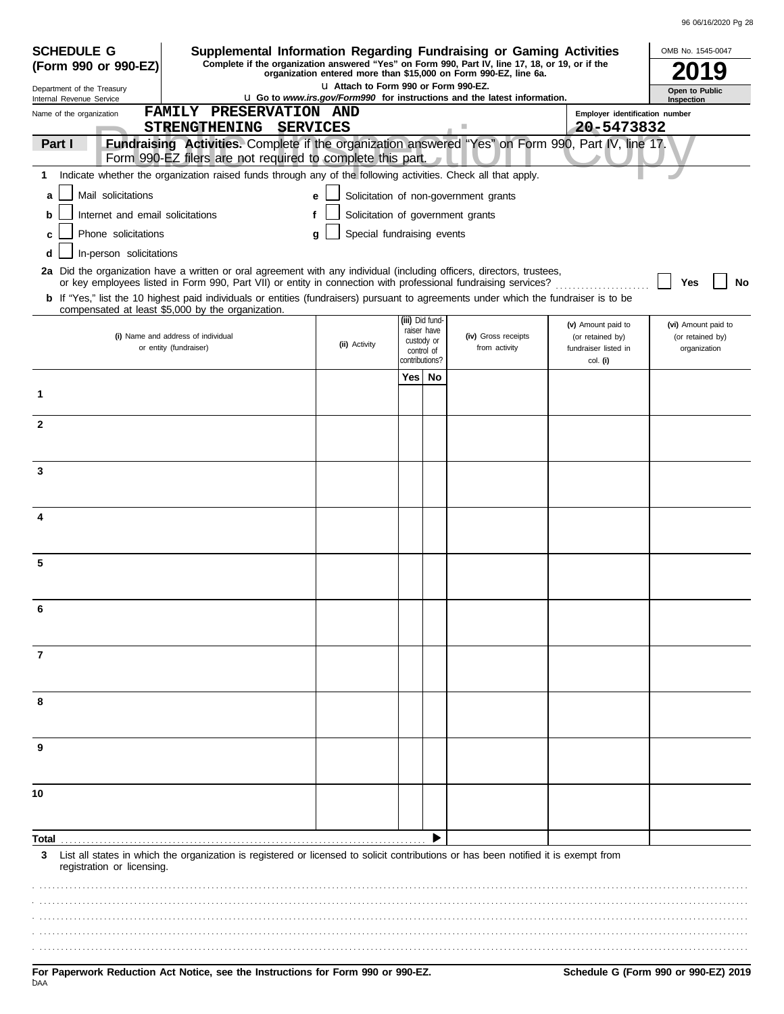| <b>SCHEDULE G</b>                                      |                                                   |                        |                      |                                                   |                                                                                                                          |                |                                                           | Supplemental Information Regarding Fundraising or Gaming Activities                                                                                                                                                                      |                                                                            | OMB No. 1545-0047                                       |
|--------------------------------------------------------|---------------------------------------------------|------------------------|----------------------|---------------------------------------------------|--------------------------------------------------------------------------------------------------------------------------|----------------|-----------------------------------------------------------|------------------------------------------------------------------------------------------------------------------------------------------------------------------------------------------------------------------------------------------|----------------------------------------------------------------------------|---------------------------------------------------------|
|                                                        | (Form 990 or 990-EZ)                              |                        |                      |                                                   |                                                                                                                          |                |                                                           | Complete if the organization answered "Yes" on Form 990, Part IV, line 17, 18, or 19, or if the<br>organization entered more than \$15,000 on Form 990-EZ, line 6a.                                                                      |                                                                            |                                                         |
| Department of the Treasury<br>Internal Revenue Service |                                                   |                        |                      |                                                   | La Attach to Form 990 or Form 990-EZ.<br><b>u</b> Go to www.irs.gov/Form990 for instructions and the latest information. |                | Open to Public                                            |                                                                                                                                                                                                                                          |                                                                            |                                                         |
| Name of the organization                               |                                                   |                        | <b>STRENGTHENING</b> | <b>FAMILY PRESERVATION AND</b><br><b>SERVICES</b> |                                                                                                                          |                |                                                           | $\mathcal{L}_{\mathcal{A}}$                                                                                                                                                                                                              | Employer identification number<br>20-5473832                               | <b>Inspection</b>                                       |
| Part I                                                 |                                                   |                        |                      |                                                   | Form 990-EZ filers are not required to complete this part.                                                               |                |                                                           | Fundraising Activities. Complete if the organization answered "Yes" on Form 990, Part IV, line 17.                                                                                                                                       |                                                                            |                                                         |
| 1                                                      |                                                   |                        |                      |                                                   |                                                                                                                          |                |                                                           | Indicate whether the organization raised funds through any of the following activities. Check all that apply.                                                                                                                            |                                                                            |                                                         |
| a                                                      | Mail solicitations                                |                        |                      |                                                   |                                                                                                                          |                |                                                           | Solicitation of non-government grants                                                                                                                                                                                                    |                                                                            |                                                         |
| b                                                      | Internet and email solicitations                  |                        |                      |                                                   |                                                                                                                          |                |                                                           | Solicitation of government grants                                                                                                                                                                                                        |                                                                            |                                                         |
|                                                        | Phone solicitations                               |                        |                      |                                                   | Special fundraising events<br>q                                                                                          |                |                                                           |                                                                                                                                                                                                                                          |                                                                            |                                                         |
| d                                                      | In-person solicitations                           |                        |                      |                                                   |                                                                                                                          |                |                                                           |                                                                                                                                                                                                                                          |                                                                            |                                                         |
|                                                        |                                                   |                        |                      |                                                   |                                                                                                                          |                |                                                           | 2a Did the organization have a written or oral agreement with any individual (including officers, directors, trustees,<br>or key employees listed in Form 990, Part VII) or entity in connection with professional fundraising services? |                                                                            | No<br>Yes                                               |
|                                                        | compensated at least \$5,000 by the organization. |                        |                      |                                                   |                                                                                                                          |                |                                                           | <b>b</b> If "Yes," list the 10 highest paid individuals or entities (fundraisers) pursuant to agreements under which the fundraiser is to be                                                                                             |                                                                            |                                                         |
|                                                        | (i) Name and address of individual                | or entity (fundraiser) |                      |                                                   | (ii) Activity                                                                                                            | contributions? | (iii) Did fund<br>raiser have<br>custody or<br>control of | (iv) Gross receipts<br>from activity                                                                                                                                                                                                     | (v) Amount paid to<br>(or retained by)<br>fundraiser listed in<br>col. (i) | (vi) Amount paid to<br>(or retained by)<br>organization |
|                                                        |                                                   |                        |                      |                                                   |                                                                                                                          | Yes            | No                                                        |                                                                                                                                                                                                                                          |                                                                            |                                                         |
| 1                                                      |                                                   |                        |                      |                                                   |                                                                                                                          |                |                                                           |                                                                                                                                                                                                                                          |                                                                            |                                                         |
| $\mathbf{2}$                                           |                                                   |                        |                      |                                                   |                                                                                                                          |                |                                                           |                                                                                                                                                                                                                                          |                                                                            |                                                         |
| 3                                                      |                                                   |                        |                      |                                                   |                                                                                                                          |                |                                                           |                                                                                                                                                                                                                                          |                                                                            |                                                         |
|                                                        |                                                   |                        |                      |                                                   |                                                                                                                          |                |                                                           |                                                                                                                                                                                                                                          |                                                                            |                                                         |
|                                                        |                                                   |                        |                      |                                                   |                                                                                                                          |                |                                                           |                                                                                                                                                                                                                                          |                                                                            |                                                         |
| 5                                                      |                                                   |                        |                      |                                                   |                                                                                                                          |                |                                                           |                                                                                                                                                                                                                                          |                                                                            |                                                         |
|                                                        |                                                   |                        |                      |                                                   |                                                                                                                          |                |                                                           |                                                                                                                                                                                                                                          |                                                                            |                                                         |
| $\overline{7}$                                         |                                                   |                        |                      |                                                   |                                                                                                                          |                |                                                           |                                                                                                                                                                                                                                          |                                                                            |                                                         |
| 8                                                      |                                                   |                        |                      |                                                   |                                                                                                                          |                |                                                           |                                                                                                                                                                                                                                          |                                                                            |                                                         |
| 9                                                      |                                                   |                        |                      |                                                   |                                                                                                                          |                |                                                           |                                                                                                                                                                                                                                          |                                                                            |                                                         |
|                                                        |                                                   |                        |                      |                                                   |                                                                                                                          |                |                                                           |                                                                                                                                                                                                                                          |                                                                            |                                                         |
| 10                                                     |                                                   |                        |                      |                                                   |                                                                                                                          |                |                                                           |                                                                                                                                                                                                                                          |                                                                            |                                                         |
| Total                                                  |                                                   |                        |                      |                                                   |                                                                                                                          |                |                                                           |                                                                                                                                                                                                                                          |                                                                            |                                                         |
|                                                        |                                                   |                        |                      |                                                   |                                                                                                                          |                |                                                           | 3 List all states in which the organization is registered or licensed to solicit contributions or has been notified it is exempt from                                                                                                    |                                                                            |                                                         |
|                                                        | registration or licensing.                        |                        |                      |                                                   |                                                                                                                          |                |                                                           |                                                                                                                                                                                                                                          |                                                                            |                                                         |

. . . . . . . . . . . . . . . . . . . . . . . . . . . . . . . . . . . . . . . . . . . . . . . . . . . . . . . . . . . . . . . . . . . . . . . . . . . . . . . . . . . . . . . . . . . . . . . . . . . . . . . . . . . . . . . . . . . . . . . . . . . . . . . . . . . . . . . . . . . . . . . . . . . . . . . . . . . . . . . . . . . . . . . . . . . . . . . . . . . . . . . . . . . . . . . . . . . . . . . . . . . . . . . . . . . . . . . . . . . . . . . . . . . . . . . . . . . . . . . . . . . . . . . . . . . . . . . . . . . . . . . . . . . . . . . . . . . . . . . . . . . . . . . . . . . . . . . . . . . . . . . . . . . . . . . . . . . . . . . . . . . . . . . . . . . . . . . . . . . . . . . . . . . . . . . . . . . . . . . . . . . . . . . . . . . . . . . . . . . . . . . . . . . . . . . . . . . . . . . . . . . . . . . . . . . . . . . . . . . . . . . . . . . . . . . . . . . . . . . . . . . . . . . . . . . . . . . . . . . . . . . . . . . . . . . . . . . . . . . . . . . . . . . . . . . . . . . . . . . . . . . . . . . . . . . . . . . . . . . . . . . . . . . . . . . . . . . . . . . . . . . . . . . . . . . . . . . . . . . . . . . . . . . . . . . . . . . . . . . . . . . . . . . . . . . . . . . . . . . . . . . . . . . . . . . . . . . . . . . . . . . . . . . . . . . . . . . . . . . . . . . . . . . . . . . . . . . . . . . . . . . . . . . . . . . . . . . . . . . . . . . . . . . . . . . . . . . . . . . . . . . . . . . . . . . . . . . . . . . . . . . . . . . . . . . . . . . . . . . . . . . . . . . . . . . . . . . . . . . . . . . . . . . . . . . . . . . . . . . . . . . . . . . . . . . . . . . . . . . . . . . . . . . . . . . . . . . . . . . . . . . . . . . . . .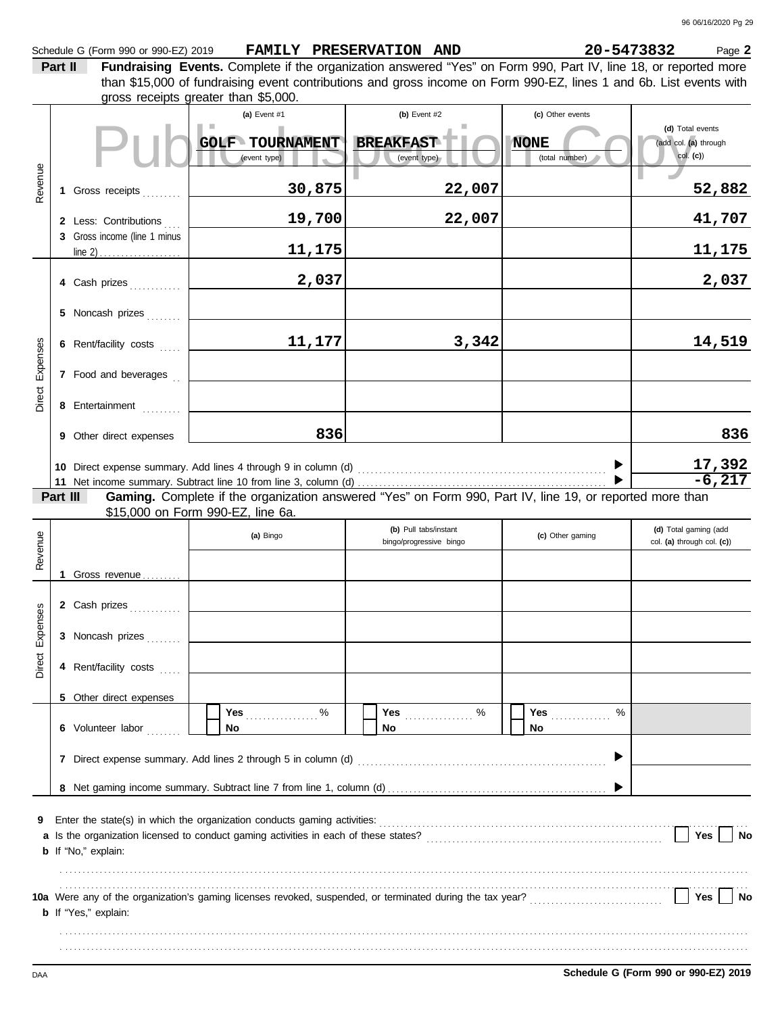| Schedule G (Form 990 or 990-EZ) 2019 | FAMILY PRESERVATION AND | 20-5473832 |
|--------------------------------------|-------------------------|------------|
|                                      |                         |            |

B **20-5473832** Page 2

**Part II Fundraising Events.** Complete if the organization answered "Yes" on Form 990, Part IV, line 18, or reported more gross receipts greater than \$5,000. than \$15,000 of fundraising event contributions and gross income on Form 990-EZ, lines 1 and 6b. List events with

| Revenue            |          | 1 Gross receipts<br>2 Less: Contributions<br>3 Gross income (line 1 minus<br>4 Cash prizes                                    | (a) Event #1<br><b>GOLF TOURNAMENT</b><br>(event type)<br>30,875<br>19,700<br>11,175<br>2,037                                                                                                                                                                                 | $(b)$ Event #2<br><b>BREAKFAST</b><br>(event type)<br>22,007<br>22,007 | (c) Other events<br><b>NONE</b><br>(total number) | (d) Total events<br>(add col. (a) through<br>$col.$ (c))<br>52,882<br>41,707<br>11,175<br>2,037 |
|--------------------|----------|-------------------------------------------------------------------------------------------------------------------------------|-------------------------------------------------------------------------------------------------------------------------------------------------------------------------------------------------------------------------------------------------------------------------------|------------------------------------------------------------------------|---------------------------------------------------|-------------------------------------------------------------------------------------------------|
| Direct Expenses    |          | 5 Noncash prizes<br>6 Rent/facility costs<br>7 Food and beverages                                                             | 11,177                                                                                                                                                                                                                                                                        | 3,342                                                                  |                                                   | 14,519                                                                                          |
|                    |          | 8 Entertainment<br>9 Other direct expenses                                                                                    | 836                                                                                                                                                                                                                                                                           |                                                                        |                                                   | 836<br>$\frac{17,392}{-6,217}$                                                                  |
|                    | Part III |                                                                                                                               | Gaming. Complete if the organization answered "Yes" on Form 990, Part IV, line 19, or reported more than<br>\$15,000 on Form 990-EZ, line 6a.                                                                                                                                 |                                                                        |                                                   |                                                                                                 |
| Revenue            |          |                                                                                                                               | (a) Bingo                                                                                                                                                                                                                                                                     | (b) Pull tabs/instant<br>bingo/progressive bingo                       | (c) Other gaming                                  | (d) Total gaming (add<br>col. (a) through col. (c))                                             |
| Expenses<br>Direct |          | 1 Gross revenue<br>2 Cash prizes<br>3 Noncash prizes<br>4 Rent/facility costs<br>5 Other direct expenses<br>6 Volunteer labor | <b>Yes</b><br>℅<br>No<br>7 Direct expense summary. Add lines 2 through 5 in column (d)                                                                                                                                                                                        | Yes<br>%<br>No                                                         | Yes<br>$\%$<br>No                                 |                                                                                                 |
| 9                  |          | b If "No," explain:<br><b>b</b> If "Yes," explain:                                                                            | Enter the state(s) in which the organization conducts gaming activities:<br>a Is the organization licensed to conduct gaming activities in each of these states?<br>10a Were any of the organization's gaming licenses revoked, suspended, or terminated during the tax year? |                                                                        |                                                   | Yes<br>No<br>Yes<br>No                                                                          |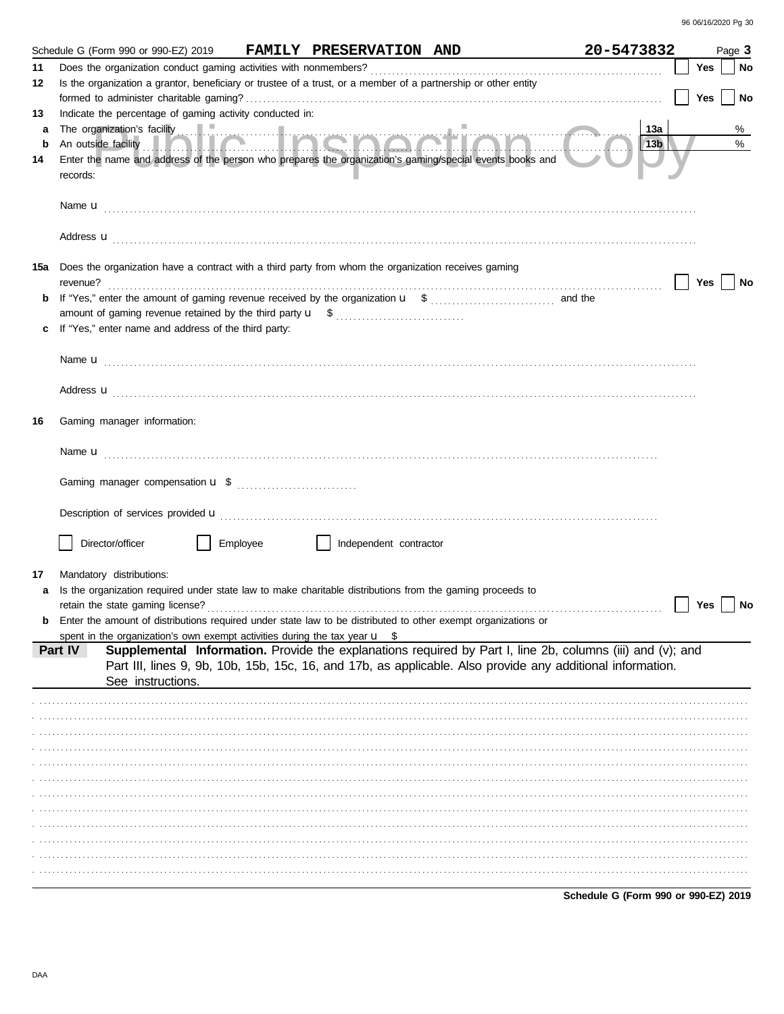|     | Schedule G (Form 990 or 990-EZ) 2019 FAMILY PRESERVATION AND                                                                                                                                                                        | 20-5473832      |            | Page 3    |  |  |  |  |  |
|-----|-------------------------------------------------------------------------------------------------------------------------------------------------------------------------------------------------------------------------------------|-----------------|------------|-----------|--|--|--|--|--|
| 11  |                                                                                                                                                                                                                                     |                 | Yes        | No        |  |  |  |  |  |
| 12  | Is the organization a grantor, beneficiary or trustee of a trust, or a member of a partnership or other entity                                                                                                                      |                 |            |           |  |  |  |  |  |
|     |                                                                                                                                                                                                                                     |                 | Yes        | <b>No</b> |  |  |  |  |  |
| 13  | Indicate the percentage of gaming activity conducted in:                                                                                                                                                                            |                 |            |           |  |  |  |  |  |
| a   |                                                                                                                                                                                                                                     | 13a             |            | %         |  |  |  |  |  |
| b   |                                                                                                                                                                                                                                     | 13 <sub>b</sub> |            | $\%$      |  |  |  |  |  |
| 14  | Enter the name and address of the person who prepares the organization's gaming/special events books and                                                                                                                            |                 |            |           |  |  |  |  |  |
|     | records:                                                                                                                                                                                                                            |                 |            |           |  |  |  |  |  |
|     |                                                                                                                                                                                                                                     |                 |            |           |  |  |  |  |  |
|     |                                                                                                                                                                                                                                     |                 |            |           |  |  |  |  |  |
|     |                                                                                                                                                                                                                                     |                 |            |           |  |  |  |  |  |
|     | Address <b>u</b>                                                                                                                                                                                                                    |                 |            |           |  |  |  |  |  |
| 15а | Does the organization have a contract with a third party from whom the organization receives gaming                                                                                                                                 |                 |            |           |  |  |  |  |  |
|     |                                                                                                                                                                                                                                     |                 | Yes     No |           |  |  |  |  |  |
| b   |                                                                                                                                                                                                                                     |                 |            |           |  |  |  |  |  |
|     |                                                                                                                                                                                                                                     |                 |            |           |  |  |  |  |  |
|     | If "Yes," enter name and address of the third party:                                                                                                                                                                                |                 |            |           |  |  |  |  |  |
|     |                                                                                                                                                                                                                                     |                 |            |           |  |  |  |  |  |
|     | Name <b>u</b> explorer and the contract of the contract of the contract of the contract of the contract of the contract of the contract of the contract of the contract of the contract of the contract of the contract of the cont |                 |            |           |  |  |  |  |  |
|     |                                                                                                                                                                                                                                     |                 |            |           |  |  |  |  |  |
|     | Address <b>u</b>                                                                                                                                                                                                                    |                 |            |           |  |  |  |  |  |
|     |                                                                                                                                                                                                                                     |                 |            |           |  |  |  |  |  |
| 16  | Gaming manager information:                                                                                                                                                                                                         |                 |            |           |  |  |  |  |  |
|     |                                                                                                                                                                                                                                     |                 |            |           |  |  |  |  |  |
|     |                                                                                                                                                                                                                                     |                 |            |           |  |  |  |  |  |
|     |                                                                                                                                                                                                                                     |                 |            |           |  |  |  |  |  |
|     |                                                                                                                                                                                                                                     |                 |            |           |  |  |  |  |  |
|     |                                                                                                                                                                                                                                     |                 |            |           |  |  |  |  |  |
|     |                                                                                                                                                                                                                                     |                 |            |           |  |  |  |  |  |
|     | Director/officer<br>Employee<br>Independent contractor                                                                                                                                                                              |                 |            |           |  |  |  |  |  |
|     |                                                                                                                                                                                                                                     |                 |            |           |  |  |  |  |  |
| 17  | Mandatory distributions:                                                                                                                                                                                                            |                 |            |           |  |  |  |  |  |
|     | Is the organization required under state law to make charitable distributions from the gaming proceeds to                                                                                                                           |                 |            |           |  |  |  |  |  |
|     |                                                                                                                                                                                                                                     |                 | Yes        | ∣ No      |  |  |  |  |  |
|     | <b>b</b> Enter the amount of distributions required under state law to be distributed to other exempt organizations or                                                                                                              |                 |            |           |  |  |  |  |  |
|     | spent in the organization's own exempt activities during the tax year $\mathbf{u}$ \$                                                                                                                                               |                 |            |           |  |  |  |  |  |
|     | Supplemental Information. Provide the explanations required by Part I, line 2b, columns (iii) and (v); and<br>Part IV                                                                                                               |                 |            |           |  |  |  |  |  |
|     | Part III, lines 9, 9b, 10b, 15b, 15c, 16, and 17b, as applicable. Also provide any additional information.<br>See instructions.                                                                                                     |                 |            |           |  |  |  |  |  |
|     |                                                                                                                                                                                                                                     |                 |            |           |  |  |  |  |  |
|     |                                                                                                                                                                                                                                     |                 |            |           |  |  |  |  |  |
|     |                                                                                                                                                                                                                                     |                 |            |           |  |  |  |  |  |
|     |                                                                                                                                                                                                                                     |                 |            |           |  |  |  |  |  |
|     |                                                                                                                                                                                                                                     |                 |            |           |  |  |  |  |  |
|     |                                                                                                                                                                                                                                     |                 |            |           |  |  |  |  |  |
|     |                                                                                                                                                                                                                                     |                 |            |           |  |  |  |  |  |
|     |                                                                                                                                                                                                                                     |                 |            |           |  |  |  |  |  |
|     |                                                                                                                                                                                                                                     |                 |            |           |  |  |  |  |  |
|     |                                                                                                                                                                                                                                     |                 |            |           |  |  |  |  |  |
|     |                                                                                                                                                                                                                                     |                 |            |           |  |  |  |  |  |
|     |                                                                                                                                                                                                                                     |                 |            |           |  |  |  |  |  |
|     |                                                                                                                                                                                                                                     |                 |            |           |  |  |  |  |  |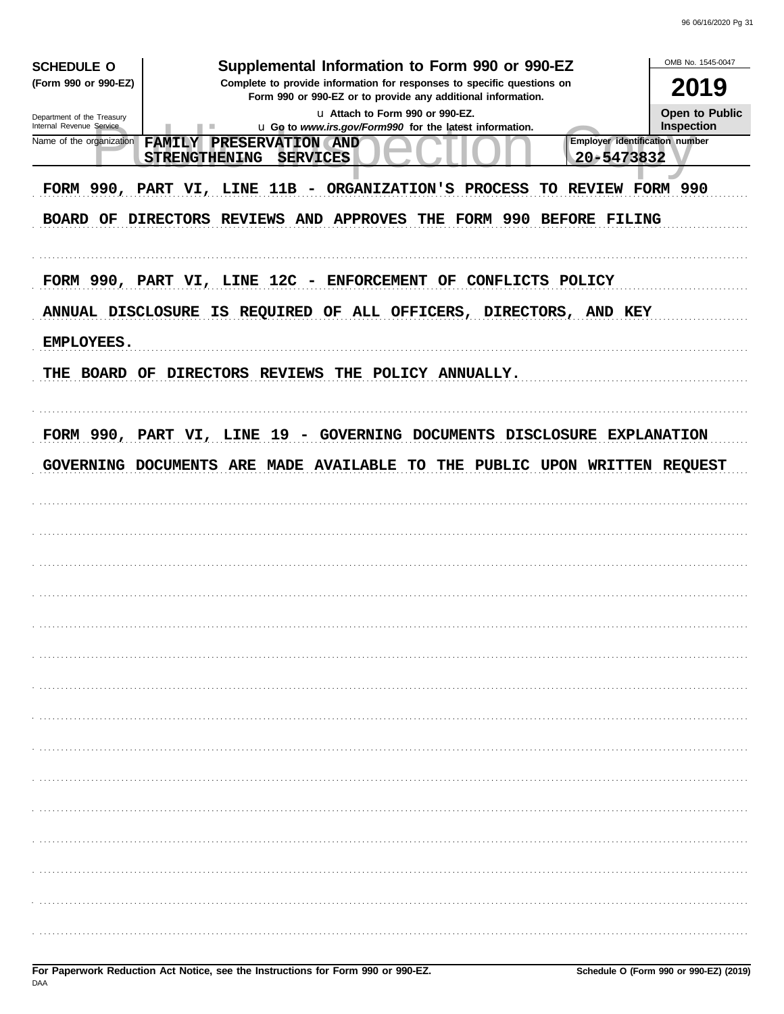| Supplemental Information to Form 990 or 990-EZ<br><b>SCHEDULE O</b><br>(Form 990 or 990-EZ)<br>Complete to provide information for responses to specific questions on<br>Form 990 or 990-EZ or to provide any additional information.<br>u Attach to Form 990 or 990-EZ.<br>Department of the Treasury<br>Internal Revenue Service<br>u Go to www.irs.gov/Form990 for the latest information.<br>٠<br><b>Employer identification number</b><br>Name of the organization<br><b>FAMILY</b><br>PRESERVATION AND<br>20-5473832<br><b>STRENGTHENING</b><br><b>SERVICES</b><br>FORM 990, PART VI, LINE 11B - ORGANIZATION'S PROCESS<br>TO REVIEW FORM 990<br>BOARD OF DIRECTORS REVIEWS AND APPROVES THE FORM 990 BEFORE FILING | OMB No. 1545-0047<br>2019<br><b>Open to Public</b><br><b>Inspection</b> |
|---------------------------------------------------------------------------------------------------------------------------------------------------------------------------------------------------------------------------------------------------------------------------------------------------------------------------------------------------------------------------------------------------------------------------------------------------------------------------------------------------------------------------------------------------------------------------------------------------------------------------------------------------------------------------------------------------------------------------|-------------------------------------------------------------------------|
| FORM 990, PART VI, LINE 12C - ENFORCEMENT OF CONFLICTS POLICY<br>ANNUAL DISCLOSURE IS REQUIRED OF ALL OFFICERS, DIRECTORS, AND KEY<br><b>EMPLOYEES.</b><br>THE BOARD OF DIRECTORS REVIEWS THE POLICY ANNUALLY.                                                                                                                                                                                                                                                                                                                                                                                                                                                                                                            |                                                                         |
| FORM 990, PART VI, LINE 19 - GOVERNING DOCUMENTS DISCLOSURE EXPLANATION<br>GOVERNING DOCUMENTS ARE MADE AVAILABLE TO THE<br>PUBLIC UPON WRITTEN REQUEST                                                                                                                                                                                                                                                                                                                                                                                                                                                                                                                                                                   |                                                                         |
|                                                                                                                                                                                                                                                                                                                                                                                                                                                                                                                                                                                                                                                                                                                           |                                                                         |
|                                                                                                                                                                                                                                                                                                                                                                                                                                                                                                                                                                                                                                                                                                                           |                                                                         |
|                                                                                                                                                                                                                                                                                                                                                                                                                                                                                                                                                                                                                                                                                                                           |                                                                         |
|                                                                                                                                                                                                                                                                                                                                                                                                                                                                                                                                                                                                                                                                                                                           |                                                                         |